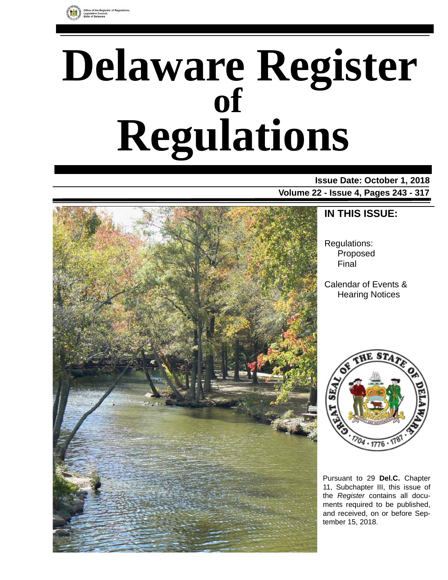

# **Delaware Register Regulations of**

**Issue Date: October 1, 2018 Volume 22 - Issue 4, Pages 243 - 317**



# **IN THIS ISSUE:**

Regulations: Proposed Final

Calendar of Events & Hearing Notices



Pursuant to 29 **Del.C.** Chapter 11, Subchapter III, this issue of the *Register* contains all documents required to be published, and received, on or before September 15, 2018.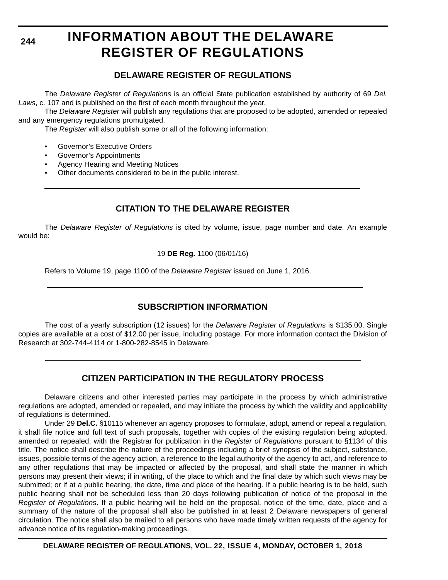**244**

# **INFORMATION ABOUT THE DELAWARE REGISTER OF REGULATIONS**

### **DELAWARE REGISTER OF REGULATIONS**

The *Delaware Register of Regulations* is an official State publication established by authority of 69 *Del. Laws*, c. 107 and is published on the first of each month throughout the year.

The *Delaware Register* will publish any regulations that are proposed to be adopted, amended or repealed and any emergency regulations promulgated.

The *Register* will also publish some or all of the following information:

- Governor's Executive Orders
- Governor's Appointments
- Agency Hearing and Meeting Notices
- Other documents considered to be in the public interest.

# **CITATION TO THE DELAWARE REGISTER**

The *Delaware Register of Regulations* is cited by volume, issue, page number and date. An example would be:

19 **DE Reg.** 1100 (06/01/16)

Refers to Volume 19, page 1100 of the *Delaware Register* issued on June 1, 2016.

# **SUBSCRIPTION INFORMATION**

The cost of a yearly subscription (12 issues) for the *Delaware Register of Regulations* is \$135.00. Single copies are available at a cost of \$12.00 per issue, including postage. For more information contact the Division of Research at 302-744-4114 or 1-800-282-8545 in Delaware.

# **CITIZEN PARTICIPATION IN THE REGULATORY PROCESS**

Delaware citizens and other interested parties may participate in the process by which administrative regulations are adopted, amended or repealed, and may initiate the process by which the validity and applicability of regulations is determined.

Under 29 **Del.C.** §10115 whenever an agency proposes to formulate, adopt, amend or repeal a regulation, it shall file notice and full text of such proposals, together with copies of the existing regulation being adopted, amended or repealed, with the Registrar for publication in the *Register of Regulations* pursuant to §1134 of this title. The notice shall describe the nature of the proceedings including a brief synopsis of the subject, substance, issues, possible terms of the agency action, a reference to the legal authority of the agency to act, and reference to any other regulations that may be impacted or affected by the proposal, and shall state the manner in which persons may present their views; if in writing, of the place to which and the final date by which such views may be submitted; or if at a public hearing, the date, time and place of the hearing. If a public hearing is to be held, such public hearing shall not be scheduled less than 20 days following publication of notice of the proposal in the *Register of Regulations*. If a public hearing will be held on the proposal, notice of the time, date, place and a summary of the nature of the proposal shall also be published in at least 2 Delaware newspapers of general circulation. The notice shall also be mailed to all persons who have made timely written requests of the agency for advance notice of its regulation-making proceedings.

**DELAWARE REGISTER OF REGULATIONS, VOL. 22, ISSUE 4, MONDAY, OCTOBER 1, 2018**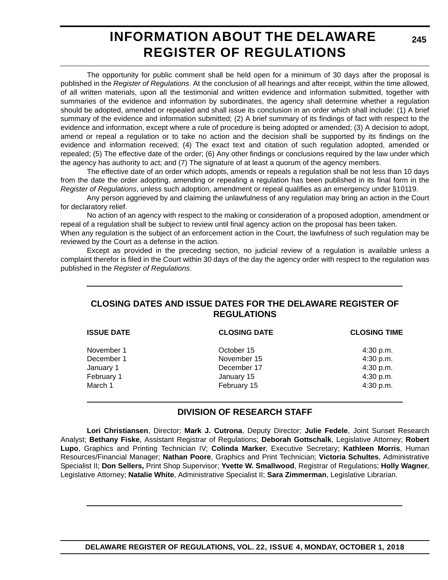# **INFORMATION ABOUT THE DELAWARE REGISTER OF REGULATIONS**

The opportunity for public comment shall be held open for a minimum of 30 days after the proposal is published in the *Register of Regulations*. At the conclusion of all hearings and after receipt, within the time allowed, of all written materials, upon all the testimonial and written evidence and information submitted, together with summaries of the evidence and information by subordinates, the agency shall determine whether a regulation should be adopted, amended or repealed and shall issue its conclusion in an order which shall include: (1) A brief summary of the evidence and information submitted; (2) A brief summary of its findings of fact with respect to the evidence and information, except where a rule of procedure is being adopted or amended; (3) A decision to adopt, amend or repeal a regulation or to take no action and the decision shall be supported by its findings on the evidence and information received; (4) The exact text and citation of such regulation adopted, amended or repealed; (5) The effective date of the order; (6) Any other findings or conclusions required by the law under which the agency has authority to act; and (7) The signature of at least a quorum of the agency members.

The effective date of an order which adopts, amends or repeals a regulation shall be not less than 10 days from the date the order adopting, amending or repealing a regulation has been published in its final form in the *Register of Regulations*, unless such adoption, amendment or repeal qualifies as an emergency under §10119.

Any person aggrieved by and claiming the unlawfulness of any regulation may bring an action in the Court for declaratory relief.

No action of an agency with respect to the making or consideration of a proposed adoption, amendment or repeal of a regulation shall be subject to review until final agency action on the proposal has been taken.

When any regulation is the subject of an enforcement action in the Court, the lawfulness of such regulation may be reviewed by the Court as a defense in the action.

Except as provided in the preceding section, no judicial review of a regulation is available unless a complaint therefor is filed in the Court within 30 days of the day the agency order with respect to the regulation was published in the *Register of Regulations*.

### **CLOSING DATES AND ISSUE DATES FOR THE DELAWARE REGISTER OF REGULATIONS**

| <b>CLOSING DATE</b> | <b>CLOSING TIME</b> |  |
|---------------------|---------------------|--|
| October 15          | 4:30 p.m.           |  |
| November 15         | 4:30 p.m.           |  |
| December 17         | 4:30 p.m.           |  |
| January 15          | 4:30 p.m.           |  |
| February 15         | 4:30 p.m.           |  |
|                     |                     |  |

### **DIVISION OF RESEARCH STAFF**

**Lori Christiansen**, Director; **Mark J. Cutrona**, Deputy Director; **Julie Fedele**, Joint Sunset Research Analyst; **Bethany Fiske**, Assistant Registrar of Regulations; **Deborah Gottschalk**, Legislative Attorney; **Robert Lupo**, Graphics and Printing Technician IV; **Colinda Marker**, Executive Secretary; **Kathleen Morris**, Human Resources/Financial Manager; **Nathan Poore**, Graphics and Print Technician; **Victoria Schultes**, Administrative Specialist II; **Don Sellers,** Print Shop Supervisor; **Yvette W. Smallwood**, Registrar of Regulations; **Holly Wagner**, Legislative Attorney; **Natalie White**, Administrative Specialist II; **Sara Zimmerman**, Legislative Librarian.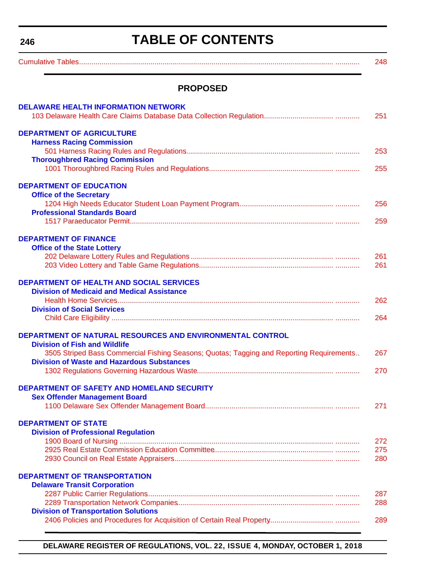<span id="page-3-0"></span>**246**

# **TABLE OF CONTENTS**

|                                                                                          | 248 |
|------------------------------------------------------------------------------------------|-----|
| <b>PROPOSED</b>                                                                          |     |
| <b>DELAWARE HEALTH INFORMATION NETWORK</b>                                               | 251 |
| <b>DEPARTMENT OF AGRICULTURE</b>                                                         |     |
| <b>Harness Racing Commission</b>                                                         |     |
| <b>Thoroughbred Racing Commission</b>                                                    | 253 |
|                                                                                          | 255 |
| <b>DEPARTMENT OF EDUCATION</b>                                                           |     |
| <b>Office of the Secretary</b>                                                           |     |
|                                                                                          | 256 |
| <b>Professional Standards Board</b>                                                      | 259 |
|                                                                                          |     |
| <b>DEPARTMENT OF FINANCE</b>                                                             |     |
| <b>Office of the State Lottery</b>                                                       |     |
|                                                                                          | 261 |
|                                                                                          | 261 |
| <b>DEPARTMENT OF HEALTH AND SOCIAL SERVICES</b>                                          |     |
| <b>Division of Medicaid and Medical Assistance</b>                                       |     |
|                                                                                          | 262 |
| <b>Division of Social Services</b>                                                       | 264 |
|                                                                                          |     |
| DEPARTMENT OF NATURAL RESOURCES AND ENVIRONMENTAL CONTROL                                |     |
| <b>Division of Fish and Wildlife</b>                                                     |     |
| 3505 Striped Bass Commercial Fishing Seasons; Quotas; Tagging and Reporting Requirements | 267 |
| <b>Division of Waste and Hazardous Substances</b>                                        | 270 |
|                                                                                          |     |
| <b>DEPARTMENT OF SAFETY AND HOMELAND SECURITY</b>                                        |     |
| <b>Sex Offender Management Board</b>                                                     |     |
|                                                                                          | 271 |
| <b>DEPARTMENT OF STATE</b>                                                               |     |
| <b>Division of Professional Regulation</b>                                               |     |
|                                                                                          | 272 |
|                                                                                          | 275 |
|                                                                                          | 280 |
| <b>DEPARTMENT OF TRANSPORTATION</b>                                                      |     |
| <b>Delaware Transit Corporation</b>                                                      |     |
|                                                                                          | 287 |
|                                                                                          | 288 |
| <b>Division of Transportation Solutions</b>                                              |     |
|                                                                                          | 289 |

**DELAWARE REGISTER OF REGULATIONS, VOL. 22, ISSUE 4, MONDAY, OCTOBER 1, 2018**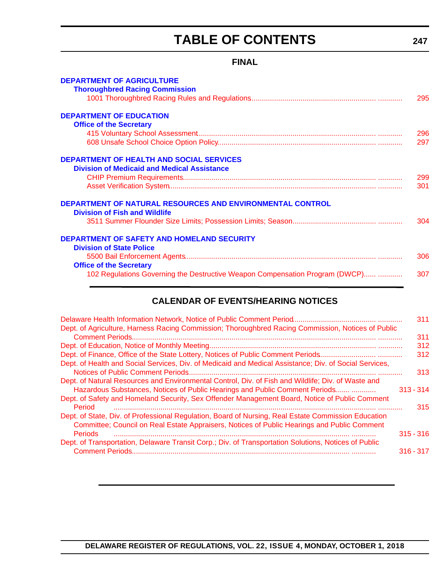# **TABLE OF CONTENTS**

### **FINAL**

| <b>DEPARTMENT OF AGRICULTURE</b>                                             |     |
|------------------------------------------------------------------------------|-----|
| <b>Thoroughbred Racing Commission</b>                                        |     |
|                                                                              | 295 |
| <b>DEPARTMENT OF EDUCATION</b>                                               |     |
| <b>Office of the Secretary</b>                                               |     |
|                                                                              | 296 |
|                                                                              | 297 |
| <b>DEPARTMENT OF HEALTH AND SOCIAL SERVICES</b>                              |     |
| <b>Division of Medicaid and Medical Assistance</b>                           |     |
|                                                                              | 299 |
|                                                                              | 301 |
| <b>DEPARTMENT OF NATURAL RESOURCES AND ENVIRONMENTAL CONTROL</b>             |     |
| <b>Division of Fish and Wildlife</b>                                         |     |
|                                                                              | 304 |
| <b>DEPARTMENT OF SAFETY AND HOMELAND SECURITY</b>                            |     |
| <b>Division of State Police</b>                                              |     |
|                                                                              | 306 |
| <b>Office of the Secretary</b>                                               |     |
| 102 Regulations Governing the Destructive Weapon Compensation Program (DWCP) | 307 |
|                                                                              |     |

### **CALENDAR OF EVENTS/HEARING NOTICES**

|                                                                                                                                                                                                    |             | 311 |
|----------------------------------------------------------------------------------------------------------------------------------------------------------------------------------------------------|-------------|-----|
| Dept. of Agriculture, Harness Racing Commission; Thoroughbred Racing Commission, Notices of Public                                                                                                 |             | 311 |
|                                                                                                                                                                                                    |             | 312 |
|                                                                                                                                                                                                    |             | 312 |
| Dept. of Health and Social Services, Div. of Medicaid and Medical Assistance; Div. of Social Services,                                                                                             |             | 313 |
| Dept. of Natural Resources and Environmental Control, Div. of Fish and Wildlife; Div. of Waste and<br>Hazardous Substances, Notices of Public Hearings and Public Comment Periods                  | $313 - 314$ |     |
| Dept. of Safety and Homeland Security, Sex Offender Management Board, Notice of Public Comment<br>Period                                                                                           |             | 315 |
| Dept. of State, Div. of Professional Regulation, Board of Nursing, Real Estate Commission Education<br>Committee; Council on Real Estate Appraisers, Notices of Public Hearings and Public Comment |             |     |
| <b>Periods</b>                                                                                                                                                                                     | $315 - 316$ |     |
| Dept. of Transportation, Delaware Transit Corp.; Div. of Transportation Solutions, Notices of Public                                                                                               |             |     |
|                                                                                                                                                                                                    | $316 - 317$ |     |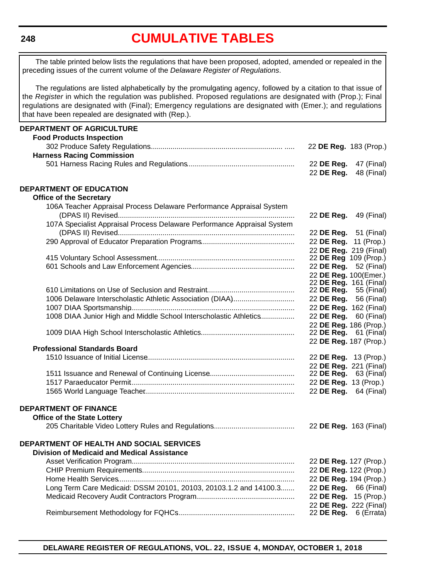#### <span id="page-5-0"></span>**248**

# **[CUMULATIVE TABLES](#page-3-0)**

The table printed below lists the regulations that have been proposed, adopted, amended or repealed in the preceding issues of the current volume of the *Delaware Register of Regulations*.

The regulations are listed alphabetically by the promulgating agency, followed by a citation to that issue of the *Register* in which the regulation was published. Proposed regulations are designated with (Prop.); Final regulations are designated with (Final); Emergency regulations are designated with (Emer.); and regulations that have been repealed are designated with (Rep.).

| <b>DEPARTMENT OF AGRICULTURE</b>                                        |                                                        |            |
|-------------------------------------------------------------------------|--------------------------------------------------------|------------|
| <b>Food Products Inspection</b>                                         |                                                        |            |
|                                                                         | 22 DE Reg. 183 (Prop.)                                 |            |
| <b>Harness Racing Commission</b>                                        |                                                        |            |
|                                                                         | 22 DE Reg.                                             | 47 (Final) |
|                                                                         | 22 DE Reg.                                             | 48 (Final) |
|                                                                         |                                                        |            |
| <b>DEPARTMENT OF EDUCATION</b>                                          |                                                        |            |
| <b>Office of the Secretary</b>                                          |                                                        |            |
| 106A Teacher Appraisal Process Delaware Performance Appraisal System    |                                                        |            |
|                                                                         | 22 DE Reg.                                             | 49 (Final) |
| 107A Specialist Appraisal Process Delaware Performance Appraisal System |                                                        |            |
|                                                                         | 22 <b>DE Reg.</b> 51 (Final)                           |            |
|                                                                         | 22 DE Reg. 11 (Prop.)                                  |            |
|                                                                         | 22 DE Reg. 219 (Final)                                 |            |
|                                                                         | 22 DE Reg 109 (Prop.)                                  |            |
|                                                                         | 22 DE Reg. 52 (Final)                                  |            |
|                                                                         | 22 DE Reg. 100(Emer.)                                  |            |
|                                                                         | 22 DE Reg. 161 (Final)<br>22 <b>DE Reg.</b> 55 (Final) |            |
| 1006 Delaware Interscholastic Athletic Association (DIAA)               | 22 DE Reg. 56 (Final)                                  |            |
|                                                                         | 22 DE Reg. 162 (Final)                                 |            |
| 1008 DIAA Junior High and Middle School Interscholastic Athletics       | 22 DE Reg. 60 (Final)                                  |            |
|                                                                         | 22 DE Reg. 186 (Prop.)                                 |            |
|                                                                         | 22 DE Reg. 61 (Final)                                  |            |
|                                                                         | 22 DE Reg. 187 (Prop.)                                 |            |
| <b>Professional Standards Board</b>                                     |                                                        |            |
|                                                                         | 22 DE Reg. 13 (Prop.)                                  |            |
|                                                                         | 22 DE Reg. 221 (Final)                                 |            |
|                                                                         | 22 DE Reg. 63 (Final)                                  |            |
|                                                                         | 22 DE Reg. 13 (Prop.)                                  |            |
|                                                                         | 22 DE Reg. 64 (Final)                                  |            |
|                                                                         |                                                        |            |
| <b>DEPARTMENT OF FINANCE</b>                                            |                                                        |            |
| <b>Office of the State Lottery</b>                                      |                                                        |            |
|                                                                         | 22 DE Reg. 163 (Final)                                 |            |
|                                                                         |                                                        |            |
| DEPARTMENT OF HEALTH AND SOCIAL SERVICES                                |                                                        |            |
| <b>Division of Medicaid and Medical Assistance</b>                      |                                                        |            |
|                                                                         | 22 DE Reg. 127 (Prop.)                                 |            |
|                                                                         | 22 DE Reg. 122 (Prop.)                                 |            |
|                                                                         | 22 DE Reg. 194 (Prop.)                                 |            |
| Long Term Care Medicaid: DSSM 20101, 20103, 20103.1.2 and 14100.3       | 22 DE Reg. 66 (Final)                                  |            |
|                                                                         | 22 DE Reg.                                             | 15 (Prop.) |
|                                                                         | 22 DE Reg. 222 (Final)                                 |            |
|                                                                         | 22 DE Reg. 6 (Errata)                                  |            |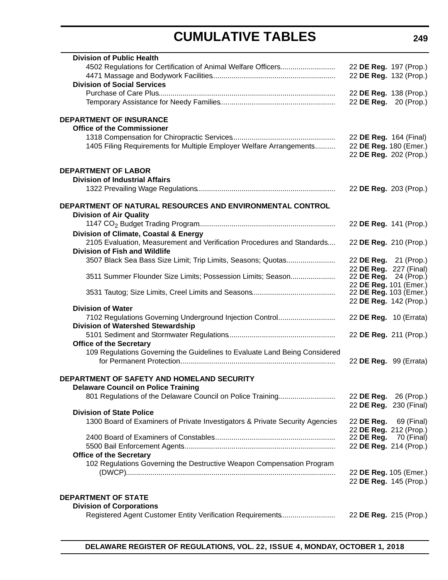# **CUMULATIVE TABLES**

| <b>Division of Public Health</b>                                             |                        |            |
|------------------------------------------------------------------------------|------------------------|------------|
| 4502 Regulations for Certification of Animal Welfare Officers                | 22 DE Reg. 197 (Prop.) |            |
|                                                                              | 22 DE Reg. 132 (Prop.) |            |
| <b>Division of Social Services</b>                                           |                        |            |
|                                                                              | 22 DE Reg. 138 (Prop.) |            |
|                                                                              | 22 DE Reg. 20 (Prop.)  |            |
| <b>DEPARTMENT OF INSURANCE</b>                                               |                        |            |
| <b>Office of the Commissioner</b>                                            |                        |            |
|                                                                              | 22 DE Reg. 164 (Final) |            |
| 1405 Filing Requirements for Multiple Employer Welfare Arrangements          | 22 DE Reg. 180 (Emer.) |            |
|                                                                              | 22 DE Reg. 202 (Prop.) |            |
|                                                                              |                        |            |
| <b>DEPARTMENT OF LABOR</b>                                                   |                        |            |
| <b>Division of Industrial Affairs</b>                                        |                        |            |
|                                                                              | 22 DE Reg. 203 (Prop.) |            |
| DEPARTMENT OF NATURAL RESOURCES AND ENVIRONMENTAL CONTROL                    |                        |            |
| <b>Division of Air Quality</b>                                               |                        |            |
|                                                                              | 22 DE Reg. 141 (Prop.) |            |
| Division of Climate, Coastal & Energy                                        |                        |            |
| 2105 Evaluation, Measurement and Verification Procedures and Standards       | 22 DE Reg. 210 (Prop.) |            |
| <b>Division of Fish and Wildlife</b>                                         |                        |            |
| 3507 Black Sea Bass Size Limit; Trip Limits, Seasons; Quotas                 | 22 DE Reg. 21 (Prop.)  |            |
|                                                                              | 22 DE Reg. 227 (Final) |            |
| 3511 Summer Flounder Size Limits; Possession Limits; Season                  | 22 DE Reg. 24 (Prop.)  |            |
|                                                                              | 22 DE Reg. 101 (Emer.) |            |
|                                                                              | 22 DE Reg. 103 (Emer.) |            |
| <b>Division of Water</b>                                                     | 22 DE Reg. 142 (Prop.) |            |
| 7102 Regulations Governing Underground Injection Control                     | 22 DE Reg. 10 (Errata) |            |
| <b>Division of Watershed Stewardship</b>                                     |                        |            |
|                                                                              | 22 DE Reg. 211 (Prop.) |            |
| <b>Office of the Secretary</b>                                               |                        |            |
| 109 Regulations Governing the Guidelines to Evaluate Land Being Considered   |                        |            |
|                                                                              | 22 DE Reg. 99 (Errata) |            |
|                                                                              |                        |            |
| DEPARTMENT OF SAFETY AND HOMELAND SECURITY                                   |                        |            |
| <b>Delaware Council on Police Training</b>                                   |                        |            |
| 801 Regulations of the Delaware Council on Police Training                   | 22 DE Reg. 26 (Prop.)  |            |
| <b>Division of State Police</b>                                              | 22 DE Reg. 230 (Final) |            |
| 1300 Board of Examiners of Private Investigators & Private Security Agencies | 22 DE Reg.             | 69 (Final) |
|                                                                              | 22 DE Reg. 212 (Prop.) |            |
|                                                                              | 22 DE Reg.             | 70 (Final) |
|                                                                              | 22 DE Reg. 214 (Prop.) |            |
| <b>Office of the Secretary</b>                                               |                        |            |
| 102 Regulations Governing the Destructive Weapon Compensation Program        |                        |            |
|                                                                              | 22 DE Reg. 105 (Emer.) |            |
|                                                                              | 22 DE Reg. 145 (Prop.) |            |
|                                                                              |                        |            |
| <b>DEPARTMENT OF STATE</b>                                                   |                        |            |
| <b>Division of Corporations</b>                                              |                        |            |
| Registered Agent Customer Entity Verification Requirements                   | 22 DE Reg. 215 (Prop.) |            |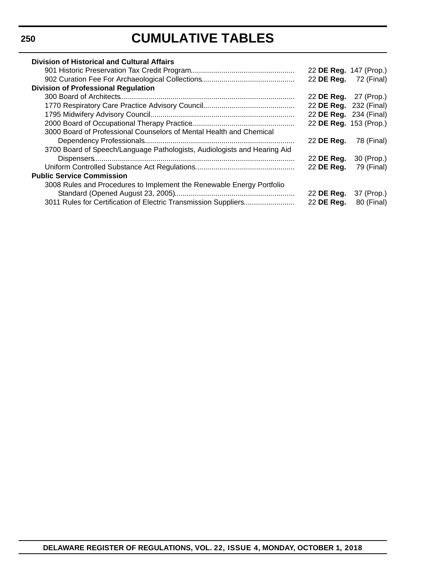# **CUMULATIVE TABLES**

| <b>Division of Historical and Cultural Affairs</b>                       |                              |            |
|--------------------------------------------------------------------------|------------------------------|------------|
|                                                                          | 22 DE Reg. 147 (Prop.)       |            |
|                                                                          | 22 <b>DE Reg.</b> 72 (Final) |            |
| <b>Division of Professional Regulation</b>                               |                              |            |
|                                                                          | 22 <b>DE Reg.</b> 27 (Prop.) |            |
|                                                                          | 22 DE Reg. 232 (Final)       |            |
|                                                                          | 22 DE Reg. 234 (Final)       |            |
|                                                                          | 22 DE Reg. 153 (Prop.)       |            |
| 3000 Board of Professional Counselors of Mental Health and Chemical      |                              |            |
|                                                                          | 22 DE Reg.                   | 78 (Final) |
| 3700 Board of Speech/Language Pathologists, Audiologists and Hearing Aid |                              |            |
|                                                                          | 22 DE Reg.                   | 30 (Prop.) |
|                                                                          | 22 DE Reg.                   | 79 (Final) |
| <b>Public Service Commission</b>                                         |                              |            |
| 3008 Rules and Procedures to Implement the Renewable Energy Portfolio    |                              |            |
|                                                                          | 22 DE Reg.                   | 37 (Prop.) |
| 3011 Rules for Certification of Electric Transmission Suppliers          | 22 DE Reg.                   | 80 (Final) |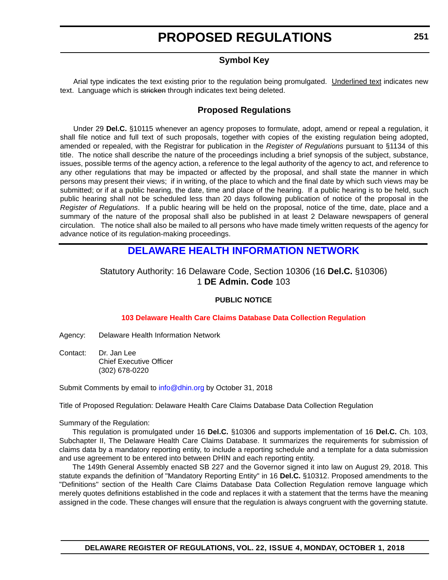### **Symbol Key**

<span id="page-8-0"></span>Arial type indicates the text existing prior to the regulation being promulgated. Underlined text indicates new text. Language which is stricken through indicates text being deleted.

### **Proposed Regulations**

Under 29 **Del.C.** §10115 whenever an agency proposes to formulate, adopt, amend or repeal a regulation, it shall file notice and full text of such proposals, together with copies of the existing regulation being adopted, amended or repealed, with the Registrar for publication in the *Register of Regulations* pursuant to §1134 of this title. The notice shall describe the nature of the proceedings including a brief synopsis of the subject, substance, issues, possible terms of the agency action, a reference to the legal authority of the agency to act, and reference to any other regulations that may be impacted or affected by the proposal, and shall state the manner in which persons may present their views; if in writing, of the place to which and the final date by which such views may be submitted; or if at a public hearing, the date, time and place of the hearing. If a public hearing is to be held, such public hearing shall not be scheduled less than 20 days following publication of notice of the proposal in the *Register of Regulations*. If a public hearing will be held on the proposal, notice of the time, date, place and a summary of the nature of the proposal shall also be published in at least 2 Delaware newspapers of general circulation. The notice shall also be mailed to all persons who have made timely written requests of the agency for advance notice of its regulation-making proceedings.

# **[DELAWARE HEALTH INFORMATION NETWORK](https://dhin.org/)**

### Statutory Authority: 16 Delaware Code, Section 10306 (16 **Del.C.** §10306) 1 **DE Admin. Code** 103

#### **PUBLIC NOTICE**

#### **[103 Delaware Health Care Claims Database Data Collection Regulation](#page-3-0)**

Agency: Delaware Health Information Network

Contact: Dr. Jan Lee Chief Executive Officer (302) 678-0220

Submit Comments by email to [info@dhin.org](mailto:info@dhin.org) by October 31, 2018

Title of Proposed Regulation: Delaware Health Care Claims Database Data Collection Regulation

Summary of the Regulation:

This regulation is promulgated under 16 **Del.C.** §10306 and supports implementation of 16 **Del.C.** Ch. 103, Subchapter II, The Delaware Health Care Claims Database. It summarizes the requirements for submission of claims data by a mandatory reporting entity, to include a reporting schedule and a template for a data submission and use agreement to be entered into between DHIN and each reporting entity.

The 149th General Assembly enacted SB 227 and the Governor signed it into law on August 29, 2018. This statute expands the definition of "Mandatory Reporting Entity" in 16 **Del.C.** §10312. Proposed amendments to the "Definitions" section of the Health Care Claims Database Data Collection Regulation remove language which merely quotes definitions established in the code and replaces it with a statement that the terms have the meaning assigned in the code. These changes will ensure that the regulation is always congruent with the governing statute.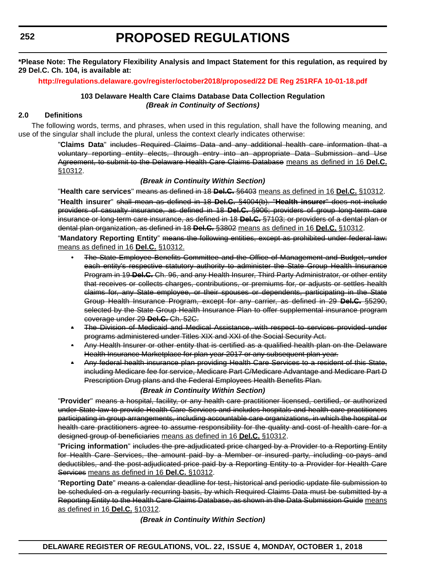**\*Please Note: The Regulatory Flexibility Analysis and Impact Statement for this regulation, as required by 29 Del.C. Ch. 104, is available at:**

**<http://regulations.delaware.gov/register/october2018/proposed/22 DE Reg 251RFA 10-01-18.pdf>**

#### **103 Delaware Health Care Claims Database Data Collection Regulation** *(Break in Continuity of Sections)*

#### **2.0 Definitions**

The following words, terms, and phrases, when used in this regulation, shall have the following meaning, and use of the singular shall include the plural, unless the context clearly indicates otherwise:

> "**Claims Data**" includes Required Claims Data and any additional health care information that a voluntary reporting entity elects, through entry into an appropriate Data Submission and Use Agreement, to submit to the Delaware Health Care Claims Database means as defined in 16 **Del.C.** §10312.

#### *(Break in Continuity Within Section)*

"**Health care services**" means as defined in 18 **Del.C.** §6403 means as defined in 16 **Del.C.** §10312. "**Health insurer**" shall mean as defined in 18 **Del.C.** §4004(b). "**Health insurer**" does not include providers of casualty insurance, as defined in 18 **Del.C.** §906; providers of group long-term care insurance or long-term care insurance, as defined in 18 **Del.C.** §7103; or providers of a dental plan or dental plan organization, as defined in 18 **Del.C.** §3802 means as defined in 16 **Del.C.** §10312.

"**Mandatory Reporting Entity**" means the following entities, except as prohibited under federal law: means as defined in 16 **Del.C.** §10312.

- The State Employee Benefits Committee and the Office of Management and Budget, under each entity's respective statutory authority to administer the State Group Health Insurance Program in 19 **Del.C.** Ch. 96, and any Health Insurer, Third Party Administrator, or other entity that receives or collects charges, contributions, or premiums for, or adjusts or settles health claims for, any State employee, or their spouses or dependents, participating in the State Group Health Insurance Program, except for any carrier, as defined in 29 **Del.C.** §5290, selected by the State Group Health Insurance Plan to offer supplemental insurance program coverage under 29 **Del.C.** Ch. 52C.
- The Division of Medicaid and Medical Assistance, with respect to services provided under programs administered under Titles XIX and XXI of the Social Security Act.
- Any Health Insurer or other entity that is certified as a qualified health plan on the Delaware Health Insurance Marketplace for plan year 2017 or any subsequent plan year.
- Any federal health insurance plan providing Health Care Services to a resident of this State, including Medicare fee for service, Medicare Part C/Medicare Advantage and Medicare Part D Prescription Drug plans and the Federal Employees Health Benefits Plan.

#### *(Break in Continuity Within Section)*

"**Provider**" means a hospital, facility, or any health care practitioner licensed, certified, or authorized under State law to provide Health Care Services and includes hospitals and health care practitioners participating in group arrangements, including accountable care organizations, in which the hospital or health care practitioners agree to assume responsibility for the quality and cost of health care for a designed group of beneficiaries means as defined in 16 **Del.C.** §10312.

"**Pricing information**" includes the pre-adjudicated price charged by a Provider to a Reporting Entity for Health Care Services, the amount paid by a Member or insured party, including co-pays and deductibles, and the post-adjudicated price paid by a Reporting Entity to a Provider for Health Care Services means as defined in 16 **Del.C.** §10312.

"**Reporting Date**" means a calendar deadline for test, historical and periodic update file submission to be scheduled on a regularly recurring basis, by which Required Claims Data must be submitted by a Reporting Entity to the Health Care Claims Database, as shown in the Data Submission Guide means as defined in 16 **Del.C.** §10312.

*(Break in Continuity Within Section)*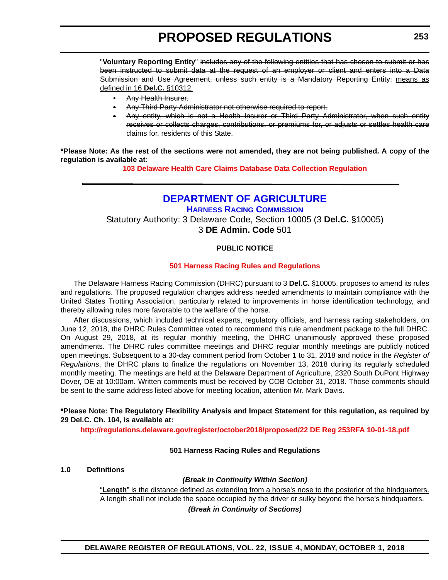<span id="page-10-0"></span>"**Voluntary Reporting Entity**" includes any of the following entities that has chosen to submit or has been instructed to submit data at the request of an employer or client and enters into a Data Submission and Use Agreement, unless such entity is a Mandatory Reporting Entity: means as defined in 16 **Del.C.** §10312.

- Any Health Insurer.
- Any Third Party Administrator not otherwise required to report.
- Any entity, which is not a Health Insurer or Third Party Administrator, when such entity receives or collects charges, contributions, or premiums for, or adjusts or settles health care claims for, residents of this State.

**\*Please Note: As the rest of the sections were not amended, they are not being published. A copy of the regulation is available at:**

**[103 Delaware Health Care Claims Database Data Collection Regulation](http://regulations.delaware.gov/register/october2018/proposed/22 DE Reg 251 10-01-18.htm)**

# **[DEPARTMENT OF AGRICULTURE](https://agriculture.delaware.gov/)**

**[HARNESS RACING COMMISSION](https://agriculture.delaware.gov/harness-racing-commission/)** Statutory Authority: 3 Delaware Code, Section 10005 (3 **Del.C.** §10005) 3 **DE Admin. Code** 501

#### **PUBLIC NOTICE**

#### **[501 Harness Racing Rules and Regulations](#page-3-0)**

The Delaware Harness Racing Commission (DHRC) pursuant to 3 **Del.C.** §10005, proposes to amend its rules and regulations. The proposed regulation changes address needed amendments to maintain compliance with the United States Trotting Association, particularly related to improvements in horse identification technology, and thereby allowing rules more favorable to the welfare of the horse.

After discussions, which included technical experts, regulatory officials, and harness racing stakeholders, on June 12, 2018, the DHRC Rules Committee voted to recommend this rule amendment package to the full DHRC. On August 29, 2018, at its regular monthly meeting, the DHRC unanimously approved these proposed amendments. The DHRC rules committee meetings and DHRC regular monthly meetings are publicly noticed open meetings. Subsequent to a 30-day comment period from October 1 to 31, 2018 and notice in the *Register of Regulations*, the DHRC plans to finalize the regulations on November 13, 2018 during its regularly scheduled monthly meeting. The meetings are held at the Delaware Department of Agriculture, 2320 South DuPont Highway Dover, DE at 10:00am. Written comments must be received by COB October 31, 2018. Those comments should be sent to the same address listed above for meeting location, attention Mr. Mark Davis.

#### **\*Please Note: The Regulatory Flexibility Analysis and Impact Statement for this regulation, as required by 29 Del.C. Ch. 104, is available at:**

**<http://regulations.delaware.gov/register/october2018/proposed/22 DE Reg 253RFA 10-01-18.pdf>**

#### **501 Harness Racing Rules and Regulations**

#### **1.0 Definitions**

#### *(Break in Continuity Within Section)*

"**Length**" is the distance defined as extending from a horse's nose to the posterior of the hindquarters. A length shall not include the space occupied by the driver or sulky beyond the horse's hindquarters. *(Break in Continuity of Sections)*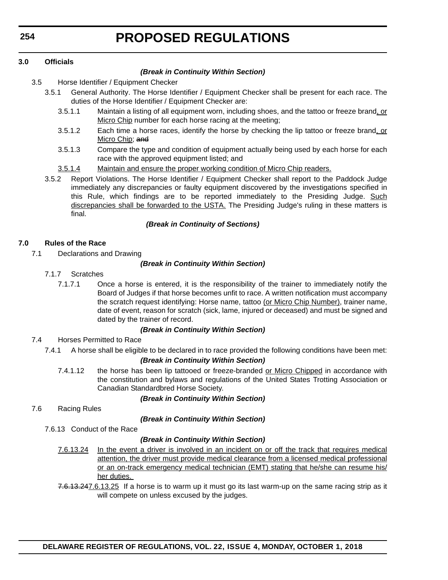#### **3.0 Officials**

#### *(Break in Continuity Within Section)*

- 3.5 Horse Identifier / Equipment Checker
	- 3.5.1 General Authority. The Horse Identifier / Equipment Checker shall be present for each race. The duties of the Horse Identifier / Equipment Checker are:
		- 3.5.1.1 Maintain a listing of all equipment worn, including shoes, and the tattoo or freeze brand, or Micro Chip number for each horse racing at the meeting;
		- 3.5.1.2 Each time a horse races, identify the horse by checking the lip tattoo or freeze brand, or Micro Chip: and
		- 3.5.1.3 Compare the type and condition of equipment actually being used by each horse for each race with the approved equipment listed; and
		- 3.5.1.4 Maintain and ensure the proper working condition of Micro Chip readers.
	- 3.5.2 Report Violations. The Horse Identifier / Equipment Checker shall report to the Paddock Judge immediately any discrepancies or faulty equipment discovered by the investigations specified in this Rule, which findings are to be reported immediately to the Presiding Judge. Such discrepancies shall be forwarded to the USTA. The Presiding Judge's ruling in these matters is final.

#### *(Break in Continuity of Sections)*

#### **7.0 Rules of the Race**

7.1 Declarations and Drawing

#### *(Break in Continuity Within Section)*

- 7.1.7 Scratches
	- 7.1.7.1 Once a horse is entered, it is the responsibility of the trainer to immediately notify the Board of Judges if that horse becomes unfit to race. A written notification must accompany the scratch request identifying: Horse name, tattoo (or Micro Chip Number), trainer name, date of event, reason for scratch (sick, lame, injured or deceased) and must be signed and dated by the trainer of record.

#### *(Break in Continuity Within Section)*

- 7.4 Horses Permitted to Race
	- 7.4.1 A horse shall be eligible to be declared in to race provided the following conditions have been met:

#### *(Break in Continuity Within Section)*

7.4.1.12 the horse has been lip tattooed or freeze-branded or Micro Chipped in accordance with the constitution and bylaws and regulations of the United States Trotting Association or Canadian Standardbred Horse Society.

#### *(Break in Continuity Within Section)*

7.6 Racing Rules

#### *(Break in Continuity Within Section)*

7.6.13 Conduct of the Race

#### *(Break in Continuity Within Section)*

- 7.6.13.24 In the event a driver is involved in an incident on or off the track that requires medical attention, the driver must provide medical clearance from a licensed medical professional or an on-track emergency medical technician (EMT) stating that he/she can resume his/ her duties.
- 7.6.13.247.6.13.25 If a horse is to warm up it must go its last warm-up on the same racing strip as it will compete on unless excused by the judges.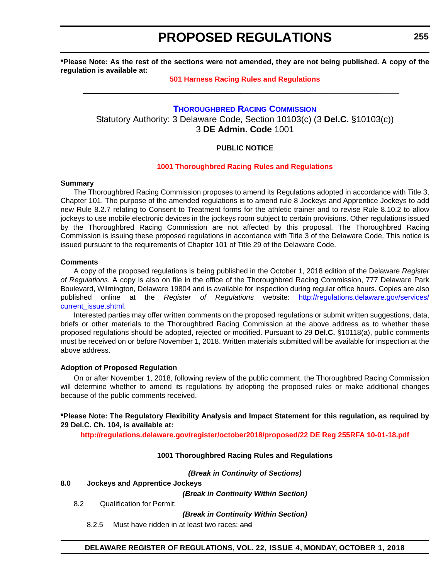<span id="page-12-0"></span>**\*Please Note: As the rest of the sections were not amended, they are not being published. A copy of the regulation is available at:**

#### **[501 Harness Racing Rules and Regulations](http://regulations.delaware.gov/register/october2018/proposed/22 DE Reg 253 10-01-18.htm)**

### **[THOROUGHBRED RACING COMMISSION](https://agriculture.delaware.gov/thoroughbred-racing-commission/)** Statutory Authority: 3 Delaware Code, Section 10103(c) (3 **Del.C.** §10103(c)) 3 **DE Admin. Code** 1001

#### **PUBLIC NOTICE**

#### **[1001 Thoroughbred Racing](#page-3-0) Rules and Regulations**

#### **Summary**

The Thoroughbred Racing Commission proposes to amend its Regulations adopted in accordance with Title 3, Chapter 101. The purpose of the amended regulations is to amend rule 8 Jockeys and Apprentice Jockeys to add new Rule 8.2.7 relating to Consent to Treatment forms for the athletic trainer and to revise Rule 8.10.2 to allow jockeys to use mobile electronic devices in the jockeys room subject to certain provisions. Other regulations issued by the Thoroughbred Racing Commission are not affected by this proposal. The Thoroughbred Racing Commission is issuing these proposed regulations in accordance with Title 3 of the Delaware Code. This notice is issued pursuant to the requirements of Chapter 101 of Title 29 of the Delaware Code.

#### **Comments**

A copy of the proposed regulations is being published in the October 1, 2018 edition of the Delaware *Register of Regulations*. A copy is also on file in the office of the Thoroughbred Racing Commission, 777 Delaware Park Boulevard, Wilmington, Delaware 19804 and is available for inspection during regular office hours. Copies are also published online at the *Register of Regulations* website: [http://regulations.delaware.gov/services/](http://regulations.delaware.gov/services/current_issue.shtml) [current\\_issue.shtml](http://regulations.delaware.gov/services/current_issue.shtml)

Interested parties may offer written comments on the proposed regulations or submit written suggestions, data, briefs or other materials to the Thoroughbred Racing Commission at the above address as to whether these proposed regulations should be adopted, rejected or modified. Pursuant to 29 **Del.C.** §10118(a), public comments must be received on or before November 1, 2018. Written materials submitted will be available for inspection at the above address.

#### **Adoption of Proposed Regulation**

On or after November 1, 2018, following review of the public comment, the Thoroughbred Racing Commission will determine whether to amend its regulations by adopting the proposed rules or make additional changes because of the public comments received.

**\*Please Note: The Regulatory Flexibility Analysis and Impact Statement for this regulation, as required by 29 Del.C. Ch. 104, is available at:**

**<http://regulations.delaware.gov/register/october2018/proposed/22 DE Reg 255RFA 10-01-18.pdf>**

#### **1001 Thoroughbred Racing Rules and Regulations**

*(Break in Continuity of Sections)*

#### **8.0 Jockeys and Apprentice Jockeys**

*(Break in Continuity Within Section)*

8.2 Qualification for Permit:

*(Break in Continuity Within Section)*

8.2.5 Must have ridden in at least two races; and

#### **DELAWARE REGISTER OF REGULATIONS, VOL. 22, ISSUE 4, MONDAY, OCTOBER 1, 2018**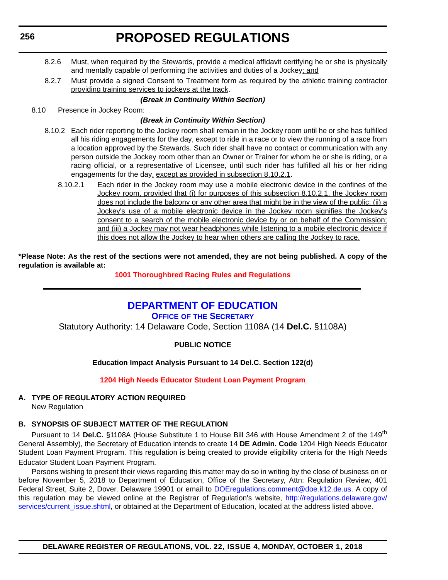- <span id="page-13-0"></span>8.2.6 Must, when required by the Stewards, provide a medical affidavit certifying he or she is physically and mentally capable of performing the activities and duties of a Jockey; and
- 8.2.7 Must provide a signed Consent to Treatment form as required by the athletic training contractor providing training services to jockeys at the track.

#### *(Break in Continuity Within Section)*

8.10 Presence in Jockey Room:

#### *(Break in Continuity Within Section)*

- 8.10.2 Each rider reporting to the Jockey room shall remain in the Jockey room until he or she has fulfilled all his riding engagements for the day, except to ride in a race or to view the running of a race from a location approved by the Stewards. Such rider shall have no contact or communication with any person outside the Jockey room other than an Owner or Trainer for whom he or she is riding, or a racing official, or a representative of Licensee, until such rider has fulfilled all his or her riding engagements for the day, except as provided in subsection 8.10.2.1.
	- 8.10.2.1 Each rider in the Jockey room may use a mobile electronic device in the confines of the Jockey room, provided that (i) for purposes of this subsection 8.10.2.1, the Jockey room does not include the balcony or any other area that might be in the view of the public; (ii) a Jockey's use of a mobile electronic device in the Jockey room signifies the Jockey's consent to a search of the mobile electronic device by or on behalf of the Commission; and (iii) a Jockey may not wear headphones while listening to a mobile electronic device if this does not allow the Jockey to hear when others are calling the Jockey to race.

**\*Please Note: As the rest of the sections were not amended, they are not being published. A copy of the regulation is available at:**

#### **[1001 Thoroughbred Racing](http://regulations.delaware.gov/register/october2018/proposed/22 DE Reg 255 10-01-18.htm) Rules and Regulations**

### **[DEPARTMENT OF EDUCATION](https://www.doe.k12.de.us/) OFFICE OF [THE SECRETARY](https://pubapps.doe.k12.de.us/EducationalDirectoryPublic/pages/Details/IndividualDetails.aspx?IndType=DOE&EmpID=10147)**

Statutory Authority: 14 Delaware Code, Section 1108A (14 **Del.C.** §1108A)

#### **PUBLIC NOTICE**

### **Education Impact Analysis Pursuant to 14 Del.C. Section 122(d)**

#### **[1204 High Needs Educator Student Loan Payment Program](#page-3-0)**

# **A. TYPE OF REGULATORY ACTION REQUIRED**

New Regulation

#### **B. SYNOPSIS OF SUBJECT MATTER OF THE REGULATION**

Pursuant to 14 **Del.C.** §1108A (House Substitute 1 to House Bill 346 with House Amendment 2 of the 149th General Assembly), the Secretary of Education intends to create 14 **DE Admin. Code** 1204 High Needs Educator Student Loan Payment Program. This regulation is being created to provide eligibility criteria for the High Needs Educator Student Loan Payment Program.

Persons wishing to present their views regarding this matter may do so in writing by the close of business on or before November 5, 2018 to Department of Education, Office of the Secretary, Attn: Regulation Review, 401 Federal Street, Suite 2, Dover, Delaware 19901 or email to [DOEregulations.comment@doe.k12.de.us](mailto:DOEregulations.comment@doe.k12.de.us). A copy of this regulation may be viewed online at the Registrar of Regulation's website, [http://regulations.delaware.gov/](http://regulations.delaware.gov/services/current_issue.shtml) [services/current\\_issue.shtml](http://regulations.delaware.gov/services/current_issue.shtml), or obtained at the Department of Education, located at the address listed above.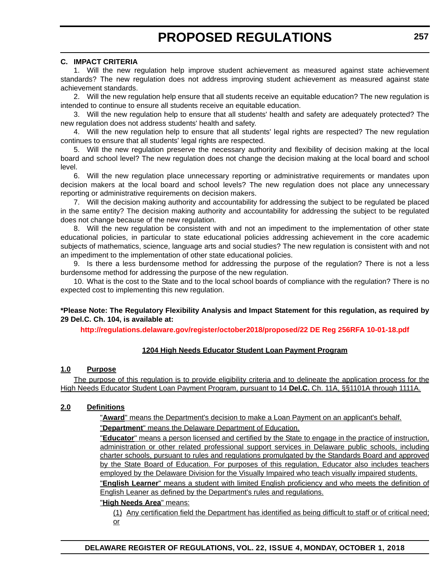#### **C. IMPACT CRITERIA**

1. Will the new regulation help improve student achievement as measured against state achievement standards? The new regulation does not address improving student achievement as measured against state achievement standards.

2. Will the new regulation help ensure that all students receive an equitable education? The new regulation is intended to continue to ensure all students receive an equitable education.

3. Will the new regulation help to ensure that all students' health and safety are adequately protected? The new regulation does not address students' health and safety.

4. Will the new regulation help to ensure that all students' legal rights are respected? The new regulation continues to ensure that all students' legal rights are respected.

5. Will the new regulation preserve the necessary authority and flexibility of decision making at the local board and school level? The new regulation does not change the decision making at the local board and school level.

6. Will the new regulation place unnecessary reporting or administrative requirements or mandates upon decision makers at the local board and school levels? The new regulation does not place any unnecessary reporting or administrative requirements on decision makers.

7. Will the decision making authority and accountability for addressing the subject to be regulated be placed in the same entity? The decision making authority and accountability for addressing the subject to be regulated does not change because of the new regulation.

8. Will the new regulation be consistent with and not an impediment to the implementation of other state educational policies, in particular to state educational policies addressing achievement in the core academic subjects of mathematics, science, language arts and social studies? The new regulation is consistent with and not an impediment to the implementation of other state educational policies.

9. Is there a less burdensome method for addressing the purpose of the regulation? There is not a less burdensome method for addressing the purpose of the new regulation.

10. What is the cost to the State and to the local school boards of compliance with the regulation? There is no expected cost to implementing this new regulation.

#### **\*Please Note: The Regulatory Flexibility Analysis and Impact Statement for this regulation, as required by 29 Del.C. Ch. 104, is available at:**

**<http://regulations.delaware.gov/register/october2018/proposed/22 DE Reg 256RFA 10-01-18.pdf>**

#### **1204 High Needs Educator Student Loan Payment Program**

#### **1.0 Purpose**

The purpose of this regulation is to provide eligibility criteria and to delineate the application process for the High Needs Educator Student Loan Payment Program, pursuant to 14 **Del.C.** Ch. 11A, §§1101A through 1111A.

#### **2.0 Definitions**

"**Award**" means the Department's decision to make a Loan Payment on an applicant's behalf.

"**Department**" means the Delaware Department of Education.

"**Educator**" means a person licensed and certified by the State to engage in the practice of instruction, administration or other related professional support services in Delaware public schools, including charter schools, pursuant to rules and regulations promulgated by the Standards Board and approved by the State Board of Education. For purposes of this regulation, Educator also includes teachers employed by the Delaware Division for the Visually Impaired who teach visually impaired students.

"**English Learner**" means a student with limited English proficiency and who meets the definition of English Leaner as defined by the Department's rules and regulations.

#### "**High Needs Area**" means:

(1) Any certification field the Department has identified as being difficult to staff or of critical need; or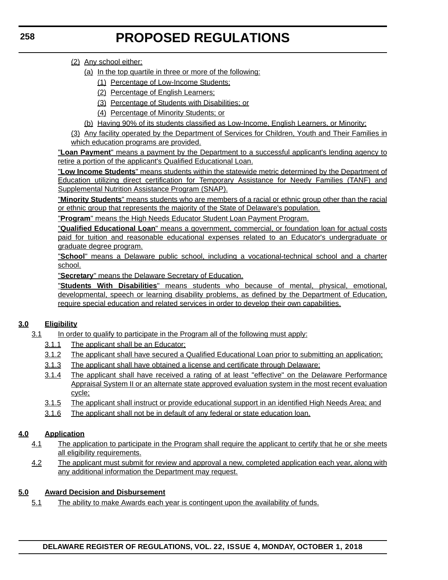#### (2) Any school either:

- (a) In the top quartile in three or more of the following:
	- (1) Percentage of Low-Income Students;
	- (2) Percentage of English Learners;
	- (3) Percentage of Students with Disabilities; or
	- (4) Percentage of Minority Students; or
- (b) Having 90% of its students classified as Low-Income, English Learners, or Minority;

(3) Any facility operated by the Department of Services for Children, Youth and Their Families in which education programs are provided.

"**Loan Payment**" means a payment by the Department to a successful applicant's lending agency to retire a portion of the applicant's Qualified Educational Loan.

"**Low Income Students**" means students within the statewide metric determined by the Department of Education utilizing direct certification for Temporary Assistance for Needy Families (TANF) and Supplemental Nutrition Assistance Program (SNAP).

"**Minority Students**" means students who are members of a racial or ethnic group other than the racial or ethnic group that represents the majority of the State of Delaware's population.

"**Program**" means the High Needs Educator Student Loan Payment Program.

"**Qualified Educational Loan**" means a government, commercial, or foundation loan for actual costs paid for tuition and reasonable educational expenses related to an Educator's undergraduate or graduate degree program.

"**School**" means a Delaware public school, including a vocational-technical school and a charter school.

"**Secretary**" means the Delaware Secretary of Education.

"**Students With Disabilities**" means students who because of mental, physical, emotional, developmental, speech or learning disability problems, as defined by the Department of Education, require special education and related services in order to develop their own capabilities.

### **3.0 Eligibility**

- 3.1 In order to qualify to participate in the Program all of the following must apply:
	- 3.1.1 The applicant shall be an Educator;
	- 3.1.2 The applicant shall have secured a Qualified Educational Loan prior to submitting an application;
	- 3.1.3 The applicant shall have obtained a license and certificate through Delaware;
	- 3.1.4 The applicant shall have received a rating of at least "effective" on the Delaware Performance Appraisal System II or an alternate state approved evaluation system in the most recent evaluation cycle;
	- 3.1.5 The applicant shall instruct or provide educational support in an identified High Needs Area; and
	- 3.1.6 The applicant shall not be in default of any federal or state education loan.

### **4.0 Application**

- 4.1 The application to participate in the Program shall require the applicant to certify that he or she meets all eligibility requirements.
- 4.2 The applicant must submit for review and approval a new, completed application each year, along with any additional information the Department may request.

#### **5.0 Award Decision and Disbursement**

5.1 The ability to make Awards each year is contingent upon the availability of funds.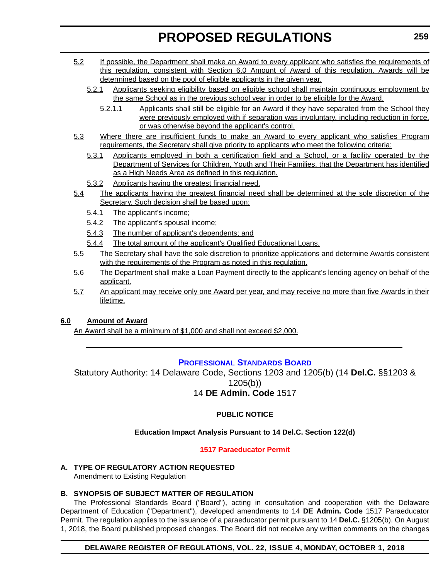- <span id="page-16-0"></span>5.2 If possible, the Department shall make an Award to every applicant who satisfies the requirements of this regulation, consistent with Section 6.0 Amount of Award of this regulation. Awards will be determined based on the pool of eligible applicants in the given year.
	- 5.2.1 Applicants seeking eligibility based on eligible school shall maintain continuous employment by the same School as in the previous school year in order to be eligible for the Award.
		- 5.2.1.1 Applicants shall still be eligible for an Award if they have separated from the School they were previously employed with if separation was involuntary, including reduction in force, or was otherwise beyond the applicant's control.
- 5.3 Where there are insufficient funds to make an Award to every applicant who satisfies Program requirements, the Secretary shall give priority to applicants who meet the following criteria:
	- 5.3.1 Applicants employed in both a certification field and a School, or a facility operated by the Department of Services for Children, Youth and Their Families, that the Department has identified as a High Needs Area as defined in this regulation.
	- 5.3.2 Applicants having the greatest financial need.
- 5.4 The applicants having the greatest financial need shall be determined at the sole discretion of the Secretary. Such decision shall be based upon:
	- 5.4.1 The applicant's income;
	- 5.4.2 The applicant's spousal income;
	- 5.4.3 The number of applicant's dependents; and
	- 5.4.4 The total amount of the applicant's Qualified Educational Loans.
- 5.5 The Secretary shall have the sole discretion to prioritize applications and determine Awards consistent with the requirements of the Program as noted in this regulation.
- 5.6 The Department shall make a Loan Payment directly to the applicant's lending agency on behalf of the applicant.
- 5.7 An applicant may receive only one Award per year, and may receive no more than five Awards in their lifetime.

### **6.0 Amount of Award**

An Award shall be a minimum of \$1,000 and shall not exceed \$2,000.

### **[PROFESSIONAL STANDARDS BOARD](https://pubapps.doe.k12.de.us/EducationalDirectoryPublic/pages/DDOE/WorkGroupStaff.aspx?page=branches&WGID=75&BID=1)**

Statutory Authority: 14 Delaware Code, Sections 1203 and 1205(b) (14 **Del.C.** §§1203 & 1205(b)) 14 **DE Admin. Code** 1517

### **PUBLIC NOTICE**

### **Education Impact Analysis Pursuant to 14 Del.C. Section 122(d)**

#### **[1517 Paraeducator Permit](#page-3-0)**

**A. TYPE OF REGULATORY ACTION REQUESTED** Amendment to Existing Regulation

### **B. SYNOPSIS OF SUBJECT MATTER OF REGULATION**

The Professional Standards Board ("Board"), acting in consultation and cooperation with the Delaware Department of Education ("Department"), developed amendments to 14 **DE Admin. Code** 1517 Paraeducator Permit. The regulation applies to the issuance of a paraeducator permit pursuant to 14 **Del.C.** §1205(b). On August 1, 2018, the Board published proposed changes. The Board did not receive any written comments on the changes

#### **DELAWARE REGISTER OF REGULATIONS, VOL. 22, ISSUE 4, MONDAY, OCTOBER 1, 2018**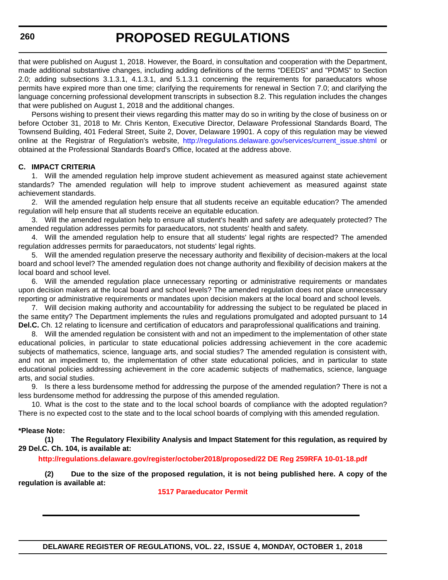that were published on August 1, 2018. However, the Board, in consultation and cooperation with the Department, made additional substantive changes, including adding definitions of the terms "DEEDS" and "PDMS" to Section 2.0; adding subsections 3.1.3.1, 4.1.3.1, and 5.1.3.1 concerning the requirements for paraeducators whose permits have expired more than one time; clarifying the requirements for renewal in Section 7.0; and clarifying the language concerning professional development transcripts in subsection 8.2. This regulation includes the changes that were published on August 1, 2018 and the additional changes.

Persons wishing to present their views regarding this matter may do so in writing by the close of business on or before October 31, 2018 to Mr. Chris Kenton, Executive Director, Delaware Professional Standards Board, The Townsend Building, 401 Federal Street, Suite 2, Dover, Delaware 19901. A copy of this regulation may be viewed online at the Registrar of Regulation's website, [http://regulations.delaware.gov/services/current\\_issue.shtml](http://regulations.delaware.gov/services/current_issue.shtml) or obtained at the Professional Standards Board's Office, located at the address above.

#### **C. IMPACT CRITERIA**

1. Will the amended regulation help improve student achievement as measured against state achievement standards? The amended regulation will help to improve student achievement as measured against state achievement standards.

2. Will the amended regulation help ensure that all students receive an equitable education? The amended regulation will help ensure that all students receive an equitable education.

3. Will the amended regulation help to ensure all student's health and safety are adequately protected? The amended regulation addresses permits for paraeducators, not students' health and safety.

4. Will the amended regulation help to ensure that all students' legal rights are respected? The amended regulation addresses permits for paraeducators, not students' legal rights.

5. Will the amended regulation preserve the necessary authority and flexibility of decision-makers at the local board and school level? The amended regulation does not change authority and flexibility of decision makers at the local board and school level.

6. Will the amended regulation place unnecessary reporting or administrative requirements or mandates upon decision makers at the local board and school levels? The amended regulation does not place unnecessary reporting or administrative requirements or mandates upon decision makers at the local board and school levels.

7. Will decision making authority and accountability for addressing the subject to be regulated be placed in the same entity? The Department implements the rules and regulations promulgated and adopted pursuant to 14 **Del.C.** Ch. 12 relating to licensure and certification of educators and paraprofessional qualifications and training.

8. Will the amended regulation be consistent with and not an impediment to the implementation of other state educational policies, in particular to state educational policies addressing achievement in the core academic subjects of mathematics, science, language arts, and social studies? The amended regulation is consistent with, and not an impediment to, the implementation of other state educational policies, and in particular to state educational policies addressing achievement in the core academic subjects of mathematics, science, language arts, and social studies.

9. Is there a less burdensome method for addressing the purpose of the amended regulation? There is not a less burdensome method for addressing the purpose of this amended regulation.

10. What is the cost to the state and to the local school boards of compliance with the adopted regulation? There is no expected cost to the state and to the local school boards of complying with this amended regulation.

#### **\*Please Note:**

**(1) The Regulatory Flexibility Analysis and Impact Statement for this regulation, as required by 29 Del.C. Ch. 104, is available at:**

#### **<http://regulations.delaware.gov/register/october2018/proposed/22 DE Reg 259RFA 10-01-18.pdf>**

**(2) Due to the size of the proposed regulation, it is not being published here. A copy of the regulation is available at:**

#### **[1517 Paraeducator Permit](http://regulations.delaware.gov/register/october2018/proposed/22 DE Reg 259 10-01-18.htm)**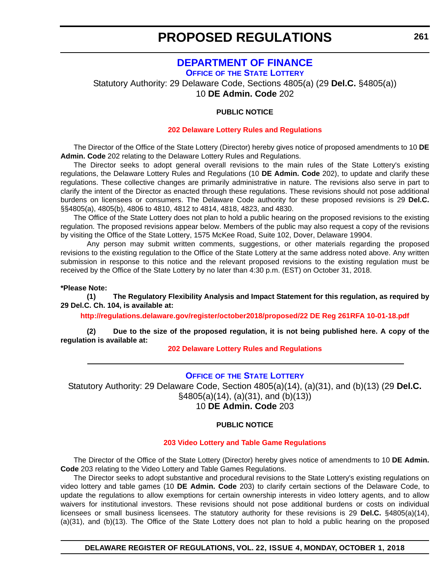# **[DEPARTMENT OF FINANCE](https://finance.delaware.gov/)**

**OFFICE OF [THE STATE LOTTERY](https://www.delottery.com/)**

<span id="page-18-0"></span>Statutory Authority: 29 Delaware Code, Sections 4805(a) (29 **Del.C.** §4805(a)) 10 **DE Admin. Code** 202

#### **PUBLIC NOTICE**

#### **[202 Delaware Lottery Rules and Regulations](#page-3-0)**

The Director of the Office of the State Lottery (Director) hereby gives notice of proposed amendments to 10 **DE Admin. Code** 202 relating to the Delaware Lottery Rules and Regulations.

The Director seeks to adopt general overall revisions to the main rules of the State Lottery's existing regulations, the Delaware Lottery Rules and Regulations (10 **DE Admin. Code** 202), to update and clarify these regulations. These collective changes are primarily administrative in nature. The revisions also serve in part to clarify the intent of the Director as enacted through these regulations. These revisions should not pose additional burdens on licensees or consumers. The Delaware Code authority for these proposed revisions is 29 **Del.C.** §§4805(a), 4805(b), 4806 to 4810, 4812 to 4814, 4818, 4823, and 4830.

The Office of the State Lottery does not plan to hold a public hearing on the proposed revisions to the existing regulation. The proposed revisions appear below. Members of the public may also request a copy of the revisions by visiting the Office of the State Lottery, 1575 McKee Road, Suite 102, Dover, Delaware 19904.

Any person may submit written comments, suggestions, or other materials regarding the proposed revisions to the existing regulation to the Office of the State Lottery at the same address noted above. Any written submission in response to this notice and the relevant proposed revisions to the existing regulation must be received by the Office of the State Lottery by no later than 4:30 p.m. (EST) on October 31, 2018.

**\*Please Note:** 

**(1) The Regulatory Flexibility Analysis and Impact Statement for this regulation, as required by 29 Del.C. Ch. 104, is available at:**

**<http://regulations.delaware.gov/register/october2018/proposed/22 DE Reg 261RFA 10-01-18.pdf>**

**(2) Due to the size of the proposed regulation, it is not being published here. A copy of the regulation is available at:**

**[202 Delaware Lottery Rules and Regulations](http://regulations.delaware.gov/register/october2018/proposed/22 DE Reg 261 10-01-18.htm)**

#### **OFFICE OF [THE STATE LOTTERY](https://www.delottery.com/)**

Statutory Authority: 29 Delaware Code, Section 4805(a)(14), (a)(31), and (b)(13) (29 **Del.C.** §4805(a)(14), (a)(31), and (b)(13))

10 **DE Admin. Code** 203

#### **PUBLIC NOTICE**

#### **[203 Video Lottery and Table Game Regulations](#page-3-0)**

The Director of the Office of the State Lottery (Director) hereby gives notice of amendments to 10 **DE Admin. Code** 203 relating to the Video Lottery and Table Games Regulations.

The Director seeks to adopt substantive and procedural revisions to the State Lottery's existing regulations on video lottery and table games (10 **DE Admin. Code** 203) to clarify certain sections of the Delaware Code, to update the regulations to allow exemptions for certain ownership interests in video lottery agents, and to allow waivers for institutional investors. These revisions should not pose additional burdens or costs on individual licensees or small business licensees. The statutory authority for these revisions is 29 **Del.C.** §4805(a)(14), (a)(31), and (b)(13). The Office of the State Lottery does not plan to hold a public hearing on the proposed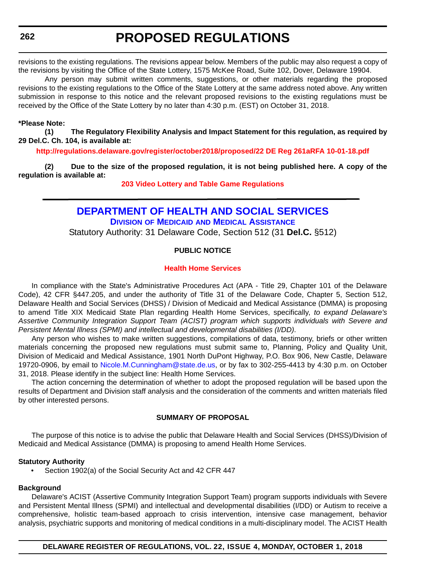<span id="page-19-0"></span>revisions to the existing regulations. The revisions appear below. Members of the public may also request a copy of the revisions by visiting the Office of the State Lottery, 1575 McKee Road, Suite 102, Dover, Delaware 19904.

Any person may submit written comments, suggestions, or other materials regarding the proposed revisions to the existing regulations to the Office of the State Lottery at the same address noted above. Any written submission in response to this notice and the relevant proposed revisions to the existing regulations must be received by the Office of the State Lottery by no later than 4:30 p.m. (EST) on October 31, 2018.

#### **\*Please Note:**

**(1) The Regulatory Flexibility Analysis and Impact Statement for this regulation, as required by 29 Del.C. Ch. 104, is available at:**

**<http://regulations.delaware.gov/register/october2018/proposed/22 DE Reg 261aRFA 10-01-18.pdf>**

**(2) Due to the size of the proposed regulation, it is not being published here. A copy of the regulation is available at:**

**[203 Video Lottery and Table Game Regulations](http://regulations.delaware.gov/register/october2018/proposed/22 DE Reg 261a 10-01-18.htm)**

### **[DEPARTMENT OF HEALTH AND SOCIAL SERVICES](https://www.dhss.delaware.gov/dhss/index.html) DIVISION OF MEDICAID [AND MEDICAL ASSISTANCE](https://www.dhss.delaware.gov/dhss/dmma/)**

Statutory Authority: 31 Delaware Code, Section 512 (31 **Del.C.** §512)

#### **PUBLIC NOTICE**

#### **[Health Home Services](#page-3-0)**

In compliance with the State's Administrative Procedures Act (APA - Title 29, Chapter 101 of the Delaware Code), 42 CFR §447.205, and under the authority of Title 31 of the Delaware Code, Chapter 5, Section 512, Delaware Health and Social Services (DHSS) / Division of Medicaid and Medical Assistance (DMMA) is proposing to amend Title XIX Medicaid State Plan regarding Health Home Services, specifically, *to expand Delaware's Assertive Community Integration Support Team (ACIST) program which supports individuals with Severe and Persistent Mental Illness (SPMI) and intellectual and developmental disabilities (I/DD)*.

Any person who wishes to make written suggestions, compilations of data, testimony, briefs or other written materials concerning the proposed new regulations must submit same to, Planning, Policy and Quality Unit, Division of Medicaid and Medical Assistance, 1901 North DuPont Highway, P.O. Box 906, New Castle, Delaware 19720-0906, by email to [Nicole.M.Cunningham@state.de.us](mailto:Nicole.M.Cunningham@state.de.us), or by fax to 302-255-4413 by 4:30 p.m. on October 31, 2018. Please identify in the subject line: Health Home Services.

The action concerning the determination of whether to adopt the proposed regulation will be based upon the results of Department and Division staff analysis and the consideration of the comments and written materials filed by other interested persons.

#### **SUMMARY OF PROPOSAL**

The purpose of this notice is to advise the public that Delaware Health and Social Services (DHSS)/Division of Medicaid and Medical Assistance (DMMA) is proposing to amend Health Home Services.

#### **Statutory Authority**

Section 1902(a) of the Social Security Act and 42 CFR 447

#### **Background**

Delaware's ACIST (Assertive Community Integration Support Team) program supports individuals with Severe and Persistent Mental Illness (SPMI) and intellectual and developmental disabilities (I/DD) or Autism to receive a comprehensive, holistic team-based approach to crisis intervention, intensive case management, behavior analysis, psychiatric supports and monitoring of medical conditions in a multi-disciplinary model. The ACIST Health

**DELAWARE REGISTER OF REGULATIONS, VOL. 22, ISSUE 4, MONDAY, OCTOBER 1, 2018**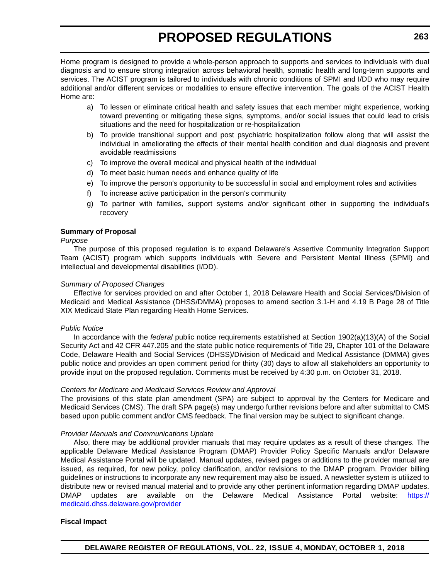Home program is designed to provide a whole-person approach to supports and services to individuals with dual diagnosis and to ensure strong integration across behavioral health, somatic health and long-term supports and services. The ACIST program is tailored to individuals with chronic conditions of SPMI and I/DD who may require additional and/or different services or modalities to ensure effective intervention. The goals of the ACIST Health Home are:

- a) To lessen or eliminate critical health and safety issues that each member might experience, working toward preventing or mitigating these signs, symptoms, and/or social issues that could lead to crisis situations and the need for hospitalization or re-hospitalization
- b) To provide transitional support and post psychiatric hospitalization follow along that will assist the individual in ameliorating the effects of their mental health condition and dual diagnosis and prevent avoidable readmissions
- c) To improve the overall medical and physical health of the individual
- d) To meet basic human needs and enhance quality of life
- e) To improve the person's opportunity to be successful in social and employment roles and activities
- f) To increase active participation in the person's community
- g) To partner with families, support systems and/or significant other in supporting the individual's recovery

#### **Summary of Proposal**

*Purpose*

The purpose of this proposed regulation is to expand Delaware's Assertive Community Integration Support Team (ACIST) program which supports individuals with Severe and Persistent Mental Illness (SPMI) and intellectual and developmental disabilities (I/DD).

#### *Summary of Proposed Changes*

Effective for services provided on and after October 1, 2018 Delaware Health and Social Services/Division of Medicaid and Medical Assistance (DHSS/DMMA) proposes to amend section 3.1-H and 4.19 B Page 28 of Title XIX Medicaid State Plan regarding Health Home Services.

#### *Public Notice*

In accordance with the *federal* public notice requirements established at Section 1902(a)(13)(A) of the Social Security Act and 42 CFR 447.205 and the state public notice requirements of Title 29, Chapter 101 of the Delaware Code, Delaware Health and Social Services (DHSS)/Division of Medicaid and Medical Assistance (DMMA) gives public notice and provides an open comment period for thirty (30) days to allow all stakeholders an opportunity to provide input on the proposed regulation. Comments must be received by 4:30 p.m. on October 31, 2018.

#### *Centers for Medicare and Medicaid Services Review and Approval*

The provisions of this state plan amendment (SPA) are subject to approval by the Centers for Medicare and Medicaid Services (CMS). The draft SPA page(s) may undergo further revisions before and after submittal to CMS based upon public comment and/or CMS feedback. The final version may be subject to significant change.

#### *Provider Manuals and Communications Update*

Also, there may be additional provider manuals that may require updates as a result of these changes. The applicable Delaware Medical Assistance Program (DMAP) Provider Policy Specific Manuals and/or Delaware Medical Assistance Portal will be updated. Manual updates, revised pages or additions to the provider manual are issued, as required, for new policy, policy clarification, and/or revisions to the DMAP program. Provider billing guidelines or instructions to incorporate any new requirement may also be issued. A newsletter system is utilized to distribute new or revised manual material and to provide any other pertinent information regarding DMAP updates. DMAP updates are available on the Delaware Medical Assistance Portal website: [https://](https://medicaid.dhss.delaware.gov/provider) [medicaid.dhss.delaware.gov/provider](https://medicaid.dhss.delaware.gov/provider)

#### **Fiscal Impact**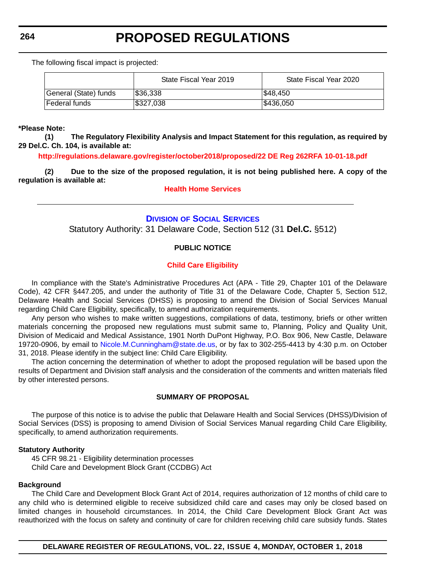<span id="page-21-0"></span>The following fiscal impact is projected:

|                       | State Fiscal Year 2019 | State Fiscal Year 2020 |
|-----------------------|------------------------|------------------------|
| General (State) funds | \$36,338               | I\$48.450              |
| Federal funds         | \$327,038              | 1\$436.050             |

#### **\*Please Note:**

**(1) The Regulatory Flexibility Analysis and Impact Statement for this regulation, as required by 29 Del.C. Ch. 104, is available at:**

**<http://regulations.delaware.gov/register/october2018/proposed/22 DE Reg 262RFA 10-01-18.pdf>**

**(2) Due to the size of the proposed regulation, it is not being published here. A copy of the regulation is available at:**

#### **[Health Home Services](http://regulations.delaware.gov/register/october2018/proposed/22 DE Reg 262 10-01-18.htm)**

#### **DIVISION [OF SOCIAL SERVICES](https://www.dhss.delaware.gov/dhss/dss/)**

Statutory Authority: 31 Delaware Code, Section 512 (31 **Del.C.** §512)

#### **PUBLIC NOTICE**

#### **[Child Care Eligibility](#page-3-0)**

In compliance with the State's Administrative Procedures Act (APA - Title 29, Chapter 101 of the Delaware Code), 42 CFR §447.205, and under the authority of Title 31 of the Delaware Code, Chapter 5, Section 512, Delaware Health and Social Services (DHSS) is proposing to amend the Division of Social Services Manual regarding Child Care Eligibility, specifically, to amend authorization requirements.

Any person who wishes to make written suggestions, compilations of data, testimony, briefs or other written materials concerning the proposed new regulations must submit same to, Planning, Policy and Quality Unit, Division of Medicaid and Medical Assistance, 1901 North DuPont Highway, P.O. Box 906, New Castle, Delaware 19720-0906, by email to [Nicole.M.Cunningham@state.de.us](mailto:Nicole.M.Cunningham@state.de.us), or by fax to 302-255-4413 by 4:30 p.m. on October 31, 2018. Please identify in the subject line: Child Care Eligibility.

The action concerning the determination of whether to adopt the proposed regulation will be based upon the results of Department and Division staff analysis and the consideration of the comments and written materials filed by other interested persons.

#### **SUMMARY OF PROPOSAL**

The purpose of this notice is to advise the public that Delaware Health and Social Services (DHSS)/Division of Social Services (DSS) is proposing to amend Division of Social Services Manual regarding Child Care Eligibility, specifically, to amend authorization requirements.

#### **Statutory Authority**

45 CFR 98.21 - Eligibility determination processes Child Care and Development Block Grant (CCDBG) Act

#### **Background**

The Child Care and Development Block Grant Act of 2014, requires authorization of 12 months of child care to any child who is determined eligible to receive subsidized child care and cases may only be closed based on limited changes in household circumstances. In 2014, the Child Care Development Block Grant Act was reauthorized with the focus on safety and continuity of care for children receiving child care subsidy funds. States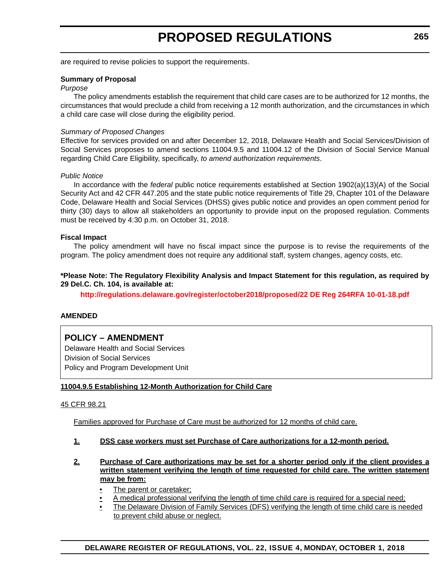are required to revise policies to support the requirements.

#### **Summary of Proposal**

#### *Purpose*

The policy amendments establish the requirement that child care cases are to be authorized for 12 months, the circumstances that would preclude a child from receiving a 12 month authorization, and the circumstances in which a child care case will close during the eligibility period.

#### *Summary of Proposed Changes*

Effective for services provided on and after December 12, 2018, Delaware Health and Social Services/Division of Social Services proposes to amend sections 11004.9.5 and 11004.12 of the Division of Social Service Manual regarding Child Care Eligibility, specifically, *to amend authorization requirements*.

#### *Public Notice*

In accordance with the *federal* public notice requirements established at Section 1902(a)(13)(A) of the Social Security Act and 42 CFR 447.205 and the state public notice requirements of Title 29, Chapter 101 of the Delaware Code, Delaware Health and Social Services (DHSS) gives public notice and provides an open comment period for thirty (30) days to allow all stakeholders an opportunity to provide input on the proposed regulation. Comments must be received by 4:30 p.m. on October 31, 2018.

#### **Fiscal Impact**

The policy amendment will have no fiscal impact since the purpose is to revise the requirements of the program. The policy amendment does not require any additional staff, system changes, agency costs, etc.

#### **\*Please Note: The Regulatory Flexibility Analysis and Impact Statement for this regulation, as required by 29 Del.C. Ch. 104, is available at:**

**<http://regulations.delaware.gov/register/october2018/proposed/22 DE Reg 264RFA 10-01-18.pdf>**

#### **AMENDED**

### **POLICY – AMENDMENT**

Delaware Health and Social Services Division of Social Services Policy and Program Development Unit

#### **11004.9.5 Establishing 12-Month Authorization for Child Care**

#### 45 CFR 98.21

Families approved for Purchase of Care must be authorized for 12 months of child care.

#### **1. DSS case workers must set Purchase of Care authorizations for a 12-month period.**

- **2. Purchase of Care authorizations may be set for a shorter period only if the client provides a written statement verifying the length of time requested for child care. The written statement may be from:**
	- The parent or caretaker;
	- A medical professional verifying the length of time child care is required for a special need;
	- The Delaware Division of Family Services (DFS) verifying the length of time child care is needed to prevent child abuse or neglect.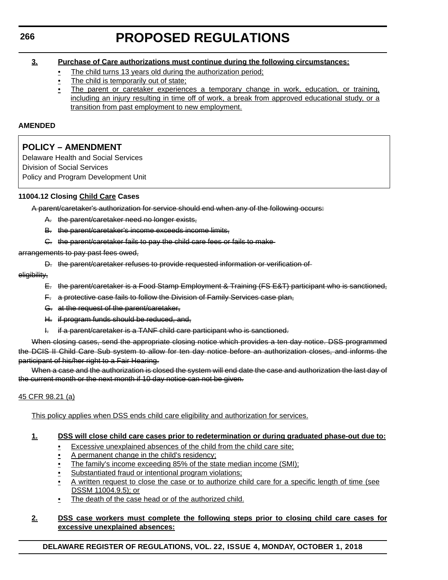#### **3. Purchase of Care authorizations must continue during the following circumstances:**

- The child turns 13 years old during the authorization period:
- The child is temporarily out of state;
- The parent or caretaker experiences a temporary change in work, education, or training, including an injury resulting in time off of work, a break from approved educational study, or a transition from past employment to new employment.

#### **AMENDED**

### **POLICY – AMENDMENT**

Delaware Health and Social Services Division of Social Services Policy and Program Development Unit

#### **11004.12 Closing Child Care Cases**

A parent/caretaker's authorization for service should end when any of the following occurs:

- A. the parent/caretaker need no longer exists,
- B. the parent/caretaker's income exceeds income limits,
- C. the parent/caretaker fails to pay the child care fees or fails to make

arrangements to pay past fees owed,

D. the parent/caretaker refuses to provide requested information or verification of

eligibility,

- E. the parent/caretaker is a Food Stamp Employment & Training (FS E&T) participant who is sanctioned,
- F. a protective case fails to follow the Division of Family Services case plan,
- G. at the request of the parent/caretaker,
- H. if program funds should be reduced, and,
- I. if a parent/caretaker is a TANF child care participant who is sanctioned.

When closing cases, send the appropriate closing notice which provides a ten day notice. DSS programmed the DCIS II Child Care Sub system to allow for ten day notice before an authorization closes, and informs the participant of his/her right to a Fair Hearing.

When a case and the authorization is closed the system will end date the case and authorization the last day of the current month or the next month if 10 day notice can not be given.

#### 45 CFR 98.21 (a)

This policy applies when DSS ends child care eligibility and authorization for services.

#### **1. DSS will close child care cases prior to redetermination or during graduated phase-out due to:**

- Excessive unexplained absences of the child from the child care site;
- A permanent change in the child's residency:
- The family's income exceeding 85% of the state median income (SMI);
- Substantiated fraud or intentional program violations;
- A written request to close the case or to authorize child care for a specific length of time (see DSSM 11004.9.5); or
- The death of the case head or of the authorized child.

#### **2. DSS case workers must complete the following steps prior to closing child care cases for excessive unexplained absences:**

**DELAWARE REGISTER OF REGULATIONS, VOL. 22, ISSUE 4, MONDAY, OCTOBER 1, 2018**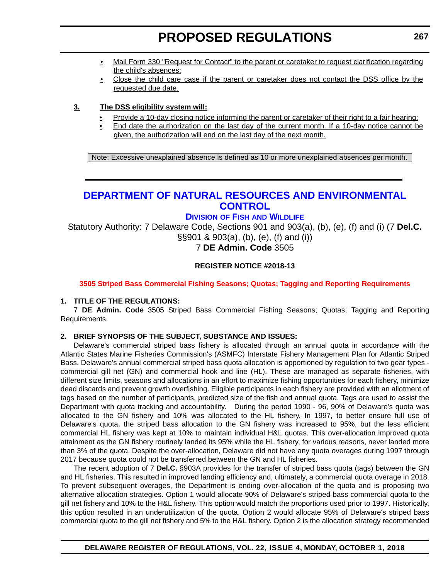- <span id="page-24-0"></span>• Mail Form 330 "Request for Contact" to the parent or caretaker to request clarification regarding the child's absences;
- Close the child care case if the parent or caretaker does not contact the DSS office by the requested due date.

#### **3. The DSS eligibility system will:**

- Provide a 10-day closing notice informing the parent or caretaker of their right to a fair hearing;
- End date the authorization on the last day of the current month. If a 10-day notice cannot be given, the authorization will end on the last day of the next month.

Note: Excessive unexplained absence is defined as 10 or more unexplained absences per month.

# **[DEPARTMENT OF NATURAL RESOURCES AND ENVIRONMENTAL](https://dnrec.alpha.delaware.gov/)  CONTROL**

### **DIVISION OF FISH [AND WILDLIFE](https://dnrec.alpha.delaware.gov/fish-wildlife/)**

Statutory Authority: 7 Delaware Code, Sections 901 and 903(a), (b), (e), (f) and (i) (7 **Del.C.**  §§901 & 903(a), (b), (e), (f) and (i))

7 **DE Admin. Code** 3505

#### **REGISTER NOTICE #2018-13**

#### **[3505 Striped Bass Commercial Fishing Seasons; Quotas; Tagging and Reporting Requirements](#page-3-0)**

#### **1. TITLE OF THE REGULATIONS:**

7 **DE Admin. Code** 3505 Striped Bass Commercial Fishing Seasons; Quotas; Tagging and Reporting Requirements.

#### **2. BRIEF SYNOPSIS OF THE SUBJECT, SUBSTANCE AND ISSUES:**

Delaware's commercial striped bass fishery is allocated through an annual quota in accordance with the Atlantic States Marine Fisheries Commission's (ASMFC) Interstate Fishery Management Plan for Atlantic Striped Bass. Delaware's annual commercial striped bass quota allocation is apportioned by regulation to two gear types commercial gill net (GN) and commercial hook and line (HL). These are managed as separate fisheries, with different size limits, seasons and allocations in an effort to maximize fishing opportunities for each fishery, minimize dead discards and prevent growth overfishing. Eligible participants in each fishery are provided with an allotment of tags based on the number of participants, predicted size of the fish and annual quota. Tags are used to assist the Department with quota tracking and accountability. During the period 1990 - 96, 90% of Delaware's quota was allocated to the GN fishery and 10% was allocated to the HL fishery. In 1997, to better ensure full use of Delaware's quota, the striped bass allocation to the GN fishery was increased to 95%, but the less efficient commercial HL fishery was kept at 10% to maintain individual H&L quotas. This over-allocation improved quota attainment as the GN fishery routinely landed its 95% while the HL fishery, for various reasons, never landed more than 3% of the quota. Despite the over-allocation, Delaware did not have any quota overages during 1997 through 2017 because quota could not be transferred between the GN and HL fisheries.

The recent adoption of 7 **Del.C.** §903A provides for the transfer of striped bass quota (tags) between the GN and HL fisheries. This resulted in improved landing efficiency and, ultimately, a commercial quota overage in 2018. To prevent subsequent overages, the Department is ending over-allocation of the quota and is proposing two alternative allocation strategies. Option 1 would allocate 90% of Delaware's striped bass commercial quota to the gill net fishery and 10% to the H&L fishery. This option would match the proportions used prior to 1997. Historically, this option resulted in an underutilization of the quota. Option 2 would allocate 95% of Delaware's striped bass commercial quota to the gill net fishery and 5% to the H&L fishery. Option 2 is the allocation strategy recommended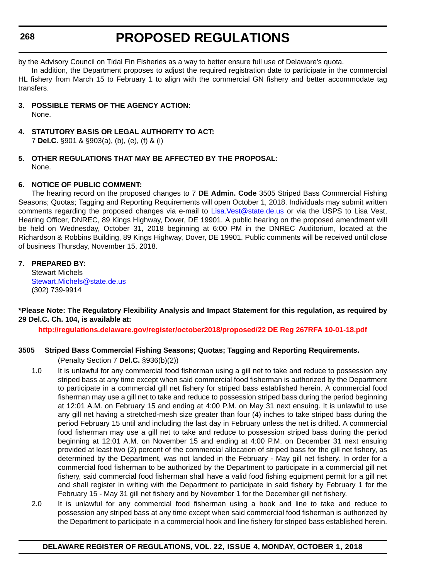by the Advisory Council on Tidal Fin Fisheries as a way to better ensure full use of Delaware's quota.

In addition, the Department proposes to adjust the required registration date to participate in the commercial HL fishery from March 15 to February 1 to align with the commercial GN fishery and better accommodate tag transfers.

**3. POSSIBLE TERMS OF THE AGENCY ACTION:**

None.

- **4. STATUTORY BASIS OR LEGAL AUTHORITY TO ACT:** 7 **Del.C.** §901 & §903(a), (b), (e), (f) & (i)
- **5. OTHER REGULATIONS THAT MAY BE AFFECTED BY THE PROPOSAL:** None.

#### **6. NOTICE OF PUBLIC COMMENT:**

The hearing record on the proposed changes to 7 **DE Admin. Code** 3505 Striped Bass Commercial Fishing Seasons; Quotas; Tagging and Reporting Requirements will open October 1, 2018. Individuals may submit written comments regarding the proposed changes via e-mail to [Lisa.Vest@state.de.us](mailto:Lisa.Vest@state.de.us) or via the USPS to Lisa Vest, Hearing Officer, DNREC, 89 Kings Highway, Dover, DE 19901. A public hearing on the proposed amendment will be held on Wednesday, October 31, 2018 beginning at 6:00 PM in the DNREC Auditorium, located at the Richardson & Robbins Building, 89 Kings Highway, Dover, DE 19901. Public comments will be received until close of business Thursday, November 15, 2018.

#### **7. PREPARED BY:**

Stewart Michels [Stewart.Michels@state.de.us](mailto:Stewart.Michels@state.de.us) (302) 739-9914

#### **\*Please Note: The Regulatory Flexibility Analysis and Impact Statement for this regulation, as required by 29 Del.C. Ch. 104, is available at:**

**<http://regulations.delaware.gov/register/october2018/proposed/22 DE Reg 267RFA 10-01-18.pdf>**

#### **3505 Striped Bass Commercial Fishing Seasons; Quotas; Tagging and Reporting Requirements.**

(Penalty Section 7 **Del.C.** §936(b)(2))

- 1.0 It is unlawful for any commercial food fisherman using a gill net to take and reduce to possession any striped bass at any time except when said commercial food fisherman is authorized by the Department to participate in a commercial gill net fishery for striped bass established herein. A commercial food fisherman may use a gill net to take and reduce to possession striped bass during the period beginning at 12:01 A.M. on February 15 and ending at 4:00 P.M. on May 31 next ensuing. It is unlawful to use any gill net having a stretched-mesh size greater than four (4) inches to take striped bass during the period February 15 until and including the last day in February unless the net is drifted. A commercial food fisherman may use a gill net to take and reduce to possession striped bass during the period beginning at 12:01 A.M. on November 15 and ending at 4:00 P.M. on December 31 next ensuing provided at least two (2) percent of the commercial allocation of striped bass for the gill net fishery, as determined by the Department, was not landed in the February - May gill net fishery. In order for a commercial food fisherman to be authorized by the Department to participate in a commercial gill net fishery, said commercial food fisherman shall have a valid food fishing equipment permit for a gill net and shall register in writing with the Department to participate in said fishery by February 1 for the February 15 - May 31 gill net fishery and by November 1 for the December gill net fishery.
- 2.0 It is unlawful for any commercial food fisherman using a hook and line to take and reduce to possession any striped bass at any time except when said commercial food fisherman is authorized by the Department to participate in a commercial hook and line fishery for striped bass established herein.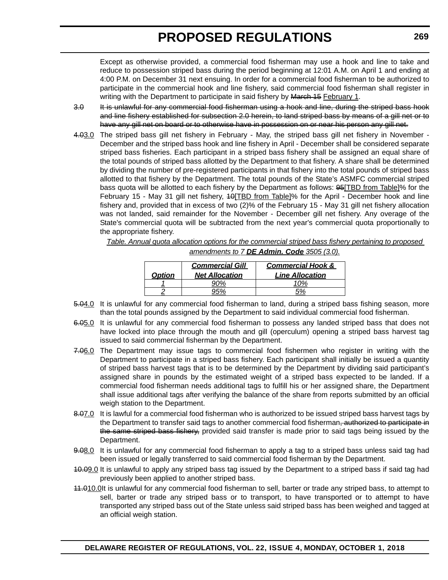Except as otherwise provided, a commercial food fisherman may use a hook and line to take and reduce to possession striped bass during the period beginning at 12:01 A.M. on April 1 and ending at 4:00 P.M. on December 31 next ensuing. In order for a commercial food fisherman to be authorized to participate in the commercial hook and line fishery, said commercial food fisherman shall register in writing with the Department to participate in said fishery by March 15 February 1.

- 3.0 It is unlawful for any commercial food fisherman using a hook and line, during the striped bass hook and line fishery established for subsection 2.0 herein, to land striped bass by means of a gill net or to have any gill net on board or to otherwise have in possession on or near his person any gill net.
- 4.03.0 The striped bass gill net fishery in February May, the striped bass gill net fishery in November December and the striped bass hook and line fishery in April - December shall be considered separate striped bass fisheries. Each participant in a striped bass fishery shall be assigned an equal share of the total pounds of striped bass allotted by the Department to that fishery. A share shall be determined by dividing the number of pre-registered participants in that fishery into the total pounds of striped bass allotted to that fishery by the Department. The total pounds of the State's ASMFC commercial striped bass quota will be allotted to each fishery by the Department as follows: 95[TBD from Table]% for the February 15 - May 31 gill net fishery, 40<sup>[TBD</sup> from Table]% for the April - December hook and line fishery and, provided that in excess of two (2)% of the February 15 - May 31 gill net fishery allocation was not landed, said remainder for the November - December gill net fishery. Any overage of the State's commercial quota will be subtracted from the next year's commercial quota proportionally to the appropriate fishery.

*Table. Annual quota allocation options for the commercial striped bass fishery pertaining to proposed amendments to 7 DE Admin. Code 3505 (3.0).*

| <b>Option</b> | <b>Commercial Gill</b><br><b>Net Allocation</b> | <b>Commercial Hook &amp;</b><br><b>Line Allocation</b> |
|---------------|-------------------------------------------------|--------------------------------------------------------|
|               |                                                 |                                                        |
|               |                                                 |                                                        |

- 
- 5.04.0 It is unlawful for any commercial food fisherman to land, during a striped bass fishing season, more than the total pounds assigned by the Department to said individual commercial food fisherman.
- 6.05.0 It is unlawful for any commercial food fisherman to possess any landed striped bass that does not have locked into place through the mouth and gill (operculum) opening a striped bass harvest tag issued to said commercial fisherman by the Department.
- 7.06.0 The Department may issue tags to commercial food fishermen who register in writing with the Department to participate in a striped bass fishery. Each participant shall initially be issued a quantity of striped bass harvest tags that is to be determined by the Department by dividing said participant's assigned share in pounds by the estimated weight of a striped bass expected to be landed. If a commercial food fisherman needs additional tags to fulfill his or her assigned share, the Department shall issue additional tags after verifying the balance of the share from reports submitted by an official weigh station to the Department.
- 8.07.0 It is lawful for a commercial food fisherman who is authorized to be issued striped bass harvest tags by the Department to transfer said tags to another commercial food fisherman, authorized to participate in the same striped bass fishery, provided said transfer is made prior to said tags being issued by the Department.
- 9.08.0 It is unlawful for any commercial food fisherman to apply a tag to a striped bass unless said tag had been issued or legally transferred to said commercial food fisherman by the Department.
- 40.09.0 It is unlawful to apply any striped bass tag issued by the Department to a striped bass if said tag had previously been applied to another striped bass.
- 11.010.0It is unlawful for any commercial food fisherman to sell, barter or trade any striped bass, to attempt to sell, barter or trade any striped bass or to transport, to have transported or to attempt to have transported any striped bass out of the State unless said striped bass has been weighed and tagged at an official weigh station.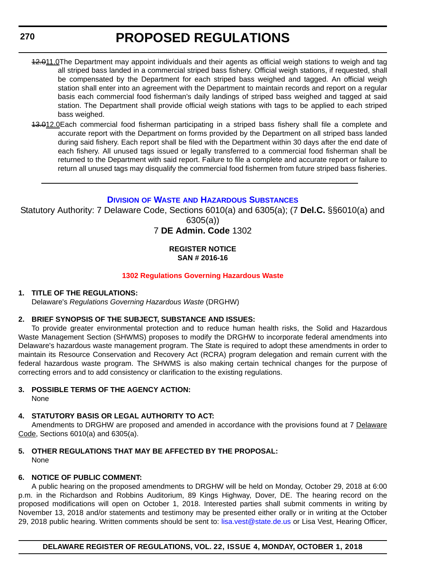- <span id="page-27-0"></span>12.011.0The Department may appoint individuals and their agents as official weigh stations to weigh and tag all striped bass landed in a commercial striped bass fishery. Official weigh stations, if requested, shall be compensated by the Department for each striped bass weighed and tagged. An official weigh station shall enter into an agreement with the Department to maintain records and report on a regular basis each commercial food fisherman's daily landings of striped bass weighed and tagged at said station. The Department shall provide official weigh stations with tags to be applied to each striped bass weighed.
- 43.012.0Each commercial food fisherman participating in a striped bass fishery shall file a complete and accurate report with the Department on forms provided by the Department on all striped bass landed during said fishery. Each report shall be filed with the Department within 30 days after the end date of each fishery. All unused tags issued or legally transferred to a commercial food fisherman shall be returned to the Department with said report. Failure to file a complete and accurate report or failure to return all unused tags may disqualify the commercial food fishermen from future striped bass fisheries.

#### **DIVISION OF WASTE [AND HAZARDOUS SUBSTANCES](https://dnrec.alpha.delaware.gov/waste-hazardous/)**

Statutory Authority: 7 Delaware Code, Sections 6010(a) and 6305(a); (7 **Del.C.** §§6010(a) and 6305(a))

### 7 **DE Admin. Code** 1302

#### **REGISTER NOTICE SAN # 2016-16**

#### **[1302 Regulations Governing Hazardous Waste](#page-3-0)**

#### **1. TITLE OF THE REGULATIONS:**

Delaware's *Regulations Governing Hazardous Waste* (DRGHW)

#### **2. BRIEF SYNOPSIS OF THE SUBJECT, SUBSTANCE AND ISSUES:**

To provide greater environmental protection and to reduce human health risks, the Solid and Hazardous Waste Management Section (SHWMS) proposes to modify the DRGHW to incorporate federal amendments into Delaware's hazardous waste management program. The State is required to adopt these amendments in order to maintain its Resource Conservation and Recovery Act (RCRA) program delegation and remain current with the federal hazardous waste program. The SHWMS is also making certain technical changes for the purpose of correcting errors and to add consistency or clarification to the existing regulations.

#### **3. POSSIBLE TERMS OF THE AGENCY ACTION:**

None

### **4. STATUTORY BASIS OR LEGAL AUTHORITY TO ACT:**

Amendments to DRGHW are proposed and amended in accordance with the provisions found at 7 Delaware Code, Sections 6010(a) and 6305(a).

**5. OTHER REGULATIONS THAT MAY BE AFFECTED BY THE PROPOSAL:** None

### **6. NOTICE OF PUBLIC COMMENT:**

A public hearing on the proposed amendments to DRGHW will be held on Monday, October 29, 2018 at 6:00 p.m. in the Richardson and Robbins Auditorium, 89 Kings Highway, Dover, DE. The hearing record on the proposed modifications will open on October 1, 2018. Interested parties shall submit comments in writing by November 13, 2018 and/or statements and testimony may be presented either orally or in writing at the October 29, 2018 public hearing. Written comments should be sent to: [lisa.vest@state.de.us](mailto:lisa.vest@state.de.us) or Lisa Vest, Hearing Officer,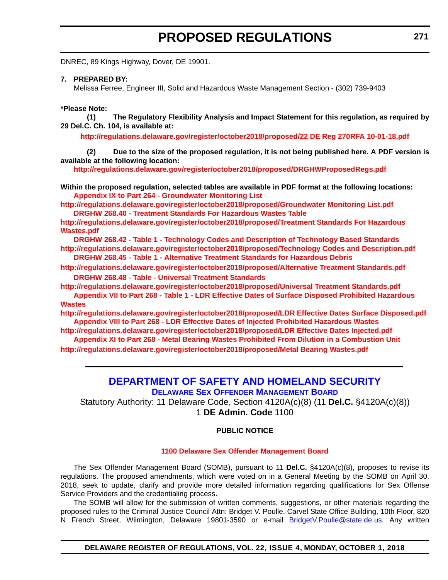<span id="page-28-0"></span>DNREC, 89 Kings Highway, Dover, DE 19901.

**7. PREPARED BY:**

Melissa Ferree, Engineer III, Solid and Hazardous Waste Management Section - (302) 739-9403

#### **\*Please Note:**

**(1) The Regulatory Flexibility Analysis and Impact Statement for this regulation, as required by 29 Del.C. Ch. 104, is available at:**

**<http://regulations.delaware.gov/register/october2018/proposed/22 DE Reg 270RFA 10-01-18.pdf>**

**(2) Due to the size of the proposed regulation, it is not being published here. A PDF version is available at the following location:**

**<http://regulations.delaware.gov/register/october2018/proposed/DRGHWProposedRegs.pdf>**

**Within the proposed regulation, selected tables are available in PDF format at the following locations: [Appendix IX to Part 264 - Groundwater Monitoring List](http://regulations.delaware.gov/register/october2018/proposed/Groundwater Monitoring List.pdf)**

**<http://regulations.delaware.gov/register/october2018/proposed/Groundwater Monitoring List.pdf> [DRGHW 268.40 - Treatment Standards For Hazardous Wastes Table](http://regulations.delaware.gov/register/october2018/proposed/Treatment Standards For Hazardous Wastes.pdf)**

**[http://regulations.delaware.gov/register/october2018/proposed/Treatment Standards For Hazardous](http://regulations.delaware.gov/register/october2018/proposed/Treatment Standards For Hazardous Wastes.pdf)  Wastes.pdf**

**[DRGHW 268.42 - Table 1 - Technology Codes and Description of Technology Based Standards](http://regulations.delaware.gov/register/october2018/proposed/Technology Codes and Description.pdf) <http://regulations.delaware.gov/register/october2018/proposed/Technology Codes and Description.pdf> [DRGHW 268.45 - Table 1 - Alternative Treatment Standards for Hazardous Debris](http://regulations.delaware.gov/register/october2018/proposed/Alternative Treatment Standards.pdf)**

**<http://regulations.delaware.gov/register/october2018/proposed/Alternative Treatment Standards.pdf> [DRGHW 268.48 - Table - Universal Treatment Standards](http://regulations.delaware.gov/register/october2018/proposed/Universal Treatment Standards.pdf)**

**<http://regulations.delaware.gov/register/october2018/proposed/Universal Treatment Standards.pdf> [Appendix VII to Part 268 - Table 1 - LDR Effective Dates of Surface Disposed Prohibited Hazardous](http://regulations.delaware.gov/register/october2018/proposed/LDR Effective Dates Surface Disposed.pdf)  Wastes**

**<http://regulations.delaware.gov/register/october2018/proposed/LDR Effective Dates Surface Disposed.pdf> [Appendix VIII to Part 268 - LDR Effective Dates of Injected Prohibited Hazardous Wastes](http://regulations.delaware.gov/register/october2018/proposed/LDR Effective Dates Injected.pdf)**

**<http://regulations.delaware.gov/register/october2018/proposed/LDR Effective Dates Injected.pdf> [Appendix XI to Part 268 - Metal Bearing Wastes Prohibited From Dilution in a Combustion Unit](http://regulations.delaware.gov/register/october2018/proposed/Metal Bearing Wastes.pdf)**

**<http://regulations.delaware.gov/register/october2018/proposed/Metal Bearing Wastes.pdf>**

#### **[DEPARTMENT OF SAFETY AND HOMELAND SECURITY](https://dshs.delaware.gov/) [DELAWARE SEX OFFENDER MANAGEMENT BOARD](http://somb.dshs.delaware.gov/#)**

Statutory Authority: 11 Delaware Code, Section 4120A(c)(8) (11 **Del.C.** §4120A(c)(8)) 1 **DE Admin. Code** 1100

#### **PUBLIC NOTICE**

#### **[1100 Delaware Sex Offender Management Board](#page-3-0)**

The Sex Offender Management Board (SOMB), pursuant to 11 **Del.C.** §4120A(c)(8), proposes to revise its regulations. The proposed amendments, which were voted on in a General Meeting by the SOMB on April 30, 2018, seek to update, clarify and provide more detailed information regarding qualifications for Sex Offense Service Providers and the credentialing process.

The SOMB will allow for the submission of written comments, suggestions, or other materials regarding the proposed rules to the Criminal Justice Council Attn: Bridget V. Poulle, Carvel State Office Building, 10th Floor, 820 N French Street, Wilmington, Delaware 19801-3590 or e-mail BridgetV. Poulle@state.de.us. Any written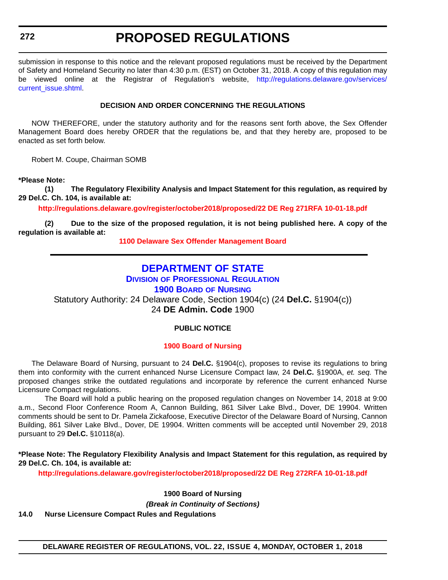<span id="page-29-0"></span>**272**

# **PROPOSED REGULATIONS**

submission in response to this notice and the relevant proposed regulations must be received by the Department of Safety and Homeland Security no later than 4:30 p.m. (EST) on October 31, 2018. A copy of this regulation may be viewed online at the Registrar of Regulation's website, [http://regulations.delaware.gov/services/](http://regulations.delaware.gov/services/current_issue.shtml) current\_issue.shtml

#### **DECISION AND ORDER CONCERNING THE REGULATIONS**

NOW THEREFORE, under the statutory authority and for the reasons sent forth above, the Sex Offender Management Board does hereby ORDER that the regulations be, and that they hereby are, proposed to be enacted as set forth below.

Robert M. Coupe, Chairman SOMB

**\*Please Note:** 

**(1) The Regulatory Flexibility Analysis and Impact Statement for this regulation, as required by 29 Del.C. Ch. 104, is available at:**

**<http://regulations.delaware.gov/register/october2018/proposed/22 DE Reg 271RFA 10-01-18.pdf>**

**(2) Due to the size of the proposed regulation, it is not being published here. A copy of the regulation is available at:**

**[1100 Delaware Sex Offender Management Board](http://regulations.delaware.gov/register/october2018/proposed/22 DE Reg 271 10-01-18.htm)**

### **[DEPARTMENT OF STATE](https://sos.delaware.gov/)**

**DIVISION [OF PROFESSIONAL REGULATION](https://dpr.delaware.gov/)**

**[1900 BOARD](https://dpr.delaware.gov/boards/nursing/) OF NURSING**

Statutory Authority: 24 Delaware Code, Section 1904(c) (24 **Del.C.** §1904(c)) 24 **DE Admin. Code** 1900

#### **PUBLIC NOTICE**

#### **[1900 Board of Nursing](#page-3-0)**

The Delaware Board of Nursing, pursuant to 24 **Del.C.** §1904(c), proposes to revise its regulations to bring them into conformity with the current enhanced Nurse Licensure Compact law, 24 **Del.C.** §1900A, *et. seq.* The proposed changes strike the outdated regulations and incorporate by reference the current enhanced Nurse Licensure Compact regulations.

The Board will hold a public hearing on the proposed regulation changes on November 14, 2018 at 9:00 a.m., Second Floor Conference Room A, Cannon Building, 861 Silver Lake Blvd., Dover, DE 19904. Written comments should be sent to Dr. Pamela Zickafoose, Executive Director of the Delaware Board of Nursing, Cannon Building, 861 Silver Lake Blvd., Dover, DE 19904. Written comments will be accepted until November 29, 2018 pursuant to 29 **Del.C.** §10118(a).

**\*Please Note: The Regulatory Flexibility Analysis and Impact Statement for this regulation, as required by 29 Del.C. Ch. 104, is available at:**

**<http://regulations.delaware.gov/register/october2018/proposed/22 DE Reg 272RFA 10-01-18.pdf>**

**1900 Board of Nursing**

*(Break in Continuity of Sections)*

**14.0 Nurse Licensure Compact Rules and Regulations**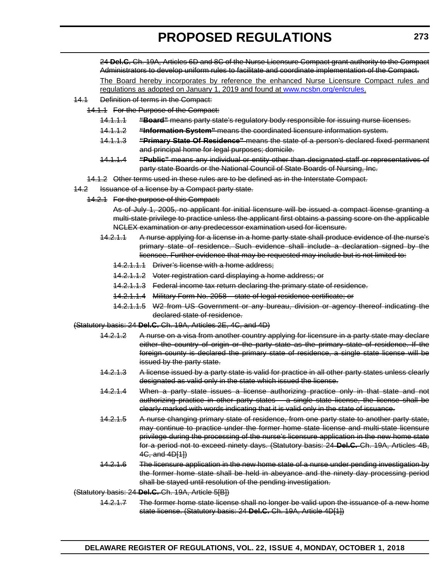24 **Del.C.** Ch. 19A, Articles 6D and 8C of the Nurse Licensure Compact grant authority to the Compact Administrators to develop uniform rules to facilitate and coordinate implementation of the Compact. The Board hereby incorporates by reference the enhanced Nurse Licensure Compact rules and

regulations as adopted on January 1, 2019 and found at [www.ncsbn.org/enlcrules.](www.ncsbn.org/enlcrules)

- 14.1 Definition of terms in the Compact:
	- 14.1.1 For the Purpose of the Compact:
		- 14.1.1.1 **"Board"** means party state's regulatory body responsible for issuing nurse licenses.
		- 14.1.1.2 **"Information System"** means the coordinated licensure information system.
		- 14.1.1.3 **"Primary State Of Residence"** means the state of a person's declared fixed permanent and principal home for legal purposes; domicile.
		- 14.1.1.4 **"Public"** means any individual or entity other than designated staff or representatives of party state Boards or the National Council of State Boards of Nursing, Inc.
		- 14.1.2 Other terms used in these rules are to be defined as in the Interstate Compact.
- 14.2 Issuance of a license by a Compact party state.
	- 14.2.1 For the purpose of this Compact:

As of July 1, 2005, no applicant for initial licensure will be issued a compact license granting a multi-state privilege to practice unless the applicant first obtains a passing score on the applicable NCLEX examination or any predecessor examination used for licensure.

- 14.2.1.1 A nurse applying for a license in a home party state shall produce evidence of the nurse's primary state of residence. Such evidence shall include a declaration signed by the licensee. Further evidence that may be requested may include but is not limited to:
	- 14.2.1.1.1 Driver's license with a home address;
	- 14.2.1.1.2 Voter registration card displaying a home address; or
	- 14.2.1.1.3 Federal income tax return declaring the primary state of residence.
	- 14.2.1.1.4 Military Form No. 2058 state of legal residence certificate; or
	- 14.2.1.1.5 W2 from US Government or any bureau, division or agency thereof indicating the declared state of residence.

#### (Statutory basis: 24 **Del.C.** Ch. 19A, Articles 2E, 4C, and 4D)

- 14.2.1.2 A nurse on a visa from another country applying for licensure in a party state may declare either the country of origin or the party state as the primary state of residence. If the foreign county is declared the primary state of residence, a single state license will be issued by the party state.
- 14.2.1.3 A license issued by a party state is valid for practice in all other party states unless clearly designated as valid only in the state which issued the license.
- 14.2.1.4 When a party state issues a license authorizing practice only in that state and not authorizing practice in other party states – a single state license, the license shall be clearly marked with words indicating that it is valid only in the state of issuance.
- 14.2.1.5 A nurse changing primary state of residence, from one party state to another party state, may continue to practice under the former home state license and multi-state licensure privilege during the processing of the nurse's licensure application in the new home state for a period not to exceed ninety days. (Statutory basis: 24 **Del.C.** Ch. 19A, Articles 4B, 4C, and 4D[1])
- 14.2.1.6 The licensure application in the new home state of a nurse under pending investigation by the former home state shall be held in abeyance and the ninety day processing period shall be stayed until resolution of the pending investigation.

(Statutory basis: 24 **Del.C.** Ch. 19A, Article 5[B])

14.2.1.7 The former home state license shall no longer be valid upon the issuance of a new home state license. (Statutory basis: 24 **Del.C.** Ch. 19A, Article 4D[1])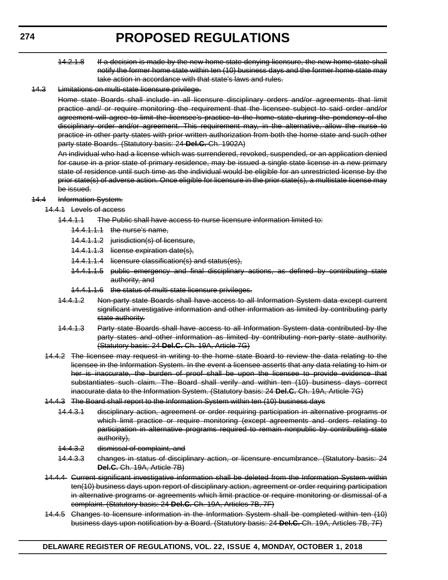- 14.2.1.8 If a decision is made by the new home state denying licensure, the new home state shall notify the former home state within ten (10) business days and the former home state may take action in accordance with that state's laws and rules.
- 14.3 Limitations on multi-state licensure privilege.

Home state Boards shall include in all licensure disciplinary orders and/or agreements that limit practice and/ or require monitoring the requirement that the licensee subject to said order and/or agreement will agree to limit the licensee's practice to the home state during the pendency of the disciplinary order and/or agreement. This requirement may, in the alternative, allow the nurse to practice in other party states with prior written authorization from both the home state and such other party state Boards. (Statutory basis: 24 **Del.C.** Ch. 1902A)

An individual who had a license which was surrendered, revoked, suspended, or an application denied for cause in a prior state of primary residence, may be issued a single state license in a new primary state of residence until such time as the individual would be eligible for an unrestricted license by the prior state(s) of adverse action. Once eligible for licensure in the prior state(s), a multistate license may be issued.

#### 14.4 Information System.

- 14.4.1 Levels of access
	- 14.4.1.1 The Public shall have access to nurse licensure information limited to:
		- 14.4.1.1.1 the nurse's name,
		- 14.4.1.1.2 jurisdiction(s) of licensure,
		- 14.4.1.1.3 license expiration date(s),
		- 14.4.1.1.4 licensure classification(s) and status(es),
		- 14.4.1.1.5 public emergency and final disciplinary actions, as defined by contributing state authority, and
		- 14.4.1.1.6 the status of multi-state licensure privileges.
	- 14.4.1.2 Non-party state Boards shall have access to all Information System data except current significant investigative information and other information as limited by contributing party state authority.
	- 14.4.1.3 Party state Boards shall have access to all Information System data contributed by the party states and other information as limited by contributing non-party state authority. (Statutory basis: 24 **Del.C.** Ch. 19A, Article 7G)
- 14.4.2 The licensee may request in writing to the home state Board to review the data relating to the licensee in the Information System. In the event a licensee asserts that any data relating to him or her is inaccurate, the burden of proof shall be upon the licensee to provide evidence that substantiates such claim. The Board shall verify and within ten (10) business days correct inaccurate data to the Information System. (Statutory basis: 24 **Del.C.** Ch. 19A, Article 7G)
- 14.4.3 The Board shall report to the Information System within ten (10) business days
	- 14.4.3.1 disciplinary action, agreement or order requiring participation in alternative programs or which limit practice or require monitoring (except agreements and orders relating to participation in alternative programs required to remain nonpublic by contributing state authority),
	- 14.4.3.2 dismissal of complaint, and
	- 14.4.3.3 changes in status of disciplinary action, or licensure encumbrance. (Statutory basis: 24 **Del.C.** Ch. 19A, Article 7B)
- 14.4.4 Current significant investigative information shall be deleted from the Information System within ten(10) business days upon report of disciplinary action, agreement or order requiring participation in alternative programs or agreements which limit practice or require monitoring or dismissal of a complaint. (Statutory basis: 24 **Del.C.** Ch. 19A, Articles 7B, 7F)
- 14.4.5 Changes to licensure information in the Information System shall be completed within ten (10) business days upon notification by a Board. (Statutory basis: 24 **Del.C.** Ch. 19A, Articles 7B, 7F)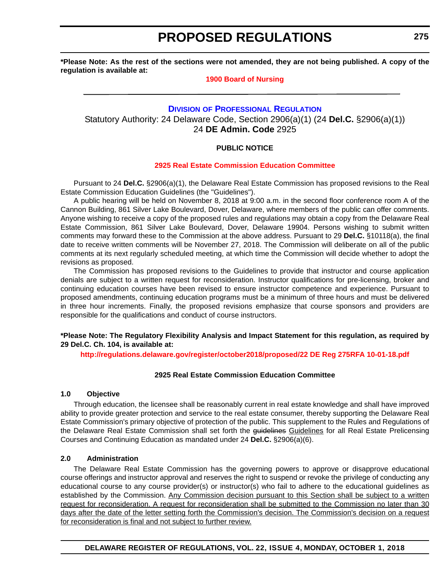<span id="page-32-0"></span>**\*Please Note: As the rest of the sections were not amended, they are not being published. A copy of the regulation is available at:**

#### **[1900 Board of Nursing](http://regulations.delaware.gov/register/october2018/proposed/22 DE Reg 272 10-01-18.htm)**

#### **DIVISION [OF PROFESSIONAL REGULATION](https://dpr.delaware.gov/)**

Statutory Authority: 24 Delaware Code, Section 2906(a)(1) (24 **Del.C.** §2906(a)(1)) 24 **DE Admin. Code** 2925

#### **PUBLIC NOTICE**

#### **[2925 Real Estate Commission Education Committee](#page-3-0)**

Pursuant to 24 **Del.C.** §2906(a)(1), the Delaware Real Estate Commission has proposed revisions to the Real Estate Commission Education Guidelines (the "Guidelines").

A public hearing will be held on November 8, 2018 at 9:00 a.m. in the second floor conference room A of the Cannon Building, 861 Silver Lake Boulevard, Dover, Delaware, where members of the public can offer comments. Anyone wishing to receive a copy of the proposed rules and regulations may obtain a copy from the Delaware Real Estate Commission, 861 Silver Lake Boulevard, Dover, Delaware 19904. Persons wishing to submit written comments may forward these to the Commission at the above address. Pursuant to 29 **Del.C.** §10118(a), the final date to receive written comments will be November 27, 2018. The Commission will deliberate on all of the public comments at its next regularly scheduled meeting, at which time the Commission will decide whether to adopt the revisions as proposed.

The Commission has proposed revisions to the Guidelines to provide that instructor and course application denials are subject to a written request for reconsideration. Instructor qualifications for pre-licensing, broker and continuing education courses have been revised to ensure instructor competence and experience. Pursuant to proposed amendments, continuing education programs must be a minimum of three hours and must be delivered in three hour increments. Finally, the proposed revisions emphasize that course sponsors and providers are responsible for the qualifications and conduct of course instructors.

#### **\*Please Note: The Regulatory Flexibility Analysis and Impact Statement for this regulation, as required by 29 Del.C. Ch. 104, is available at:**

**<http://regulations.delaware.gov/register/october2018/proposed/22 DE Reg 275RFA 10-01-18.pdf>**

#### **2925 Real Estate Commission Education Committee**

#### **1.0 Objective**

Through education, the licensee shall be reasonably current in real estate knowledge and shall have improved ability to provide greater protection and service to the real estate consumer, thereby supporting the Delaware Real Estate Commission's primary objective of protection of the public. This supplement to the Rules and Regulations of the Delaware Real Estate Commission shall set forth the guidelines Guidelines for all Real Estate Prelicensing Courses and Continuing Education as mandated under 24 **Del.C.** §2906(a)(6).

#### **2.0 Administration**

The Delaware Real Estate Commission has the governing powers to approve or disapprove educational course offerings and instructor approval and reserves the right to suspend or revoke the privilege of conducting any educational course to any course provider(s) or instructor(s) who fail to adhere to the educational guidelines as established by the Commission. Any Commission decision pursuant to this Section shall be subject to a written request for reconsideration. A request for reconsideration shall be submitted to the Commission no later than 30 days after the date of the letter setting forth the Commission's decision. The Commission's decision on a request for reconsideration is final and not subject to further review.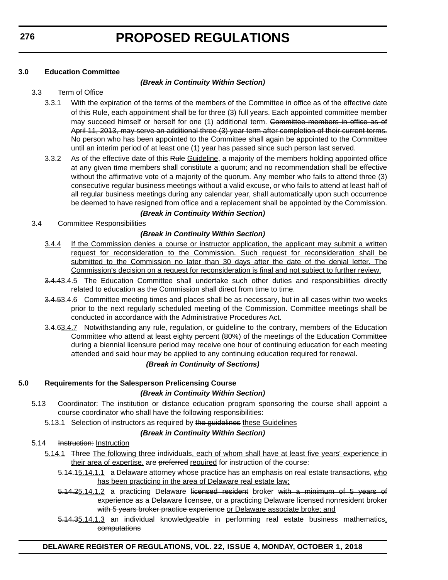#### **3.0 Education Committee**

#### *(Break in Continuity Within Section)*

#### 3.3 Term of Office

- 3.3.1 With the expiration of the terms of the members of the Committee in office as of the effective date of this Rule, each appointment shall be for three (3) full years. Each appointed committee member may succeed himself or herself for one (1) additional term. Committee members in office as of April 11, 2013, may serve an additional three (3) year term after completion of their current terms. No person who has been appointed to the Committee shall again be appointed to the Committee until an interim period of at least one (1) year has passed since such person last served.
- 3.3.2 As of the effective date of this Rule Guideline, a majority of the members holding appointed office at any given time members shall constitute a quorum; and no recommendation shall be effective without the affirmative vote of a majority of the quorum. Any member who fails to attend three (3) consecutive regular business meetings without a valid excuse, or who fails to attend at least half of all regular business meetings during any calendar year, shall automatically upon such occurrence be deemed to have resigned from office and a replacement shall be appointed by the Commission.

#### *(Break in Continuity Within Section)*

3.4 Committee Responsibilities

#### *(Break in Continuity Within Section)*

- 3.4.4 If the Commission denies a course or instructor application, the applicant may submit a written request for reconsideration to the Commission. Such request for reconsideration shall be submitted to the Commission no later than 30 days after the date of the denial letter. The Commission's decision on a request for reconsideration is final and not subject to further review.
- 3.4.43.4.5 The Education Committee shall undertake such other duties and responsibilities directly related to education as the Commission shall direct from time to time.
- 3.4.53.4.6 Committee meeting times and places shall be as necessary, but in all cases within two weeks prior to the next regularly scheduled meeting of the Commission. Committee meetings shall be conducted in accordance with the Administrative Procedures Act.
- 3.4.63.4.7 Notwithstanding any rule, regulation, or guideline to the contrary, members of the Education Committee who attend at least eighty percent (80%) of the meetings of the Education Committee during a biennial licensure period may receive one hour of continuing education for each meeting attended and said hour may be applied to any continuing education required for renewal.

#### *(Break in Continuity of Sections)*

#### **5.0 Requirements for the Salesperson Prelicensing Course** *(Break in Continuity Within Section)*

- 5.13 Coordinator: The institution or distance education program sponsoring the course shall appoint a course coordinator who shall have the following responsibilities:
	- 5.13.1 Selection of instructors as required by the guidelines these Guidelines

#### *(Break in Continuity Within Section)*

5.14 Instruction: Instruction

- 5.14.1 Three The following three individuals, each of whom shall have at least five years' experience in their area of expertise, are preferred required for instruction of the course:
	- 5.14.15.14.1.1 a Delaware attorney whose practice has an emphasis on real estate transactions, who has been practicing in the area of Delaware real estate law;
	- 5.14.25.14.1.2 a practicing Delaware licensed resident broker with a minimum of 5 years of experience as a Delaware licensee, or a practicing Delaware licensed nonresident broker with 5 years broker practice experience or Delaware associate broke; and
	- 5.14.35.14.1.3 an individual knowledgeable in performing real estate business mathematics. computations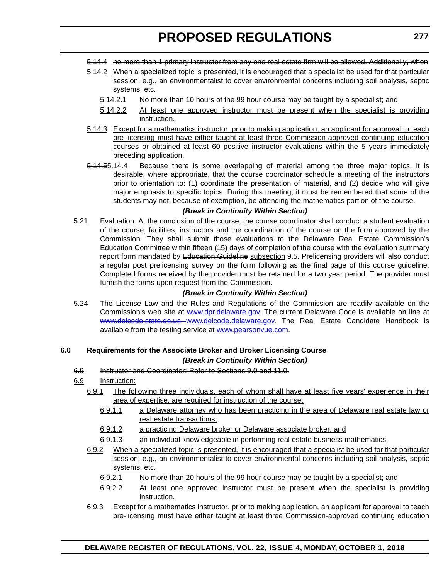- 5.14.4 no more than 1 primary instructor from any one real estate firm will be allowed. Additionally, when
- 5.14.2 When a specialized topic is presented, it is encouraged that a specialist be used for that particular session, e.g., an environmentalist to cover environmental concerns including soil analysis, septic systems, etc.
	- 5.14.2.1 No more than 10 hours of the 99 hour course may be taught by a specialist; and
	- 5.14.2.2 At least one approved instructor must be present when the specialist is providing instruction.
- 5.14.3 Except for a mathematics instructor, prior to making application, an applicant for approval to teach pre-licensing must have either taught at least three Commission-approved continuing education courses or obtained at least 60 positive instructor evaluations within the 5 years immediately preceding application.
- 5.14.55.14.4 Because there is some overlapping of material among the three major topics, it is desirable, where appropriate, that the course coordinator schedule a meeting of the instructors prior to orientation to: (1) coordinate the presentation of material, and (2) decide who will give major emphasis to specific topics. During this meeting, it must be remembered that some of the students may not, because of exemption, be attending the mathematics portion of the course.

#### *(Break in Continuity Within Section)*

5.21 Evaluation: At the conclusion of the course, the course coordinator shall conduct a student evaluation of the course, facilities, instructors and the coordination of the course on the form approved by the Commission. They shall submit those evaluations to the Delaware Real Estate Commission's Education Committee within fifteen (15) days of completion of the course with the evaluation summary report form mandated by Education Guideline subsection 9.5. Prelicensing providers will also conduct a regular post prelicensing survey on the form following as the final page of this course guideline. Completed forms received by the provider must be retained for a two year period. The provider must furnish the forms upon request from the Commission.

#### *(Break in Continuity Within Section)*

5.24 The License Law and the Rules and Regulations of the Commission are readily available on the Commission's web site at [www.dpr.delaware.gov.](www.dpr.delaware.gov) The current Delaware Code is available on line at www.delcode.state.de.us [www.delcode.delaware.gov.](www.delcode.delaware.gov) The Real Estate Candidate Handbook is available from the testing service at [www.pearsonvue.com.](www.pearsonvue.com)

# **6.0 Requirements for the Associate Broker and Broker Licensing Course**

#### *(Break in Continuity Within Section)*

6.9 Instructor and Coordinator: Refer to Sections 9.0 and 11.0.

#### 6.9 Instruction:

- 6.9.1 The following three individuals, each of whom shall have at least five years' experience in their area of expertise, are required for instruction of the course:
	- 6.9.1.1 a Delaware attorney who has been practicing in the area of Delaware real estate law or real estate transactions;
	- 6.9.1.2 a practicing Delaware broker or Delaware associate broker; and
	- 6.9.1.3 an individual knowledgeable in performing real estate business mathematics.
- 6.9.2 When a specialized topic is presented, it is encouraged that a specialist be used for that particular session, e.g., an environmentalist to cover environmental concerns including soil analysis, septic systems, etc.
	- 6.9.2.1 No more than 20 hours of the 99 hour course may be taught by a specialist; and
	- 6.9.2.2 At least one approved instructor must be present when the specialist is providing instruction.
- 6.9.3 Except for a mathematics instructor, prior to making application, an applicant for approval to teach pre-licensing must have either taught at least three Commission-approved continuing education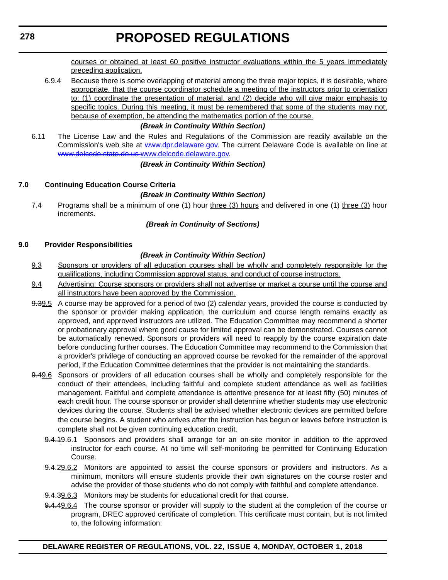courses or obtained at least 60 positive instructor evaluations within the 5 years immediately preceding application.

6.9.4 Because there is some overlapping of material among the three major topics, it is desirable, where appropriate, that the course coordinator schedule a meeting of the instructors prior to orientation to: (1) coordinate the presentation of material, and (2) decide who will give major emphasis to specific topics. During this meeting, it must be remembered that some of the students may not, because of exemption, be attending the mathematics portion of the course.

#### *(Break in Continuity Within Section)*

6.11 The License Law and the Rules and Regulations of the Commission are readily available on the Commission's web site at [www.dpr.delaware.gov.](www.dpr.delaware.gov) The current Delaware Code is available on line at www.delcode.state.de.us [www.delcode.delaware.gov.](www.delcode.delaware.gov)

#### *(Break in Continuity Within Section)*

#### **7.0 Continuing Education Course Criteria**

#### *(Break in Continuity Within Section)*

7.4 Programs shall be a minimum of  $\theta$  one (1) hour three (3) hours and delivered in  $\theta$  one (1) three (3) hour increments.

#### *(Break in Continuity of Sections)*

#### **9.0 Provider Responsibilities**

#### *(Break in Continuity Within Section)*

- 9.3 Sponsors or providers of all education courses shall be wholly and completely responsible for the qualifications, including Commission approval status, and conduct of course instructors.
- 9.4 Advertising: Course sponsors or providers shall not advertise or market a course until the course and all instructors have been approved by the Commission.
- 9.39.5 A course may be approved for a period of two (2) calendar years, provided the course is conducted by the sponsor or provider making application, the curriculum and course length remains exactly as approved, and approved instructors are utilized. The Education Committee may recommend a shorter or probationary approval where good cause for limited approval can be demonstrated. Courses cannot be automatically renewed. Sponsors or providers will need to reapply by the course expiration date before conducting further courses. The Education Committee may recommend to the Commission that a provider's privilege of conducting an approved course be revoked for the remainder of the approval period, if the Education Committee determines that the provider is not maintaining the standards.
- 9.49.6 Sponsors or providers of all education courses shall be wholly and completely responsible for the conduct of their attendees, including faithful and complete student attendance as well as facilities management. Faithful and complete attendance is attentive presence for at least fifty (50) minutes of each credit hour. The course sponsor or provider shall determine whether students may use electronic devices during the course. Students shall be advised whether electronic devices are permitted before the course begins. A student who arrives after the instruction has begun or leaves before instruction is complete shall not be given continuing education credit.
	- 9.4.19.6.1 Sponsors and providers shall arrange for an on-site monitor in addition to the approved instructor for each course. At no time will self-monitoring be permitted for Continuing Education Course.
	- 9.4.29.6.2 Monitors are appointed to assist the course sponsors or providers and instructors. As a minimum, monitors will ensure students provide their own signatures on the course roster and advise the provider of those students who do not comply with faithful and complete attendance.
	- 9.4.39.6.3 Monitors may be students for educational credit for that course.
	- 9.4.49.6.4 The course sponsor or provider will supply to the student at the completion of the course or program, DREC approved certificate of completion. This certificate must contain, but is not limited to, the following information: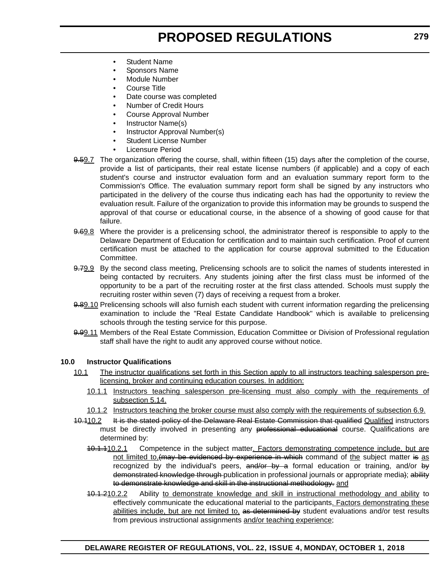- **Student Name**
- Sponsors Name
- Module Number
- Course Title
- Date course was completed
- Number of Credit Hours
- Course Approval Number
- Instructor Name(s)
- Instructor Approval Number(s)
- Student License Number
- Licensure Period
- 9.59.7 The organization offering the course, shall, within fifteen (15) days after the completion of the course, provide a list of participants, their real estate license numbers (if applicable) and a copy of each student's course and instructor evaluation form and an evaluation summary report form to the Commission's Office. The evaluation summary report form shall be signed by any instructors who participated in the delivery of the course thus indicating each has had the opportunity to review the evaluation result. Failure of the organization to provide this information may be grounds to suspend the approval of that course or educational course, in the absence of a showing of good cause for that failure.
- 9.69.8 Where the provider is a prelicensing school, the administrator thereof is responsible to apply to the Delaware Department of Education for certification and to maintain such certification. Proof of current certification must be attached to the application for course approval submitted to the Education Committee.
- 9.79.9 By the second class meeting, Prelicensing schools are to solicit the names of students interested in being contacted by recruiters. Any students joining after the first class must be informed of the opportunity to be a part of the recruiting roster at the first class attended. Schools must supply the recruiting roster within seven (7) days of receiving a request from a broker.
- 9.89.10 Prelicensing schools will also furnish each student with current information regarding the prelicensing examination to include the "Real Estate Candidate Handbook" which is available to prelicensing schools through the testing service for this purpose.
- 9.99.11 Members of the Real Estate Commission, Education Committee or Division of Professional regulation staff shall have the right to audit any approved course without notice.

#### **10.0 Instructor Qualifications**

- 10.1 The instructor qualifications set forth in this Section apply to all instructors teaching salesperson prelicensing, broker and continuing education courses. In addition:
	- 10.1.1 Instructors teaching salesperson pre-licensing must also comply with the requirements of subsection 5.14.
	- 10.1.2 Instructors teaching the broker course must also comply with the requirements of subsection 6.9.
- 10.110.2 It is the stated policy of the Delaware Real Estate Commission that qualified Qualified instructors must be directly involved in presenting any professional educational course. Qualifications are determined by:
	- 10.1.110.2.1 Competence in the subject matter. Factors demonstrating competence include, but are not limited to, (may be evidenced by experience in which command of the subject matter is as recognized by the individual's peers, and/or by a formal education or training, and/or by demonstrated knowledge through publication in professional journals or appropriate media); ability to demonstrate knowledge and skill in the instructional methodology. and
	- 10.1.210.2.2 Ability to demonstrate knowledge and skill in instructional methodology and ability to effectively communicate the educational material to the participants. Factors demonstrating these abilities include, but are not limited to, as determined by student evaluations and/or test results from previous instructional assignments and/or teaching experience;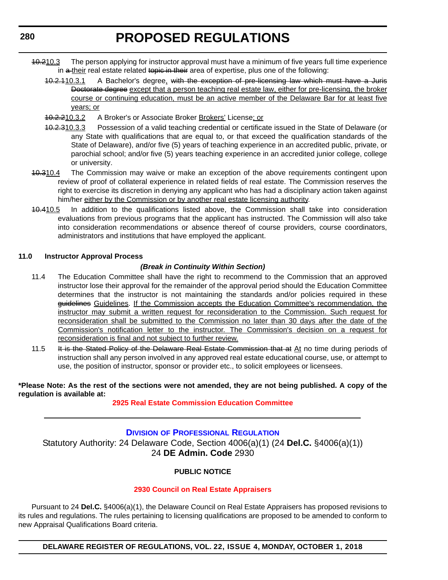- 10.210.3 The person applying for instructor approval must have a minimum of five years full time experience in a their real estate related topic in their area of expertise, plus one of the following:
	- 10.2.110.3.1 A Bachelor's degree, with the exception of pre-licensing law which must have a Juris Doctorate degree except that a person teaching real estate law, either for pre-licensing, the broker course or continuing education, must be an active member of the Delaware Bar for at least five years; or
	- 10.2.210.3.2 A Broker's or Associate Broker Brokers' License; or
	- 10.2.310.3.3 Possession of a valid teaching credential or certificate issued in the State of Delaware (or any State with qualifications that are equal to, or that exceed the qualification standards of the State of Delaware), and/or five (5) years of teaching experience in an accredited public, private, or parochial school; and/or five (5) years teaching experience in an accredited junior college, college or university.
- 40.310.4 The Commission may waive or make an exception of the above requirements contingent upon review of proof of collateral experience in related fields of real estate. The Commission reserves the right to exercise its discretion in denying any applicant who has had a disciplinary action taken against him/her either by the Commission or by another real estate licensing authority.
- 10.410.5 In addition to the qualifications listed above, the Commission shall take into consideration evaluations from previous programs that the applicant has instructed. The Commission will also take into consideration recommendations or absence thereof of course providers, course coordinators, administrators and institutions that have employed the applicant.

#### **11.0 Instructor Approval Process**

#### *(Break in Continuity Within Section)*

- 11.4 The Education Committee shall have the right to recommend to the Commission that an approved instructor lose their approval for the remainder of the approval period should the Education Committee determines that the instructor is not maintaining the standards and/or policies required in these guidelines Guidelines. If the Commission accepts the Education Committee's recommendation, the instructor may submit a written request for reconsideration to the Commission. Such request for reconsideration shall be submitted to the Commission no later than 30 days after the date of the Commission's notification letter to the instructor. The Commission's decision on a request for reconsideration is final and not subject to further review.
- 11.5 It is the Stated Policy of the Delaware Real Estate Commission that at At no time during periods of instruction shall any person involved in any approved real estate educational course, use, or attempt to use, the position of instructor, sponsor or provider etc., to solicit employees or licensees.

#### **\*Please Note: As the rest of the sections were not amended, they are not being published. A copy of the regulation is available at:**

#### **[2925 Real Estate Commission Education Committee](http://regulations.delaware.gov/register/october2018/proposed/22 DE Reg 275 10-01-18.htm)**

**DIVISION [OF PROFESSIONAL REGULATION](https://dpr.delaware.gov/)** Statutory Authority: 24 Delaware Code, Section 4006(a)(1) (24 **Del.C.** §4006(a)(1)) 24 **DE Admin. Code** 2930

#### **PUBLIC NOTICE**

#### **[2930 Council on Real Estate Appraisers](#page-3-0)**

Pursuant to 24 **Del.C.** §4006(a)(1), the Delaware Council on Real Estate Appraisers has proposed revisions to its rules and regulations. The rules pertaining to licensing qualifications are proposed to be amended to conform to new Appraisal Qualifications Board criteria.

**DELAWARE REGISTER OF REGULATIONS, VOL. 22, ISSUE 4, MONDAY, OCTOBER 1, 2018**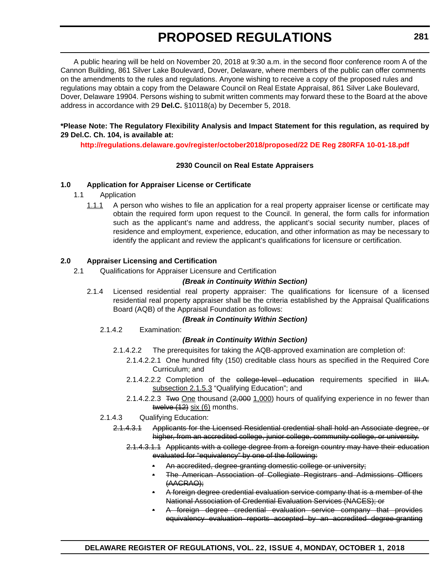A public hearing will be held on November 20, 2018 at 9:30 a.m. in the second floor conference room A of the Cannon Building, 861 Silver Lake Boulevard, Dover, Delaware, where members of the public can offer comments on the amendments to the rules and regulations. Anyone wishing to receive a copy of the proposed rules and regulations may obtain a copy from the Delaware Council on Real Estate Appraisal, 861 Silver Lake Boulevard, Dover, Delaware 19904. Persons wishing to submit written comments may forward these to the Board at the above address in accordance with 29 **Del.C.** §10118(a) by December 5, 2018.

#### **\*Please Note: The Regulatory Flexibility Analysis and Impact Statement for this regulation, as required by 29 Del.C. Ch. 104, is available at:**

**<http://regulations.delaware.gov/register/october2018/proposed/22 DE Reg 280RFA 10-01-18.pdf>**

#### **2930 Council on Real Estate Appraisers**

#### **1.0 Application for Appraiser License or Certificate**

- 1.1 Application
	- 1.1.1 A person who wishes to file an application for a real property appraiser license or certificate may obtain the required form upon request to the Council. In general, the form calls for information such as the applicant's name and address, the applicant's social security number, places of residence and employment, experience, education, and other information as may be necessary to identify the applicant and review the applicant's qualifications for licensure or certification.

#### **2.0 Appraiser Licensing and Certification**

2.1 Qualifications for Appraiser Licensure and Certification

#### *(Break in Continuity Within Section)*

2.1.4 Licensed residential real property appraiser: The qualifications for licensure of a licensed residential real property appraiser shall be the criteria established by the Appraisal Qualifications Board (AQB) of the Appraisal Foundation as follows:

#### *(Break in Continuity Within Section)*

2.1.4.2 Examination:

#### *(Break in Continuity Within Section)*

- 2.1.4.2.2 The prerequisites for taking the AQB-approved examination are completion of:
	- 2.1.4.2.2.1 One hundred fifty (150) creditable class hours as specified in the Required Core Curriculum; and
	- 2.1.4.2.2.2 Completion of the college-level education requirements specified in III.A. subsection 2.1.5.3 "Qualifying Education"; and
	- 2.1.4.2.2.3 Two One thousand (2,000 1,000) hours of qualifying experience in no fewer than twelve (12) six (6) months.

#### 2.1.4.3 Qualifying Education:

- 2.1.4.3.1 Applicants for the Licensed Residential credential shall hold an Associate degree, or higher, from an accredited college, junior college, community college, or university.
	- 2.1.4.3.1.1 Applicants with a college degree from a foreign country may have their education evaluated for "equivalency" by one of the following:
		- An accredited, degree-granting domestic college or university;
		- The American Association of Collegiate Registrars and Admissions Officers (AACRAO);
		- A foreign degree credential evaluation service company that is a member of the National Association of Credential Evaluation Services (NACES); or
		- A foreign degree credential evaluation service company that provides equivalency evaluation reports accepted by an accredited degree-granting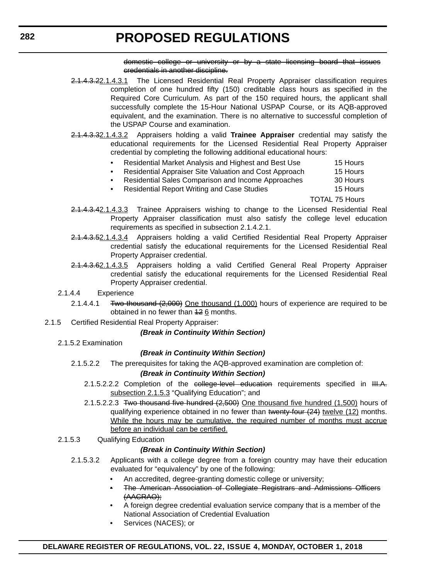domestic college or university or by a state licensing board that issues credentials in another discipline.

- 2.1.4.3.22.1.4.3.1 The Licensed Residential Real Property Appraiser classification requires completion of one hundred fifty (150) creditable class hours as specified in the Required Core Curriculum. As part of the 150 required hours, the applicant shall successfully complete the 15-Hour National USPAP Course, or its AQB-approved equivalent, and the examination. There is no alternative to successful completion of the USPAP Course and examination.
- 2.1.4.3.32.1.4.3.2 Appraisers holding a valid **Trainee Appraiser** credential may satisfy the educational requirements for the Licensed Residential Real Property Appraiser credential by completing the following additional educational hours:
	- Residential Market Analysis and Highest and Best Use 15 Hours
	- Residential Appraiser Site Valuation and Cost Approach 15 Hours
	- Residential Sales Comparison and Income Approaches 30 Hours
	- Residential Report Writing and Case Studies 15 Hours

TOTAL 75 Hours

- 2.1.4.3.42.1.4.3.3 Trainee Appraisers wishing to change to the Licensed Residential Real Property Appraiser classification must also satisfy the college level education requirements as specified in subsection 2.1.4.2.1.
- 2.1.4.3.52.1.4.3.4 Appraisers holding a valid Certified Residential Real Property Appraiser credential satisfy the educational requirements for the Licensed Residential Real Property Appraiser credential.
- 2.1.4.3.62.1.4.3.5 Appraisers holding a valid Certified General Real Property Appraiser credential satisfy the educational requirements for the Licensed Residential Real Property Appraiser credential.
- 2.1.4.4 Experience
	- 2.1.4.4.1 Two thousand  $(2,000)$  One thousand (1,000) hours of experience are required to be obtained in no fewer than 42 6 months.
- 2.1.5 Certified Residential Real Property Appraiser:

#### *(Break in Continuity Within Section)*

2.1.5.2 Examination

#### *(Break in Continuity Within Section)*

2.1.5.2.2 The prerequisites for taking the AQB-approved examination are completion of:

#### *(Break in Continuity Within Section)*

- 2.1.5.2.2.2 Completion of the college-level education requirements specified in III.A. subsection 2.1.5.3 "Qualifying Education"; and
- 2.1.5.2.2.3 Two thousand five hundred (2,500) One thousand five hundred (1,500) hours of qualifying experience obtained in no fewer than twenty-four (24) twelve (12) months. While the hours may be cumulative, the required number of months must accrue before an individual can be certified.

#### 2.1.5.3 Qualifying Education

#### *(Break in Continuity Within Section)*

- 2.1.5.3.2 Applicants with a college degree from a foreign country may have their education evaluated for "equivalency" by one of the following:
	- An accredited, degree-granting domestic college or university;
	- The American Association of Collegiate Registrars and Admissions Officers (AACRAO);
	- A foreign degree credential evaluation service company that is a member of the National Association of Credential Evaluation
	- Services (NACES); or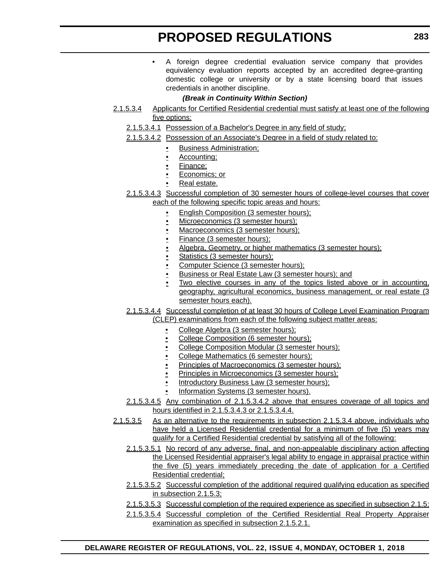• A foreign degree credential evaluation service company that provides equivalency evaluation reports accepted by an accredited degree-granting domestic college or university or by a state licensing board that issues credentials in another discipline.

#### *(Break in Continuity Within Section)*

- 2.1.5.3.4 Applicants for Certified Residential credential must satisfy at least one of the following five options:
	- 2.1.5.3.4.1 Possession of a Bachelor's Degree in any field of study;
	- 2.1.5.3.4.2 Possession of an Associate's Degree in a field of study related to:
		- Business Administration;
		- Accounting;
		- Finance;
		- Economics; or
		- Real estate.
	- 2.1.5.3.4.3 Successful completion of 30 semester hours of college-level courses that cover each of the following specific topic areas and hours:
		- English Composition (3 semester hours);
		- Microeconomics (3 semester hours);
		- Macroeconomics (3 semester hours);
		- Finance (3 semester hours);
		- Algebra, Geometry, or higher mathematics (3 semester hours);
		- Statistics (3 semester hours);
		- Computer Science (3 semester hours);
		- Business or Real Estate Law (3 semester hours); and
		- Two elective courses in any of the topics listed above or in accounting, geography, agricultural economics, business management, or real estate (3 semester hours each).
	- 2.1.5.3.4.4 Successful completion of at least 30 hours of College Level Examination Program (CLEP) examinations from each of the following subject matter areas:
		- College Algebra (3 semester hours);
		- College Composition (6 semester hours);
		- College Composition Modular (3 semester hours);
		- College Mathematics (6 semester hours);
		- Principles of Macroeconomics (3 semester hours);
		- Principles in Microeconomics (3 semester hours);
		- Introductory Business Law (3 semester hours);
		- Information Systems (3 semester hours).
	- 2.1.5.3.4.5 Any combination of 2.1.5.3.4.2 above that ensures coverage of all topics and hours identified in 2.1.5.3.4.3 or 2.1.5.3.4.4.
- 2.1.5.3.5 As an alternative to the requirements in subsection 2.1.5.3.4 above, individuals who have held a Licensed Residential credential for a minimum of five (5) years may qualify for a Certified Residential credential by satisfying all of the following:
	- 2.1.5.3.5.1 No record of any adverse, final, and non-appealable disciplinary action affecting the Licensed Residential appraiser's legal ability to engage in appraisal practice within the five (5) years immediately preceding the date of application for a Certified Residential credential;
	- 2.1.5.3.5.2 Successful completion of the additional required qualifying education as specified in subsection 2.1.5.3;
	- 2.1.5.3.5.3 Successful completion of the required experience as specified in subsection 2.1.5;
	- 2.1.5.3.5.4 Successful completion of the Certified Residential Real Property Appraiser examination as specified in subsection 2.1.5.2.1.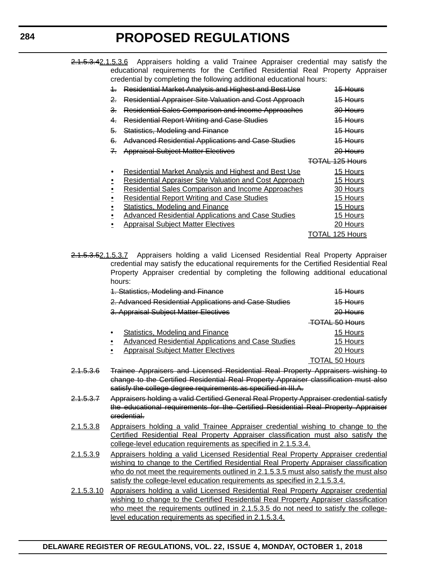2.1.5.3.42.1.5.3.6 Appraisers holding a valid Trainee Appraiser credential may satisfy the educational requirements for the Certified Residential Real Property Appraiser credential by completing the following additional educational hours:

| 4.    | Residential Market Analysis and Highest and Best Use                                                                                                                                                                                                                                                                                             | 15 Hours                                                             |
|-------|--------------------------------------------------------------------------------------------------------------------------------------------------------------------------------------------------------------------------------------------------------------------------------------------------------------------------------------------------|----------------------------------------------------------------------|
| 2.    | <b>Residential Appraiser Site Valuation and Cost Approach</b>                                                                                                                                                                                                                                                                                    | <del>15 Hours</del>                                                  |
| З.    | Residential Sales Comparison and Income Approaches                                                                                                                                                                                                                                                                                               | <del>30 Hours</del>                                                  |
| 4.    | <b>Residential Report Writing and Case Studies</b>                                                                                                                                                                                                                                                                                               | <del>15 Hours</del>                                                  |
| 5.    | <b>Statistics, Modeling and Finance</b>                                                                                                                                                                                                                                                                                                          | 15 Hours                                                             |
| 6.    | <b>Advanced Residential Applications and Case Studies</b>                                                                                                                                                                                                                                                                                        | <del>15 Hours</del>                                                  |
| $7 -$ | <b>Appraisal Subject Matter Electives</b>                                                                                                                                                                                                                                                                                                        | $20$ Hours                                                           |
|       |                                                                                                                                                                                                                                                                                                                                                  | TOTAL 125 Hours                                                      |
|       | <b>Residential Market Analysis and Highest and Best Use</b><br><b>Residential Appraiser Site Valuation and Cost Approach</b><br>Residential Sales Comparison and Income Approaches<br><b>Residential Report Writing and Case Studies</b><br><b>Statistics, Modeling and Finance</b><br><b>Advanced Residential Applications and Case Studies</b> | 15 Hours<br>15 Hours<br>30 Hours<br>15 Hours<br>15 Hours<br>15 Hours |
|       | <b>Appraisal Subject Matter Electives</b>                                                                                                                                                                                                                                                                                                        | 20 Hours                                                             |

2.1.5.3.52.1.5.3.7 Appraisers holding a valid Licensed Residential Real Property Appraiser credential may satisfy the educational requirements for the Certified Residential Real Property Appraiser credential by completing the following additional educational hours:

| 1. Statistics, Modeling and Finance                                         | <del>15 Hours</del>       |
|-----------------------------------------------------------------------------|---------------------------|
| 2. Advanced Residential Applications and Case Studies                       | 15 Hours                  |
| 3. Appraisal Subject Matter Electives                                       | 20 Hours                  |
|                                                                             | <del>TOTAL 50 Hours</del> |
| Statistics, Modeling and Finance<br>٠                                       | 15 Hours                  |
| Advanced Residential Applications and Case Studies                          | 15 Hours                  |
| <b>Appraisal Subject Matter Electives</b>                                   | 20 Hours                  |
|                                                                             | <b>TOTAL 50 Hours</b>     |
| Trainee Approjecte and Licensed Posidential Real Property Approjects wishin |                           |

- 2.1.5.3.6 Trainee Appraisers and Licensed Residential Real Property Appraisers wishing to change to the Certified Residential Real Property Appraiser classification must also satisfy the college degree requirements as specified in III.A.
- 2.1.5.3.7 Appraisers holding a valid Certified General Real Property Appraiser credential satisfy the educational requirements for the Certified Residential Real Property Appraiser credential.
- 2.1.5.3.8 Appraisers holding a valid Trainee Appraiser credential wishing to change to the Certified Residential Real Property Appraiser classification must also satisfy the college-level education requirements as specified in 2.1.5.3.4.
- 2.1.5.3.9 Appraisers holding a valid Licensed Residential Real Property Appraiser credential wishing to change to the Certified Residential Real Property Appraiser classification who do not meet the requirements outlined in 2.1.5.3.5 must also satisfy the must also satisfy the college-level education requirements as specified in 2.1.5.3.4.
- 2.1.5.3.10 Appraisers holding a valid Licensed Residential Real Property Appraiser credential wishing to change to the Certified Residential Real Property Appraiser classification who meet the requirements outlined in 2.1.5.3.5 do not need to satisfy the collegelevel education requirements as specified in 2.1.5.3.4.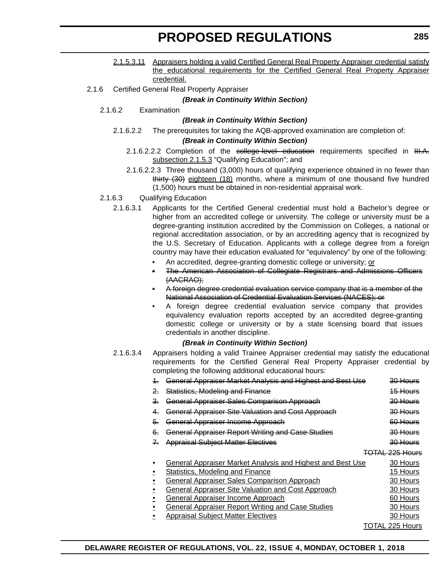- 2.1.5.3.11 Appraisers holding a valid Certified General Real Property Appraiser credential satisfy the educational requirements for the Certified General Real Property Appraiser credential.
- 2.1.6 Certified General Real Property Appraiser

#### *(Break in Continuity Within Section)*

2.1.6.2 Examination

#### *(Break in Continuity Within Section)*

2.1.6.2.2 The prerequisites for taking the AQB-approved examination are completion of:

#### *(Break in Continuity Within Section)*

- 2.1.6.2.2.2 Completion of the college-level education requirements specified in III.A. subsection 2.1.5.3 "Qualifying Education"; and
- 2.1.6.2.2.3 Three thousand (3,000) hours of qualifying experience obtained in no fewer than thirty (30) eighteen (18) months, where a minimum of one thousand five hundred (1,500) hours must be obtained in non-residential appraisal work.
- 2.1.6.3 Qualifying Education
	- 2.1.6.3.1 Applicants for the Certified General credential must hold a Bachelor's degree or higher from an accredited college or university. The college or university must be a degree-granting institution accredited by the Commission on Colleges, a national or regional accreditation association, or by an accrediting agency that is recognized by the U.S. Secretary of Education. Applicants with a college degree from a foreign country may have their education evaluated for "equivalency" by one of the following:
		- An accredited, degree-granting domestic college or university; or
		- The American Association of Collegiate Registrars and Admissions Officers (AACRAO);
		- A foreign degree credential evaluation service company that is a member of the National Association of Credential Evaluation Services (NACES); or
		- A foreign degree credential evaluation service company that provides equivalency evaluation reports accepted by an accredited degree-granting domestic college or university or by a state licensing board that issues credentials in another discipline.

#### *(Break in Continuity Within Section)*

2.1.6.3.4 Appraisers holding a valid Trainee Appraiser credential may satisfy the educational requirements for the Certified General Real Property Appraiser credential by completing the following additional educational hours:

|                | General Appraiser Market Analysis and Highest and Best Use | <del>30 Hours</del>        |
|----------------|------------------------------------------------------------|----------------------------|
| $\overline{2}$ | Statistics, Modeling and Finance                           | 15 Hours                   |
| 3.             | <b>General Appraiser Sales Comparison Approach</b>         | <del>30 Hours</del>        |
| 4.             | <b>General Appraiser Site Valuation and Cost Approach</b>  | 30 Hours                   |
| 5.             | General Appraiser Income Approach                          | 60 Hours                   |
| 6.             | <b>General Appraiser Report Writing and Case Studies</b>   | <del>30 Hours</del>        |
| $\mathcal{I}$  | <b>Appraisal Subject Matter Electives</b>                  | 30 Hours                   |
|                |                                                            | <del>TOTAL 225 Hours</del> |
|                | General Appraiser Market Analysis and Highest and Best Use | 30 Hours                   |
|                | <b>Statistics, Modeling and Finance</b>                    | 15 Hours                   |
|                | <b>General Appraiser Sales Comparison Approach</b>         | 30 Hours                   |
|                | <b>General Appraiser Site Valuation and Cost Approach</b>  | 30 Hours                   |
|                | <b>General Appraiser Income Approach</b>                   | 60 Hours                   |
|                | <b>General Appraiser Report Writing and Case Studies</b>   | 30 Hours                   |
|                | <b>Appraisal Subject Matter Electives</b>                  | 30 Hours                   |
|                |                                                            | TOTAL 225 Hours            |
|                |                                                            |                            |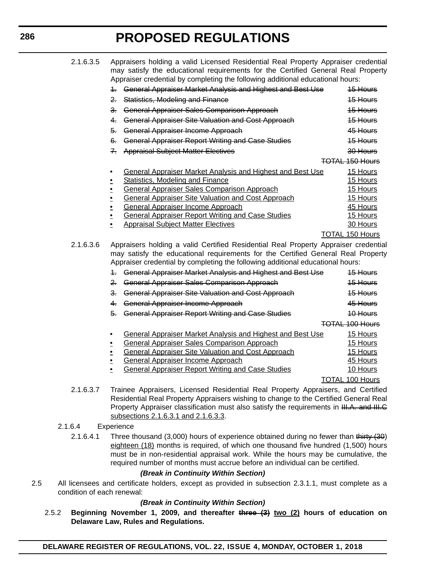| 2.1.6.3.5<br>Appraisers holding a valid Licensed Residential Real Property Appraiser credential<br>may satisfy the educational requirements for the Certified General Real Property<br>Appraiser credential by completing the following additional educational hours: |                                                                                     |                        |
|-----------------------------------------------------------------------------------------------------------------------------------------------------------------------------------------------------------------------------------------------------------------------|-------------------------------------------------------------------------------------|------------------------|
|                                                                                                                                                                                                                                                                       | 1. General Appraiser Market Analysis and Highest and Best Use                       | 15 Hours               |
|                                                                                                                                                                                                                                                                       | Statistics, Modeling and Finance<br>$2 -$                                           | 15 Hours               |
|                                                                                                                                                                                                                                                                       | 3. General Appraiser Sales Comparison Approach                                      | 15 Hours               |
|                                                                                                                                                                                                                                                                       | General Appraiser Site Valuation and Cost Approach<br>$4-$                          | 15 Hours               |
|                                                                                                                                                                                                                                                                       | General Appraiser Income Approach<br>5.                                             | 45 Hours               |
|                                                                                                                                                                                                                                                                       | 6. General Appraiser Report Writing and Case Studies                                | 15 Hours               |
|                                                                                                                                                                                                                                                                       | <b>Appraisal Subject Matter Electives</b><br>$\mathcal{F}$                          | 30 Hours               |
|                                                                                                                                                                                                                                                                       |                                                                                     | <b>TOTAL 150 Hours</b> |
|                                                                                                                                                                                                                                                                       | <b>General Appraiser Market Analysis and Highest and Best Use</b>                   | 15 Hours               |
|                                                                                                                                                                                                                                                                       | <b>Statistics, Modeling and Finance</b>                                             | 15 Hours               |
|                                                                                                                                                                                                                                                                       | <b>General Appraiser Sales Comparison Approach</b>                                  | 15 Hours               |
|                                                                                                                                                                                                                                                                       | <b>General Appraiser Site Valuation and Cost Approach</b>                           | 15 Hours               |
|                                                                                                                                                                                                                                                                       | <b>General Appraiser Income Approach</b>                                            | 45 Hours               |
|                                                                                                                                                                                                                                                                       | <b>General Appraiser Report Writing and Case Studies</b>                            | 15 Hours               |
|                                                                                                                                                                                                                                                                       | <b>Appraisal Subject Matter Electives</b>                                           | 30 Hours               |
|                                                                                                                                                                                                                                                                       |                                                                                     | <b>TOTAL 150 Hours</b> |
| 2.1.6.3.6                                                                                                                                                                                                                                                             | Appraisers holding a valid Certified Residential Real Property Appraiser credential |                        |
|                                                                                                                                                                                                                                                                       | may satisfy the educational requirements for the Certified General Real Property    |                        |
|                                                                                                                                                                                                                                                                       | Appraiser credential by completing the following additional educational hours:      |                        |
|                                                                                                                                                                                                                                                                       | 1. General Appraiser Market Analysis and Highest and Best Use                       | <del>15 Hours</del>    |
|                                                                                                                                                                                                                                                                       | 2. General Appraiser Sales Comparison Approach                                      | 15 Hours               |
|                                                                                                                                                                                                                                                                       | 3. General Appraiser Site Valuation and Cost Approach                               | 15 Hours               |
|                                                                                                                                                                                                                                                                       | 4. General Appraiser Income Approach                                                | 45 Hours               |
|                                                                                                                                                                                                                                                                       | 5. General Appraiser Report Writing and Case Studies                                | 10 Hours               |
|                                                                                                                                                                                                                                                                       |                                                                                     | <b>TOTAL 100 Hours</b> |
|                                                                                                                                                                                                                                                                       | General Appraiser Market Analysis and Highest and Best Use                          | 15 Hours               |
|                                                                                                                                                                                                                                                                       | <b>General Appraiser Sales Comparison Approach</b>                                  | 15 Hours               |
|                                                                                                                                                                                                                                                                       | <b>General Appraiser Site Valuation and Cost Approach</b>                           | 15 Hours               |
|                                                                                                                                                                                                                                                                       | <b>General Appraiser Income Approach</b>                                            | 45 Hours               |
|                                                                                                                                                                                                                                                                       | <b>General Appraiser Report Writing and Case Studies</b>                            | 10 Hours               |
|                                                                                                                                                                                                                                                                       |                                                                                     | <b>TOTAL 100 Hours</b> |
| 2.1.6.3.7                                                                                                                                                                                                                                                             | Trainee Appraisers, Licensed Residential Real Property Appraisers, and Certified    |                        |

Residential Real Property Appraisers wishing to change to the Certified General Real Property Appraiser classification must also satisfy the requirements in III.A. and III.C subsections 2.1.6.3.1 and 2.1.6.3.3.

#### 2.1.6.4 Experience

2.1.6.4.1 Three thousand (3,000) hours of experience obtained during no fewer than thirty (30) eighteen (18) months is required, of which one thousand five hundred (1,500) hours must be in non-residential appraisal work. While the hours may be cumulative, the required number of months must accrue before an individual can be certified.

#### *(Break in Continuity Within Section)*

2.5 All licensees and certificate holders, except as provided in subsection 2.3.1.1, must complete as a condition of each renewal:

#### *(Break in Continuity Within Section)*

2.5.2 **Beginning November 1, 2009, and thereafter three (3) two (2) hours of education on Delaware Law, Rules and Regulations.**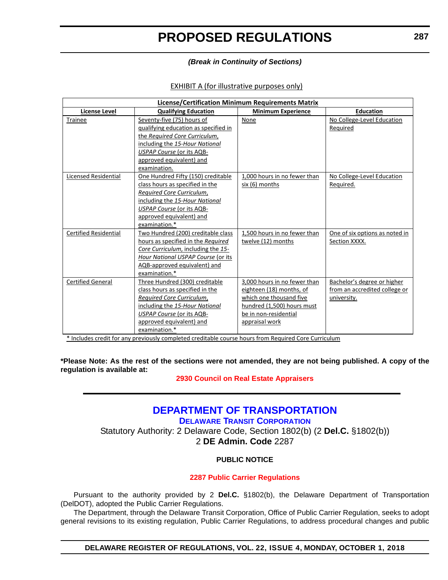#### *(Break in Continuity of Sections)*

#### EXHIBIT A (for illustrative purposes only)

| <b>License/Certification Minimum Requirements Matrix</b> |                                      |                              |                                |
|----------------------------------------------------------|--------------------------------------|------------------------------|--------------------------------|
| <b>License Level</b>                                     | <b>Qualifying Education</b>          | <b>Minimum Experience</b>    | <b>Education</b>               |
| Trainee                                                  | Seventy-five (75) hours of           | None                         | No College-Level Education     |
|                                                          | qualifying education as specified in |                              | Required                       |
|                                                          | the Required Core Curriculum,        |                              |                                |
|                                                          | including the 15-Hour National       |                              |                                |
|                                                          | USPAP Course (or its AQB-            |                              |                                |
|                                                          | approved equivalent) and             |                              |                                |
|                                                          | examination.                         |                              |                                |
| <b>Licensed Residential</b>                              | One Hundred Fifty (150) creditable   | 1,000 hours in no fewer than | No College-Level Education     |
|                                                          | class hours as specified in the      | six (6) months               | Required.                      |
|                                                          | <b>Required Core Curriculum,</b>     |                              |                                |
|                                                          | including the 15-Hour National       |                              |                                |
|                                                          | USPAP Course (or its AQB-            |                              |                                |
|                                                          | approved equivalent) and             |                              |                                |
|                                                          | examination.*                        |                              |                                |
| <b>Certified Residential</b>                             | Two Hundred (200) creditable class   | 1.500 hours in no fewer than | One of six options as noted in |
|                                                          | hours as specified in the Required   | twelve (12) months           | Section XXXX.                  |
|                                                          | Core Curriculum, including the 15-   |                              |                                |
|                                                          | Hour National USPAP Course (or its   |                              |                                |
|                                                          | AQB-approved equivalent) and         |                              |                                |
|                                                          | examination.*                        |                              |                                |
| <b>Certified General</b>                                 | Three Hundred (300) creditable       | 3.000 hours in no fewer than | Bachelor's degree or higher    |
|                                                          | class hours as specified in the      | eighteen (18) months, of     | from an accredited college or  |
|                                                          | Required Core Curriculum,            | which one thousand five      | university.                    |
|                                                          | including the 15-Hour National       | hundred (1,500) hours must   |                                |
|                                                          | USPAP Course (or its AQB-            | be in non-residential        |                                |
|                                                          | approved equivalent) and             | appraisal work               |                                |
|                                                          | examination.*                        |                              |                                |

\* Includes credit for any previously completed creditable course hours from Required Core Curriculum

**\*Please Note: As the rest of the sections were not amended, they are not being published. A copy of the regulation is available at:**

#### **[2930 Council on Real Estate Appraisers](http://regulations.delaware.gov/register/october2018/proposed/22 DE Reg 280 10-01-18.htm)**

### **[DEPARTMENT OF TRANSPORTATION](https://www.deldot.gov/index.shtml)**

**[DELAWARE TRANSIT CORPORATION](http://web.dscc.com/Transportation-Passenger/Delaware-Transit-Corporation-519)**

Statutory Authority: 2 Delaware Code, Section 1802(b) (2 **Del.C.** §1802(b)) 2 **DE Admin. Code** 2287

#### **PUBLIC NOTICE**

#### **[2287 Public Carrier Regulations](#page-3-0)**

Pursuant to the authority provided by 2 **Del.C.** §1802(b), the Delaware Department of Transportation (DelDOT), adopted the Public Carrier Regulations.

The Department, through the Delaware Transit Corporation, Office of Public Carrier Regulation, seeks to adopt general revisions to its existing regulation, Public Carrier Regulations, to address procedural changes and public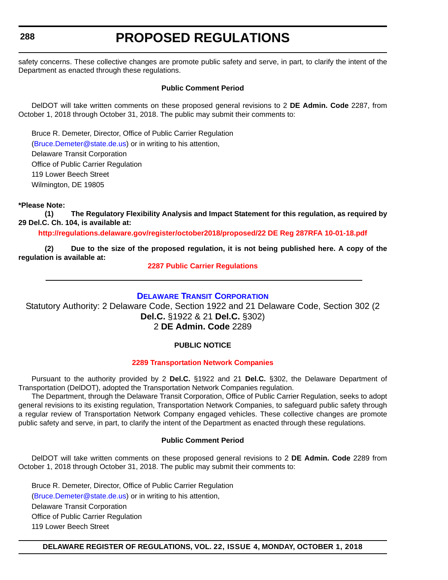#### **288**

## **PROPOSED REGULATIONS**

safety concerns. These collective changes are promote public safety and serve, in part, to clarify the intent of the Department as enacted through these regulations.

#### **Public Comment Period**

DelDOT will take written comments on these proposed general revisions to 2 **DE Admin. Code** 2287, from October 1, 2018 through October 31, 2018. The public may submit their comments to:

Bruce R. Demeter, Director, Office of Public Carrier Regulation [\(Bruce.Demeter@state.de.us\)](mailto:Bruce.Demeter@state.de.us) or in writing to his attention, Delaware Transit Corporation Office of Public Carrier Regulation 119 Lower Beech Street

Wilmington, DE 19805

#### **\*Please Note:**

**(1) The Regulatory Flexibility Analysis and Impact Statement for this regulation, as required by 29 Del.C. Ch. 104, is available at:**

**<http://regulations.delaware.gov/register/october2018/proposed/22 DE Reg 287RFA 10-01-18.pdf>**

**(2) Due to the size of the proposed regulation, it is not being published here. A copy of the regulation is available at:**

#### **[2287 Public Carrier Regulations](http://regulations.delaware.gov/register/october2018/proposed/22 DE Reg 287 10-01-18.htm)**

#### **[DELAWARE TRANSIT CORPORATION](http://web.dscc.com/Transportation-Passenger/Delaware-Transit-Corporation-519)**

Statutory Authority: 2 Delaware Code, Section 1922 and 21 Delaware Code, Section 302 (2 **Del.C.** §1922 & 21 **Del.C.** §302) 2 **DE Admin. Code** 2289

#### **PUBLIC NOTICE**

#### **[2289 Transportation Network Companies](#page-3-0)**

Pursuant to the authority provided by 2 **Del.C.** §1922 and 21 **Del.C.** §302, the Delaware Department of Transportation (DelDOT), adopted the Transportation Network Companies regulation.

The Department, through the Delaware Transit Corporation, Office of Public Carrier Regulation, seeks to adopt general revisions to its existing regulation, Transportation Network Companies, to safeguard public safety through a regular review of Transportation Network Company engaged vehicles. These collective changes are promote public safety and serve, in part, to clarify the intent of the Department as enacted through these regulations.

#### **Public Comment Period**

DelDOT will take written comments on these proposed general revisions to 2 **DE Admin. Code** 2289 from October 1, 2018 through October 31, 2018. The public may submit their comments to:

Bruce R. Demeter, Director, Office of Public Carrier Regulation [\(Bruce.Demeter@state.de.us\)](mailto:Bruce.Demeter@state.de.us) or in writing to his attention, Delaware Transit Corporation Office of Public Carrier Regulation 119 Lower Beech Street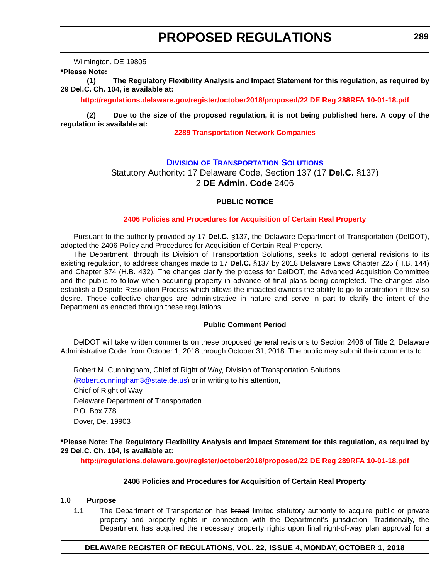Wilmington, DE 19805

**\*Please Note:** 

**(1) The Regulatory Flexibility Analysis and Impact Statement for this regulation, as required by 29 Del.C. Ch. 104, is available at:**

**<http://regulations.delaware.gov/register/october2018/proposed/22 DE Reg 288RFA 10-01-18.pdf>**

**(2) Due to the size of the proposed regulation, it is not being published here. A copy of the regulation is available at:**

#### **[2289 Transportation Network Companies](http://regulations.delaware.gov/register/october2018/proposed/22 DE Reg 288 10-01-18.htm)**

#### **DIVISION [OF TRANSPORTATION SOLUTIONS](https://www.deldot.gov/About/divisions/index.shtml)**

Statutory Authority: 17 Delaware Code, Section 137 (17 **Del.C.** §137) 2 **DE Admin. Code** 2406

#### **PUBLIC NOTICE**

#### **[2406 Policies and Procedures for Acquisition of Certain Real Property](#page-3-0)**

Pursuant to the authority provided by 17 **Del.C.** §137, the Delaware Department of Transportation (DelDOT), adopted the 2406 Policy and Procedures for Acquisition of Certain Real Property.

The Department, through its Division of Transportation Solutions, seeks to adopt general revisions to its existing regulation, to address changes made to 17 **Del.C.** §137 by 2018 Delaware Laws Chapter 225 (H.B. 144) and Chapter 374 (H.B. 432). The changes clarify the process for DelDOT, the Advanced Acquisition Committee and the public to follow when acquiring property in advance of final plans being completed. The changes also establish a Dispute Resolution Process which allows the impacted owners the ability to go to arbitration if they so desire. These collective changes are administrative in nature and serve in part to clarify the intent of the Department as enacted through these regulations.

#### **Public Comment Period**

DelDOT will take written comments on these proposed general revisions to Section 2406 of Title 2, Delaware Administrative Code, from October 1, 2018 through October 31, 2018. The public may submit their comments to:

Robert M. Cunningham, Chief of Right of Way, Division of Transportation Solutions

[\(Robert.cunningham3@state.de.us\)](mailto:Robert.cunningham3@state.de.us) or in writing to his attention,

Chief of Right of Way Delaware Department of Transportation P.O. Box 778 Dover, De. 19903

#### **\*Please Note: The Regulatory Flexibility Analysis and Impact Statement for this regulation, as required by 29 Del.C. Ch. 104, is available at:**

**<http://regulations.delaware.gov/register/october2018/proposed/22 DE Reg 289RFA 10-01-18.pdf>**

#### **2406 Policies and Procedures for Acquisition of Certain Real Property**

#### **1.0 Purpose**

1.1 The Department of Transportation has broad limited statutory authority to acquire public or private property and property rights in connection with the Department's jurisdiction. Traditionally, the Department has acquired the necessary property rights upon final right-of-way plan approval for a

#### **DELAWARE REGISTER OF REGULATIONS, VOL. 22, ISSUE 4, MONDAY, OCTOBER 1, 2018**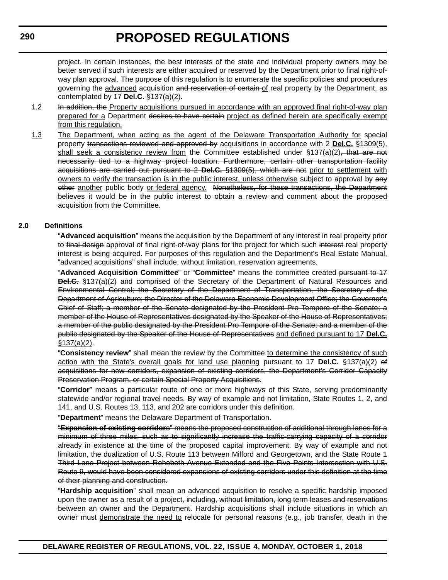project. In certain instances, the best interests of the state and individual property owners may be better served if such interests are either acquired or reserved by the Department prior to final right-ofway plan approval. The purpose of this regulation is to enumerate the specific policies and procedures governing the advanced acquisition and reservation of certain of real property by the Department, as contemplated by 17 **Del.C.** §137(a)(2).

- 1.2 In addition, the Property acquisitions pursued in accordance with an approved final right-of-way plan prepared for a Department desires to have certain project as defined herein are specifically exempt from this regulation.
- 1.3 The Department, when acting as the agent of the Delaware Transportation Authority for special property transactions reviewed and approved by acquisitions in accordance with 2 **Del.C.** §1309(5), shall seek a consistency review from the Committee established under  $\S$ 137(a)(2), that are not necessarily tied to a highway project location. Furthermore, certain other transportation facility acquisitions are carried out pursuant to 2 **Del.C.** §1309(5), which are not prior to settlement with owners to verify the transaction is in the public interest, unless otherwise subject to approval by any other another public body or federal agency. Nonetheless, for these transactions, the Department believes it would be in the public interest to obtain a review and comment about the proposed acquisition from the Committee.

#### **2.0 Definitions**

"**Advanced acquisition**" means the acquisition by the Department of any interest in real property prior to final design approval of final right-of-way plans for the project for which such interest real property interest is being acquired. For purposes of this regulation and the Department's Real Estate Manual, "advanced acquisitions" shall include, without limitation, reservation agreements.

"**Advanced Acquisition Committee**" or "**Committee**" means the committee created pursuant to 17 **Del.C.** §137(a)(2) and comprised of the Secretary of the Department of Natural Resources and Environmental Control; the Secretary of the Department of Transportation, the Secretary of the Department of Agriculture; the Director of the Delaware Economic Development Office; the Governor's Chief of Staff; a member of the Senate designated by the President Pro Tempore of the Senate; a member of the House of Representatives designated by the Speaker of the House of Representatives; a member of the public designated by the President Pro Tempore of the Senate; and a member of the public designated by the Speaker of the House of Representatives and defined pursuant to 17 **Del.C.** §137(a)(2).

"**Consistency review**" shall mean the review by the Committee to determine the consistency of such action with the State's overall goals for land use planning pursuant to 17 **Del.C.** §137(a)(2) of acquisitions for new corridors, expansion of existing corridors, the Department's Corridor Capacity Preservation Program, or certain Special Property Acquisitions.

"**Corridor**" means a particular route of one or more highways of this State, serving predominantly statewide and/or regional travel needs. By way of example and not limitation, State Routes 1, 2, and 141, and U.S. Routes 13, 113, and 202 are corridors under this definition.

"**Department**" means the Delaware Department of Transportation.

"**Expansion of existing corridors**" means the proposed construction of additional through lanes for a minimum of three miles, such as to significantly increase the traffic-carrying capacity of a corridor already in existence at the time of the proposed capital improvement. By way of example and not limitation, the dualization of U.S. Route 113 between Milford and Georgetown, and the State Route 1 Third Lane Project between Rehoboth Avenue Extended and the Five Points Intersection with U.S. Route 9, would have been considered expansions of existing corridors under this definition at the time of their planning and construction.

"**Hardship acquisition**" shall mean an advanced acquisition to resolve a specific hardship imposed upon the owner as a result of a project, including, without limitation, long term leases and reservations between an owner and the Department. Hardship acquisitions shall include situations in which an owner must demonstrate the need to relocate for personal reasons (e.g., job transfer, death in the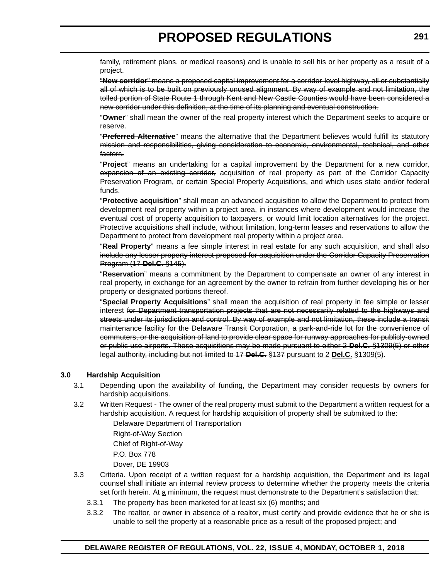family, retirement plans, or medical reasons) and is unable to sell his or her property as a result of a project.

"**New corridor**" means a proposed capital improvement for a corridor-level highway, all or substantially all of which is to be built on previously unused alignment. By way of example and not limitation, the tolled portion of State Route 1 through Kent and New Castle Counties would have been considered a new corridor under this definition, at the time of its planning and eventual construction.

"**Owner**" shall mean the owner of the real property interest which the Department seeks to acquire or reserve.

"**Preferred Alternative**" means the alternative that the Department believes would fulfill its statutory mission and responsibilities, giving consideration to economic, environmental, technical, and other factors.

"**Project**" means an undertaking for a capital improvement by the Department for a new corridor, expansion of an existing corridor, acquisition of real property as part of the Corridor Capacity Preservation Program, or certain Special Property Acquisitions, and which uses state and/or federal funds.

"**Protective acquisition**" shall mean an advanced acquisition to allow the Department to protect from development real property within a project area, in instances where development would increase the eventual cost of property acquisition to taxpayers, or would limit location alternatives for the project. Protective acquisitions shall include, without limitation, long-term leases and reservations to allow the Department to protect from development real property within a project area.

"**Real Property**" means a fee simple interest in real estate for any such acquisition, and shall also include any lesser property interest proposed for acquisition under the Corridor Capacity Preservation Program (17 **Del.C.** §145).

"**Reservation**" means a commitment by the Department to compensate an owner of any interest in real property, in exchange for an agreement by the owner to refrain from further developing his or her property or designated portions thereof.

"**Special Property Acquisitions**" shall mean the acquisition of real property in fee simple or lesser interest for Department transportation projects that are not necessarily related to the highways and streets under its jurisdiction and control. By way of example and not limitation, these include a transit maintenance facility for the Delaware Transit Corporation, a park-and-ride lot for the convenience of commuters, or the acquisition of land to provide clear space for runway approaches for publicly-owned or public use airports. These acquisitions may be made pursuant to either 2 **Del.C.** §1309(5) or other legal authority, including but not limited to 17 **Del.C.** §137 pursuant to 2 **Del.C.** §1309(5).

#### **3.0 Hardship Acquisition**

- 3.1 Depending upon the availability of funding, the Department may consider requests by owners for hardship acquisitions.
- 3.2 Written Request The owner of the real property must submit to the Department a written request for a hardship acquisition. A request for hardship acquisition of property shall be submitted to the:

Delaware Department of Transportation Right-of-Way Section Chief of Right-of-Way P.O. Box 778 Dover, DE 19903

- 3.3 Criteria. Upon receipt of a written request for a hardship acquisition, the Department and its legal counsel shall initiate an internal review process to determine whether the property meets the criteria set forth herein. At a minimum, the request must demonstrate to the Department's satisfaction that:
	- 3.3.1 The property has been marketed for at least six (6) months; and
	- 3.3.2 The realtor, or owner in absence of a realtor, must certify and provide evidence that he or she is unable to sell the property at a reasonable price as a result of the proposed project; and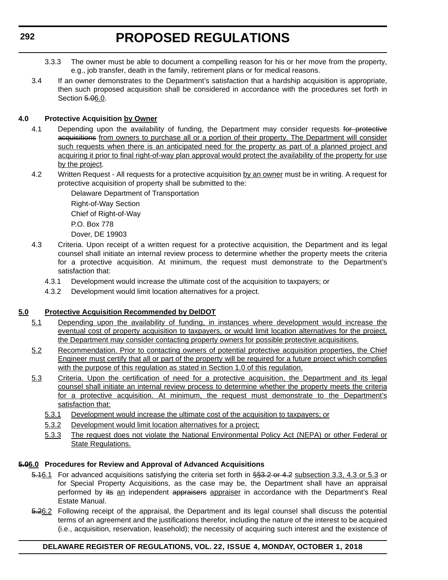- 3.3.3 The owner must be able to document a compelling reason for his or her move from the property, e.g., job transfer, death in the family, retirement plans or for medical reasons.
- 3.4 If an owner demonstrates to the Department's satisfaction that a hardship acquisition is appropriate, then such proposed acquisition shall be considered in accordance with the procedures set forth in Section 5.06.0.

#### **4.0 Protective Acquisition by Owner**

- 4.1 Depending upon the availability of funding, the Department may consider requests for protective acquisitions from owners to purchase all or a portion of their property. The Department will consider such requests when there is an anticipated need for the property as part of a planned project and acquiring it prior to final right-of-way plan approval would protect the availability of the property for use by the project.
- 4.2 Written Request All requests for a protective acquisition by an owner must be in writing. A request for protective acquisition of property shall be submitted to the:

Delaware Department of Transportation Right-of-Way Section Chief of Right-of-Way P.O. Box 778 Dover, DE 19903

- 4.3 Criteria. Upon receipt of a written request for a protective acquisition, the Department and its legal counsel shall initiate an internal review process to determine whether the property meets the criteria for a protective acquisition. At minimum, the request must demonstrate to the Department's satisfaction that:
	- 4.3.1 Development would increase the ultimate cost of the acquisition to taxpayers; or
	- 4.3.2 Development would limit location alternatives for a project.

#### **5.0 Protective Acquisition Recommended by DelDOT**

- 5.1 Depending upon the availability of funding, in instances where development would increase the eventual cost of property acquisition to taxpayers, or would limit location alternatives for the project, the Department may consider contacting property owners for possible protective acquisitions.
- 5.2 Recommendation. Prior to contacting owners of potential protective acquisition properties, the Chief Engineer must certify that all or part of the property will be required for a future project which complies with the purpose of this regulation as stated in Section 1.0 of this regulation.
- 5.3 Criteria. Upon the certification of need for a protective acquisition, the Department and its legal counsel shall initiate an internal review process to determine whether the property meets the criteria for a protective acquisition. At minimum, the request must demonstrate to the Department's satisfaction that:
	- 5.3.1 Development would increase the ultimate cost of the acquisition to taxpayers; or
	- 5.3.2 Development would limit location alternatives for a project;
	- 5.3.3 The request does not violate the National Environmental Policy Act (NEPA) or other Federal or State Regulations.

#### **5.06.0 Procedures for Review and Approval of Advanced Acquisitions**

- 5.16.1 For advanced acquisitions satisfying the criteria set forth in §§3.2 or 4.2 subsection 3.3, 4.3 or 5.3 or for Special Property Acquisitions, as the case may be, the Department shall have an appraisal performed by its an independent appraisers appraiser in accordance with the Department's Real Estate Manual.
- 5.26.2 Following receipt of the appraisal, the Department and its legal counsel shall discuss the potential terms of an agreement and the justifications therefor, including the nature of the interest to be acquired (i.e., acquisition, reservation, leasehold); the necessity of acquiring such interest and the existence of

#### **DELAWARE REGISTER OF REGULATIONS, VOL. 22, ISSUE 4, MONDAY, OCTOBER 1, 2018**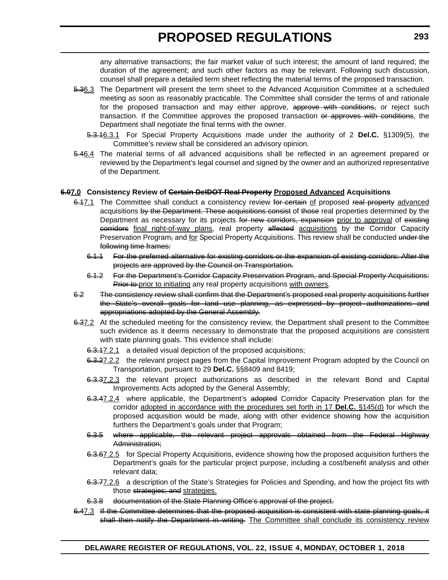any alternative transactions; the fair market value of such interest; the amount of land required; the duration of the agreement; and such other factors as may be relevant. Following such discussion, counsel shall prepare a detailed term sheet reflecting the material terms of the proposed transaction.

- 5.36.3 The Department will present the term sheet to the Advanced Acquisition Committee at a scheduled meeting as soon as reasonably practicable. The Committee shall consider the terms of and rationale for the proposed transaction and may either approve, approve with conditions, or reject such transaction. If the Committee approves the proposed transaction or approves with conditions, the Department shall negotiate the final terms with the owner.
	- 5.3.16.3.1 For Special Property Acquisitions made under the authority of 2 **Del.C.** §1309(5), the Committee's review shall be considered an advisory opinion.
- 5.46.4 The material terms of all advanced acquisitions shall be reflected in an agreement prepared or reviewed by the Department's legal counsel and signed by the owner and an authorized representative of the Department.

#### **6.07.0 Consistency Review of Certain DelDOT Real Property Proposed Advanced Acquisitions**

- 6.17.1 The Committee shall conduct a consistency review for certain of proposed real property advanced acquisitions by the Department. These acquisitions consist of those real properties determined by the Department as necessary for its projects for new corridors, expansion prior to approval of existing eorridors final right-of-way plans, real property affected acquisitions by the Corridor Capacity Preservation Program, and for Special Property Acquisitions. This review shall be conducted under the following time frames:
	- 6.1.1 For the preferred alternative for existing corridors or the expansion of existing corridors: After the projects are approved by the Council on Transportation.
	- 6.1.2 For the Department's Corridor Capacity Preservation Program, and Special Property Acquisitions: Prior to prior to initiating any real property acquisitions with owners.
- 6.2 The consistency review shall confirm that the Department's proposed real property acquisitions further the State's overall goals for land use planning, as expressed by project authorizations and appropriations adopted by the General Assembly.
- 6.37.2 At the scheduled meeting for the consistency review, the Department shall present to the Committee such evidence as it deems necessary to demonstrate that the proposed acquisitions are consistent with state planning goals. This evidence shall include:
	- 6.3.17.2.1 a detailed visual depiction of the proposed acquisitions;
	- 6.3.27.2.2 the relevant project pages from the Capital Improvement Program adopted by the Council on Transportation, pursuant to 29 **Del.C.** §§8409 and 8419;
	- 6.3.37.2.3 the relevant project authorizations as described in the relevant Bond and Capital Improvements Acts adopted by the General Assembly;
	- 6.3.47.2.4 where applicable, the Department's adopted Corridor Capacity Preservation plan for the corridor adopted in accordance with the procedures set forth in 17 **Del.C.** §145(d) for which the proposed acquisition would be made, along with other evidence showing how the acquisition furthers the Department's goals under that Program;
	- 6.3.5 where applicable, the relevant project approvals obtained from the Federal Highway Administration;
	- 6.3.67.2.5 for Special Property Acquisitions, evidence showing how the proposed acquisition furthers the Department's goals for the particular project purpose, including a cost/benefit analysis and other relevant data;
	- 6.3.77.2.6 a description of the State's Strategies for Policies and Spending, and how the project fits with those strategies; and strategies.
	- 6.3.8 documentation of the State Planning Office's approval of the project.
- 6.47.3 If the Committee determines that the proposed acquisition is consistent with state planning goals, it shall then notify the Department in writing. The Committee shall conclude its consistency review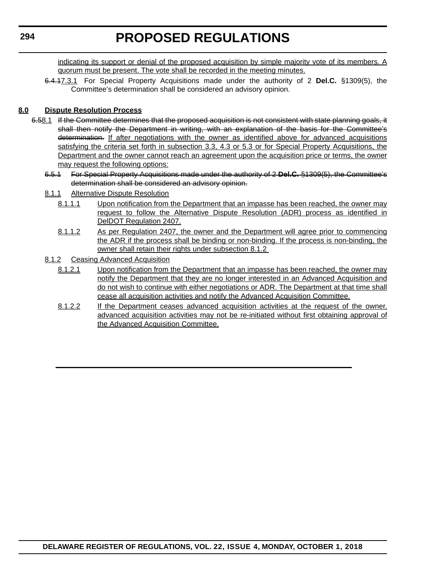indicating its support or denial of the proposed acquisition by simple majority vote of its members. A quorum must be present. The vote shall be recorded in the meeting minutes.

6.4.17.3.1 For Special Property Acquisitions made under the authority of 2 **Del.C.** §1309(5), the Committee's determination shall be considered an advisory opinion.

#### **8.0 Dispute Resolution Process**

- 6.58.1 If the Committee determines that the proposed acquisition is not consistent with state planning goals, it shall then notify the Department in writing, with an explanation of the basis for the Committee's determination. If after negotiations with the owner as identified above for advanced acquisitions satisfying the criteria set forth in subsection 3.3, 4.3 or 5.3 or for Special Property Acquisitions, the Department and the owner cannot reach an agreement upon the acquisition price or terms, the owner may request the following options:
	- 6.5.1 For Special Property Acquisitions made under the authority of 2 **Del.C.** §1309(5), the Committee's determination shall be considered an advisory opinion.
	- 8.1.1 Alternative Dispute Resolution
		- 8.1.1.1 Upon notification from the Department that an impasse has been reached, the owner may request to follow the Alternative Dispute Resolution (ADR) process as identified in DelDOT Regulation 2407.
		- 8.1.1.2 As per Regulation 2407, the owner and the Department will agree prior to commencing the ADR if the process shall be binding or non-binding. If the process is non-binding, the owner shall retain their rights under subsection 8.1.2
	- 8.1.2 Ceasing Advanced Acquisition
		- 8.1.2.1 Upon notification from the Department that an impasse has been reached, the owner may notify the Department that they are no longer interested in an Advanced Acquisition and do not wish to continue with either negotiations or ADR. The Department at that time shall cease all acquisition activities and notify the Advanced Acquisition Committee.
		- 8.1.2.2 If the Department ceases advanced acquisition activities at the request of the owner, advanced acquisition activities may not be re-initiated without first obtaining approval of the Advanced Acquisition Committee.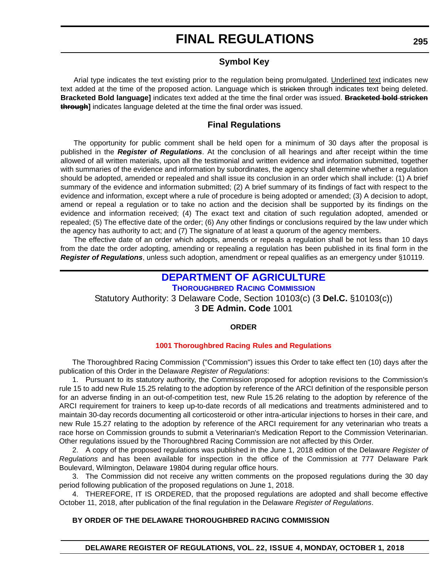### **Symbol Key**

Arial type indicates the text existing prior to the regulation being promulgated. Underlined text indicates new text added at the time of the proposed action. Language which is stricken through indicates text being deleted. **Bracketed Bold language]** indicates text added at the time the final order was issued. **Bracketed bold stricken through]** indicates language deleted at the time the final order was issued.

### **Final Regulations**

The opportunity for public comment shall be held open for a minimum of 30 days after the proposal is published in the *Register of Regulations*. At the conclusion of all hearings and after receipt within the time allowed of all written materials, upon all the testimonial and written evidence and information submitted, together with summaries of the evidence and information by subordinates, the agency shall determine whether a regulation should be adopted, amended or repealed and shall issue its conclusion in an order which shall include: (1) A brief summary of the evidence and information submitted; (2) A brief summary of its findings of fact with respect to the evidence and information, except where a rule of procedure is being adopted or amended; (3) A decision to adopt, amend or repeal a regulation or to take no action and the decision shall be supported by its findings on the evidence and information received; (4) The exact text and citation of such regulation adopted, amended or repealed; (5) The effective date of the order; (6) Any other findings or conclusions required by the law under which the agency has authority to act; and (7) The signature of at least a quorum of the agency members.

The effective date of an order which adopts, amends or repeals a regulation shall be not less than 10 days from the date the order adopting, amending or repealing a regulation has been published in its final form in the *Register of Regulations*, unless such adoption, amendment or repeal qualifies as an emergency under §10119.

#### **[DEPARTMENT OF AGRICULTURE](https://agriculture.delaware.gov/) [THOROUGHBRED RACING COMMISSION](https://agriculture.delaware.gov/thoroughbred-racing-commission/)**

Statutory Authority: 3 Delaware Code, Section 10103(c) (3 **Del.C.** §10103(c)) 3 **DE Admin. Code** 1001

#### **ORDER**

#### **[1001 Thoroughbred Racing](#page-4-0) Rules and Regulations**

The Thoroughbred Racing Commission ("Commission") issues this Order to take effect ten (10) days after the publication of this Order in the Delaware *Register of Regulations*:

1. Pursuant to its statutory authority, the Commission proposed for adoption revisions to the Commission's rule 15 to add new Rule 15.25 relating to the adoption by reference of the ARCI definition of the responsible person for an adverse finding in an out-of-competition test, new Rule 15.26 relating to the adoption by reference of the ARCI requirement for trainers to keep up-to-date records of all medications and treatments administered and to maintain 30-day records documenting all corticosteroid or other intra-articular injections to horses in their care, and new Rule 15.27 relating to the adoption by reference of the ARCI requirement for any veterinarian who treats a race horse on Commission grounds to submit a Veterinarian's Medication Report to the Commission Veterinarian. Other regulations issued by the Thoroughbred Racing Commission are not affected by this Order.

2. A copy of the proposed regulations was published in the June 1, 2018 edition of the Delaware *Register of Regulations* and has been available for inspection in the office of the Commission at 777 Delaware Park Boulevard, Wilmington, Delaware 19804 during regular office hours.

3. The Commission did not receive any written comments on the proposed regulations during the 30 day period following publication of the proposed regulations on June 1, 2018.

4. THEREFORE, IT IS ORDERED, that the proposed regulations are adopted and shall become effective October 11, 2018, after publication of the final regulation in the Delaware *Register of Regulations*.

#### **BY ORDER OF THE DELAWARE THOROUGHBRED RACING COMMISSION**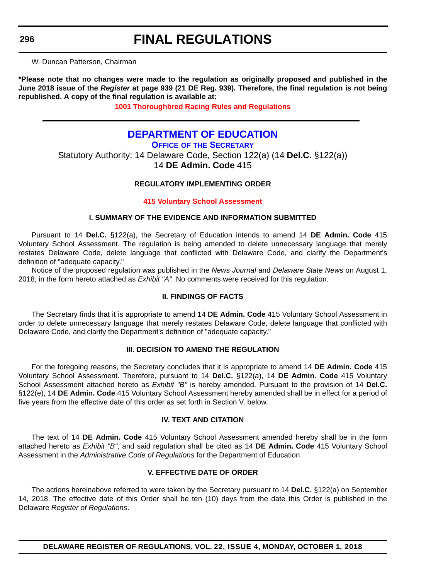W. Duncan Patterson, Chairman

**\*Please note that no changes were made to the regulation as originally proposed and published in the June 2018 issue of the** *Register* **at page 939 (21 DE Reg. 939). Therefore, the final regulation is not being republished. A copy of the final regulation is available at:**

**[1001 Thoroughbred Racing](http://regulations.delaware.gov/register/october2018/final/22 DE Reg 295 10-01-18.htm) Rules and Regulations**

### **[DEPARTMENT OF EDUCATION](https://www.doe.k12.de.us/)**

**OFFICE OF [THE SECRETARY](https://pubapps.doe.k12.de.us/EducationalDirectoryPublic/pages/Details/IndividualDetails.aspx?IndType=DOE&EmpID=10147)** Statutory Authority: 14 Delaware Code, Section 122(a) (14 **Del.C.** §122(a)) 14 **DE Admin. Code** 415

#### **REGULATORY IMPLEMENTING ORDER**

#### **[415 Voluntary School Assessment](#page-4-0)**

#### **I. SUMMARY OF THE EVIDENCE AND INFORMATION SUBMITTED**

Pursuant to 14 **Del.C.** §122(a), the Secretary of Education intends to amend 14 **DE Admin. Code** 415 Voluntary School Assessment. The regulation is being amended to delete unnecessary language that merely restates Delaware Code, delete language that conflicted with Delaware Code, and clarify the Department's definition of "adequate capacity."

Notice of the proposed regulation was published in the *News Journal* and *Delaware State New*s on August 1, 2018, in the form hereto attached as *Exhibit "A"*. No comments were received for this regulation.

#### **II. FINDINGS OF FACTS**

The Secretary finds that it is appropriate to amend 14 **DE Admin. Code** 415 Voluntary School Assessment in order to delete unnecessary language that merely restates Delaware Code, delete language that conflicted with Delaware Code, and clarify the Department's definition of "adequate capacity."

#### **III. DECISION TO AMEND THE REGULATION**

For the foregoing reasons, the Secretary concludes that it is appropriate to amend 14 **DE Admin. Code** 415 Voluntary School Assessment. Therefore, pursuant to 14 **Del.C.** §122(a), 14 **DE Admin. Code** 415 Voluntary School Assessment attached hereto as *Exhibit "B"* is hereby amended. Pursuant to the provision of 14 **Del.C.** §122(e), 14 **DE Admin. Code** 415 Voluntary School Assessment hereby amended shall be in effect for a period of five years from the effective date of this order as set forth in Section V. below.

#### **IV. TEXT AND CITATION**

The text of 14 **DE Admin. Code** 415 Voluntary School Assessment amended hereby shall be in the form attached hereto as *Exhibit "B"*, and said regulation shall be cited as 14 **DE Admin. Code** 415 Voluntary School Assessment in the *Administrative Code of Regulations* for the Department of Education.

#### **V. EFFECTIVE DATE OF ORDER**

The actions hereinabove referred to were taken by the Secretary pursuant to 14 **Del.C.** §122(a) on September 14, 2018. The effective date of this Order shall be ten (10) days from the date this Order is published in the Delaware *Register of Regulations*.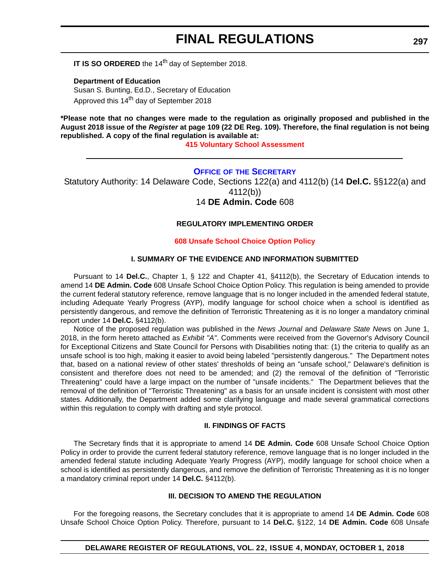**IT IS SO ORDERED** the 14<sup>th</sup> day of September 2018.

**Department of Education** Susan S. Bunting, Ed.D., Secretary of Education Approved this 14<sup>th</sup> day of September 2018

**\*Please note that no changes were made to the regulation as originally proposed and published in the August 2018 issue of the** *Register* **at page 109 (22 DE Reg. 109). Therefore, the final regulation is not being republished. A copy of the final regulation is available at:**

#### **[415 Voluntary School Assessment](http://regulations.delaware.gov/register/october2018/final/22 DE Reg 296 10-01-18.htm)**

#### **OFFICE OF [THE SECRETARY](https://pubapps.doe.k12.de.us/EducationalDirectoryPublic/pages/Details/IndividualDetails.aspx?IndType=DOE&EmpID=10147)**

Statutory Authority: 14 Delaware Code, Sections 122(a) and 4112(b) (14 **Del.C.** §§122(a) and 4112(b))

### 14 **DE Admin. Code** 608

#### **REGULATORY IMPLEMENTING ORDER**

#### **[608 Unsafe School Choice Option Policy](#page-4-0)**

#### **I. SUMMARY OF THE EVIDENCE AND INFORMATION SUBMITTED**

Pursuant to 14 **Del.C.**, Chapter 1, § 122 and Chapter 41, §4112(b), the Secretary of Education intends to amend 14 **DE Admin. Code** 608 Unsafe School Choice Option Policy. This regulation is being amended to provide the current federal statutory reference, remove language that is no longer included in the amended federal statute, including Adequate Yearly Progress (AYP), modify language for school choice when a school is identified as persistently dangerous, and remove the definition of Terroristic Threatening as it is no longer a mandatory criminal report under 14 **Del.C.** §4112(b).

Notice of the proposed regulation was published in the *News Journal* and *Delaware State News* on June 1, 2018, in the form hereto attached as *Exhibit "A"*. Comments were received from the Governor's Advisory Council for Exceptional Citizens and State Council for Persons with Disabilities noting that: (1) the criteria to qualify as an unsafe school is too high, making it easier to avoid being labeled "persistently dangerous." The Department notes that, based on a national review of other states' thresholds of being an "unsafe school," Delaware's definition is consistent and therefore does not need to be amended; and (2) the removal of the definition of "Terroristic Threatening" could have a large impact on the number of "unsafe incidents." The Department believes that the removal of the definition of "Terroristic Threatening" as a basis for an unsafe incident is consistent with most other states. Additionally, the Department added some clarifying language and made several grammatical corrections within this regulation to comply with drafting and style protocol.

#### **II. FINDINGS OF FACTS**

The Secretary finds that it is appropriate to amend 14 **DE Admin. Code** 608 Unsafe School Choice Option Policy in order to provide the current federal statutory reference, remove language that is no longer included in the amended federal statute including Adequate Yearly Progress (AYP), modify language for school choice when a school is identified as persistently dangerous, and remove the definition of Terroristic Threatening as it is no longer a mandatory criminal report under 14 **Del.C.** §4112(b).

#### **III. DECISION TO AMEND THE REGULATION**

For the foregoing reasons, the Secretary concludes that it is appropriate to amend 14 **DE Admin. Code** 608 Unsafe School Choice Option Policy. Therefore, pursuant to 14 **Del.C.** §122, 14 **DE Admin. Code** 608 Unsafe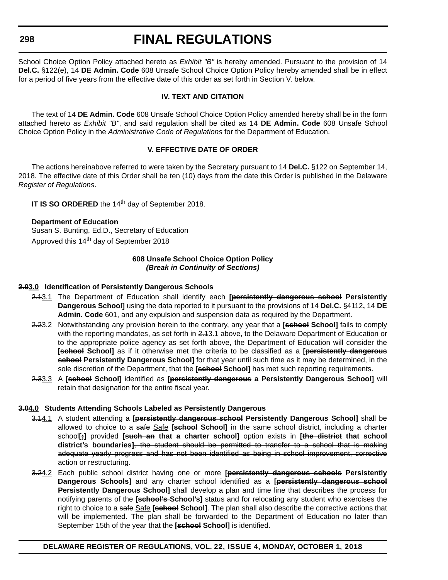**298**

## **FINAL REGULATIONS**

School Choice Option Policy attached hereto as *Exhibit "B"* is hereby amended. Pursuant to the provision of 14 **Del.C.** §122(e), 14 **DE Admin. Code** 608 Unsafe School Choice Option Policy hereby amended shall be in effect for a period of five years from the effective date of this order as set forth in Section V. below.

#### **IV. TEXT AND CITATION**

The text of 14 **DE Admin. Code** 608 Unsafe School Choice Option Policy amended hereby shall be in the form attached hereto as *Exhibit "B"*, and said regulation shall be cited as 14 **DE Admin. Code** 608 Unsafe School Choice Option Policy in the *Administrative Code of Regulations* for the Department of Education.

#### **V. EFFECTIVE DATE OF ORDER**

The actions hereinabove referred to were taken by the Secretary pursuant to 14 **Del.C.** §122 on September 14, 2018. The effective date of this Order shall be ten (10) days from the date this Order is published in the Delaware *Register of Regulations*.

**IT IS SO ORDERED** the 14<sup>th</sup> day of September 2018.

#### **Department of Education**

Susan S. Bunting, Ed.D., Secretary of Education Approved this 14<sup>th</sup> day of September 2018

#### **608 Unsafe School Choice Option Policy** *(Break in Continuity of Sections)*

#### **2.03.0 Identification of Persistently Dangerous Schools**

- 2.13.1 The Department of Education shall identify each **[persistently dangerous school Persistently Dangerous School]** using the data reported to it pursuant to the provisions of 14 **Del.C.** §4112**,** 14 **DE Admin. Code** 601, and any expulsion and suspension data as required by the Department.
- 2.23.2 Notwithstanding any provision herein to the contrary, any year that a **[school School]** fails to comply with the reporting mandates, as set forth in  $2.13.1$  above, to the Delaware Department of Education or to the appropriate police agency as set forth above, the Department of Education will consider the **[school School]** as if it otherwise met the criteria to be classified as a **[persistently dangerous school Persistently Dangerous School]** for that year until such time as it may be determined, in the sole discretion of the Department, that the **[school School]** has met such reporting requirements.
- 2.33.3 A **[school School]** identified as **[persistently dangerous a Persistently Dangerous School]** will retain that designation for the entire fiscal year.

#### **3.04.0 Students Attending Schools Labeled as Persistently Dangerous**

- 3.14.1 A student attending a **[persistently dangerous school Persistently Dangerous School]** shall be allowed to choice to a safe Safe **[school School]** in the same school district, including a charter school**[;]** provided **[such an that a charter school]** option exists in **[the district that school district's boundaries]**, the student should be permitted to transfer to a school that is making adequate yearly progress and has not been identified as being in school improvement, corrective action or restructuring.
- 3.24.2 Each public school district having one or more **[persistently dangerous schools Persistently Dangerous Schools]** and any charter school identified as a **[persistently dangerous school Persistently Dangerous School]** shall develop a plan and time line that describes the process for notifying parents of the **[school's School's]** status and for relocating any student who exercises the right to choice to a safe Safe **[school School]**. The plan shall also describe the corrective actions that will be implemented. The plan shall be forwarded to the Department of Education no later than September 15th of the year that the **[school School]** is identified.

#### **DELAWARE REGISTER OF REGULATIONS, VOL. 22, ISSUE 4, MONDAY, OCTOBER 1, 2018**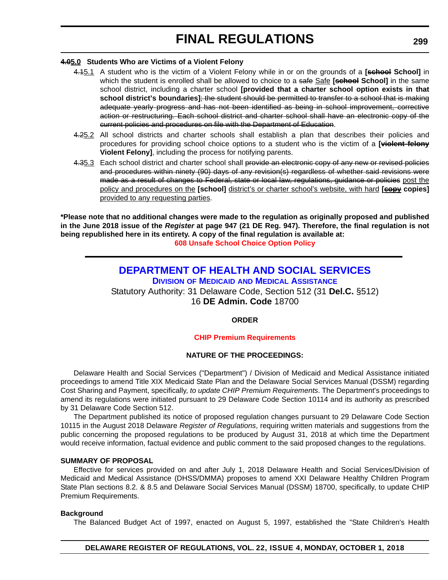#### **4.05.0 Students Who are Victims of a Violent Felony**

- 4.15.1 A student who is the victim of a Violent Felony while in or on the grounds of a **[seheel School]** in which the student is enrolled shall be allowed to choice to a safe Safe **[school School]** in the same school district, including a charter school **[provided that a charter school option exists in that school district's boundaries]**; the student should be permitted to transfer to a school that is making adequate yearly progress and has not been identified as being in school improvement, corrective action or restructuring. Each school district and charter school shall have an electronic copy of the current policies and procedures on file with the Department of Education.
- 4.25.2 All school districts and charter schools shall establish a plan that describes their policies and procedures for providing school choice options to a student who is the victim of a **[violent felony Violent Felony]**, including the process for notifying parents.
- 4.35.3 Each school district and charter school shall provide an electronic copy of any new or revised policies and procedures within ninety (90) days of any revision(s) regardless of whether said revisions were made as a result of changes to Federal, state or local law, regulations, guidance or policies post the policy and procedures on the **[school]** district's or charter school's website, with hard **[copy copies]** provided to any requesting parties.

**\*Please note that no additional changes were made to the regulation as originally proposed and published in the June 2018 issue of the** *Register* **at page 947 (21 DE Reg. 947). Therefore, the final regulation is not being republished here in its entirety. A copy of the final regulation is available at: [608 Unsafe School Choice Option Policy](http://regulations.delaware.gov/register/october2018/final/22 DE Reg 297 10-01-18.htm)**

### **[DEPARTMENT OF HEALTH AND SOCIAL SERVICES](https://www.dhss.delaware.gov/dhss/index.html) DIVISION OF MEDICAID [AND MEDICAL ASSISTANCE](https://www.dhss.delaware.gov/dhss/dmma/)**

Statutory Authority: 31 Delaware Code, Section 512 (31 **Del.C.** §512) 16 **DE Admin. Code** 18700

#### **ORDER**

#### **[CHIP Premium Requirements](#page-4-0)**

#### **NATURE OF THE PROCEEDINGS:**

Delaware Health and Social Services ("Department") / Division of Medicaid and Medical Assistance initiated proceedings to amend Title XIX Medicaid State Plan and the Delaware Social Services Manual (DSSM) regarding Cost Sharing and Payment, specifically, *to update CHIP Premium Requirements*. The Department's proceedings to amend its regulations were initiated pursuant to 29 Delaware Code Section 10114 and its authority as prescribed by 31 Delaware Code Section 512.

The Department published its notice of proposed regulation changes pursuant to 29 Delaware Code Section 10115 in the August 2018 Delaware *Register of Regulations*, requiring written materials and suggestions from the public concerning the proposed regulations to be produced by August 31, 2018 at which time the Department would receive information, factual evidence and public comment to the said proposed changes to the regulations.

#### **SUMMARY OF PROPOSAL**

Effective for services provided on and after July 1, 2018 Delaware Health and Social Services/Division of Medicaid and Medical Assistance (DHSS/DMMA) proposes to amend XXI Delaware Healthy Children Program State Plan sections 8.2. & 8.5 and Delaware Social Services Manual (DSSM) 18700, specifically, to update CHIP Premium Requirements.

#### **Background**

The Balanced Budget Act of 1997, enacted on August 5, 1997, established the "State Children's Health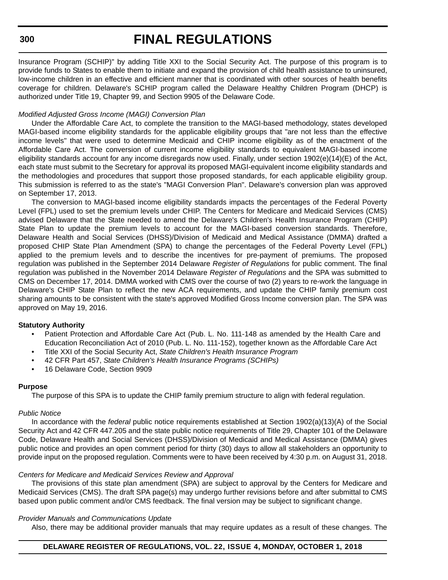#### **300**

## **FINAL REGULATIONS**

Insurance Program (SCHIP)" by adding Title XXI to the Social Security Act. The purpose of this program is to provide funds to States to enable them to initiate and expand the provision of child health assistance to uninsured, low-income children in an effective and efficient manner that is coordinated with other sources of health benefits coverage for children. Delaware's SCHIP program called the Delaware Healthy Children Program (DHCP) is authorized under Title 19, Chapter 99, and Section 9905 of the Delaware Code.

#### *Modified Adjusted Gross Income (MAGI) Conversion Plan*

Under the Affordable Care Act, to complete the transition to the MAGI-based methodology, states developed MAGI-based income eligibility standards for the applicable eligibility groups that "are not less than the effective income levels" that were used to determine Medicaid and CHIP income eligibility as of the enactment of the Affordable Care Act. The conversion of current income eligibility standards to equivalent MAGI-based income eligibility standards account for any income disregards now used. Finally, under section 1902(e)(14)(E) of the Act, each state must submit to the Secretary for approval its proposed MAGI-equivalent income eligibility standards and the methodologies and procedures that support those proposed standards, for each applicable eligibility group. This submission is referred to as the state's "MAGI Conversion Plan". Delaware's conversion plan was approved on September 17, 2013.

The conversion to MAGI-based income eligibility standards impacts the percentages of the Federal Poverty Level (FPL) used to set the premium levels under CHIP. The Centers for Medicare and Medicaid Services (CMS) advised Delaware that the State needed to amend the Delaware's Children's Health Insurance Program (CHIP) State Plan to update the premium levels to account for the MAGI-based conversion standards. Therefore, Delaware Health and Social Services (DHSS)/Division of Medicaid and Medical Assistance (DMMA) drafted a proposed CHIP State Plan Amendment (SPA) to change the percentages of the Federal Poverty Level (FPL) applied to the premium levels and to describe the incentives for pre-payment of premiums. The proposed regulation was published in the September 2014 Delaware *Register of Regulations* for public comment. The final regulation was published in the November 2014 Delaware *Register of Regulations* and the SPA was submitted to CMS on December 17, 2014. DMMA worked with CMS over the course of two (2) years to re-work the language in Delaware's CHIP State Plan to reflect the new ACA requirements, and update the CHIP family premium cost sharing amounts to be consistent with the state's approved Modified Gross Income conversion plan. The SPA was approved on May 19, 2016.

#### **Statutory Authority**

- Patient Protection and Affordable Care Act (Pub. L. No. 111-148 as amended by the Health Care and Education Reconciliation Act of 2010 (Pub. L. No. 111-152), together known as the Affordable Care Act
- Title XXI of the Social Security Act, *State Children's Health Insurance Program*
- 42 CFR Part 457, *State Children's Health Insurance Programs (SCHIPs)*
- 16 Delaware Code, Section 9909

#### **Purpose**

The purpose of this SPA is to update the CHIP family premium structure to align with federal regulation.

#### *Public Notice*

In accordance with the *federal* public notice requirements established at Section 1902(a)(13)(A) of the Social Security Act and 42 CFR 447.205 and the state public notice requirements of Title 29, Chapter 101 of the Delaware Code, Delaware Health and Social Services (DHSS)/Division of Medicaid and Medical Assistance (DMMA) gives public notice and provides an open comment period for thirty (30) days to allow all stakeholders an opportunity to provide input on the proposed regulation. Comments were to have been received by 4:30 p.m. on August 31, 2018.

#### *Centers for Medicare and Medicaid Services Review and Approval*

The provisions of this state plan amendment (SPA) are subject to approval by the Centers for Medicare and Medicaid Services (CMS). The draft SPA page(s) may undergo further revisions before and after submittal to CMS based upon public comment and/or CMS feedback. The final version may be subject to significant change.

#### *Provider Manuals and Communications Update*

Also, there may be additional provider manuals that may require updates as a result of these changes. The

#### **DELAWARE REGISTER OF REGULATIONS, VOL. 22, ISSUE 4, MONDAY, OCTOBER 1, 2018**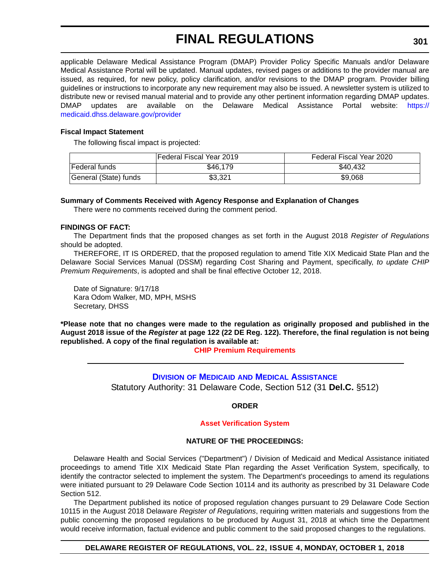applicable Delaware Medical Assistance Program (DMAP) Provider Policy Specific Manuals and/or Delaware Medical Assistance Portal will be updated. Manual updates, revised pages or additions to the provider manual are issued, as required, for new policy, policy clarification, and/or revisions to the DMAP program. Provider billing guidelines or instructions to incorporate any new requirement may also be issued. A newsletter system is utilized to distribute new or revised manual material and to provide any other pertinent information regarding DMAP updates. DMAP updates are available on the Delaware Medical Assistance Portal website: [https://](https://medicaid.dhss.delaware.gov/provider) [medicaid.dhss.delaware.gov/provider](https://medicaid.dhss.delaware.gov/provider)

#### **Fiscal Impact Statement**

The following fiscal impact is projected:

|                       | lFederal Fiscal Year 2019 | Federal Fiscal Year 2020 |
|-----------------------|---------------------------|--------------------------|
| <b>IFederal funds</b> | \$46,179                  | \$40.432                 |
| General (State) funds | \$3,321                   | \$9,068                  |

#### **Summary of Comments Received with Agency Response and Explanation of Changes**

There were no comments received during the comment period.

#### **FINDINGS OF FACT:**

The Department finds that the proposed changes as set forth in the August 2018 *Register of Regulations* should be adopted.

THEREFORE, IT IS ORDERED, that the proposed regulation to amend Title XIX Medicaid State Plan and the Delaware Social Services Manual (DSSM) regarding Cost Sharing and Payment, specifically, *to update CHIP Premium Requirements*, is adopted and shall be final effective October 12, 2018.

Date of Signature: 9/17/18 Kara Odom Walker, MD, MPH, MSHS Secretary, DHSS

**\*Please note that no changes were made to the regulation as originally proposed and published in the August 2018 issue of the** *Register* **at page 122 (22 DE Reg. 122). Therefore, the final regulation is not being republished. A copy of the final regulation is available at:**

#### **[CHIP Premium Requirements](http://regulations.delaware.gov/register/october2018/final/22 DE Reg 299 10-01-18.htm)**

**DIVISION OF MEDICAID [AND MEDICAL ASSISTANCE](https://www.dhss.delaware.gov/dhss/dmma/)** Statutory Authority: 31 Delaware Code, Section 512 (31 **Del.C.** §512)

#### **ORDER**

#### **[Asset Verification System](#page-4-0)**

#### **NATURE OF THE PROCEEDINGS:**

Delaware Health and Social Services ("Department") / Division of Medicaid and Medical Assistance initiated proceedings to amend Title XIX Medicaid State Plan regarding the Asset Verification System, specifically, to identify the contractor selected to implement the system. The Department's proceedings to amend its regulations were initiated pursuant to 29 Delaware Code Section 10114 and its authority as prescribed by 31 Delaware Code Section 512.

The Department published its notice of proposed regulation changes pursuant to 29 Delaware Code Section 10115 in the August 2018 Delaware *Register of Regulations*, requiring written materials and suggestions from the public concerning the proposed regulations to be produced by August 31, 2018 at which time the Department would receive information, factual evidence and public comment to the said proposed changes to the regulations.

#### **DELAWARE REGISTER OF REGULATIONS, VOL. 22, ISSUE 4, MONDAY, OCTOBER 1, 2018**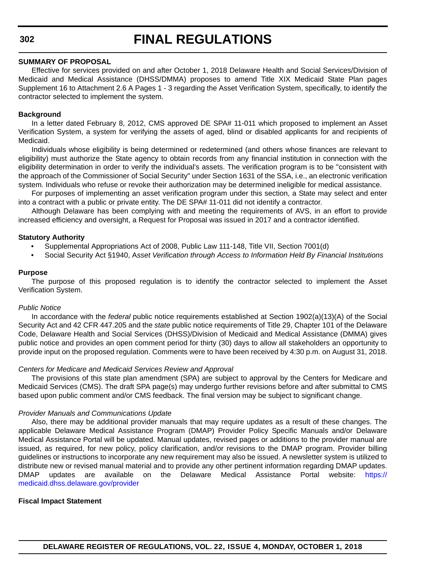#### **SUMMARY OF PROPOSAL**

Effective for services provided on and after October 1, 2018 Delaware Health and Social Services/Division of Medicaid and Medical Assistance (DHSS/DMMA) proposes to amend Title XIX Medicaid State Plan pages Supplement 16 to Attachment 2.6 A Pages 1 - 3 regarding the Asset Verification System, specifically, to identify the contractor selected to implement the system.

#### **Background**

In a letter dated February 8, 2012, CMS approved DE SPA# 11-011 which proposed to implement an Asset Verification System, a system for verifying the assets of aged, blind or disabled applicants for and recipients of Medicaid.

Individuals whose eligibility is being determined or redetermined (and others whose finances are relevant to eligibility) must authorize the State agency to obtain records from any financial institution in connection with the eligibility determination in order to verify the individual's assets. The verification program is to be "consistent with the approach of the Commissioner of Social Security" under Section 1631 of the SSA, i.e., an electronic verification system. Individuals who refuse or revoke their authorization may be determined ineligible for medical assistance.

For purposes of implementing an asset verification program under this section, a State may select and enter into a contract with a public or private entity. The DE SPA# 11-011 did not identify a contractor.

Although Delaware has been complying with and meeting the requirements of AVS, in an effort to provide increased efficiency and oversight, a Request for Proposal was issued in 2017 and a contractor identified.

#### **Statutory Authority**

- Supplemental Appropriations Act of 2008, Public Law 111-148, Title VII, Section 7001(d)
- Social Security Act §1940, A*sset Verification through Access to Information Held By Financial Institutions*

#### **Purpose**

The purpose of this proposed regulation is to identify the contractor selected to implement the Asset Verification System.

#### *Public Notice*

In accordance with the *federal* public notice requirements established at Section 1902(a)(13)(A) of the Social Security Act and 42 CFR 447.205 and the *state* public notice requirements of Title 29, Chapter 101 of the Delaware Code, Delaware Health and Social Services (DHSS)/Division of Medicaid and Medical Assistance (DMMA) gives public notice and provides an open comment period for thirty (30) days to allow all stakeholders an opportunity to provide input on the proposed regulation. Comments were to have been received by 4:30 p.m. on August 31, 2018.

#### *Centers for Medicare and Medicaid Services Review and Approval*

The provisions of this state plan amendment (SPA) are subject to approval by the Centers for Medicare and Medicaid Services (CMS). The draft SPA page(s) may undergo further revisions before and after submittal to CMS based upon public comment and/or CMS feedback. The final version may be subject to significant change.

#### *Provider Manuals and Communications Update*

Also, there may be additional provider manuals that may require updates as a result of these changes. The applicable Delaware Medical Assistance Program (DMAP) Provider Policy Specific Manuals and/or Delaware Medical Assistance Portal will be updated. Manual updates, revised pages or additions to the provider manual are issued, as required, for new policy, policy clarification, and/or revisions to the DMAP program. Provider billing guidelines or instructions to incorporate any new requirement may also be issued. A newsletter system is utilized to distribute new or revised manual material and to provide any other pertinent information regarding DMAP updates. DMAP updates are available on the Delaware Medical Assistance Portal website: [https://](https://medicaid.dhss.delaware.gov/provider) [medicaid.dhss.delaware.gov/provider](https://medicaid.dhss.delaware.gov/provider)

#### **Fiscal Impact Statement**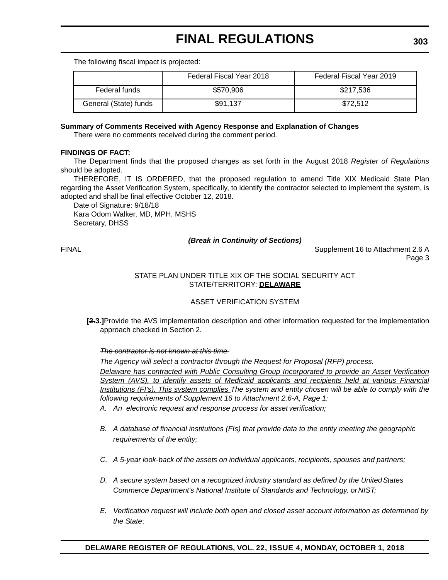The following fiscal impact is projected:

|                       | Federal Fiscal Year 2018 | Federal Fiscal Year 2019 |
|-----------------------|--------------------------|--------------------------|
| Federal funds         | \$570,906                | \$217,536                |
| General (State) funds | \$91.137                 | \$72.512                 |

#### **Summary of Comments Received with Agency Response and Explanation of Changes**

There were no comments received during the comment period.

#### **FINDINGS OF FACT:**

The Department finds that the proposed changes as set forth in the August 2018 *Register of Regulations* should be adopted.

THEREFORE, IT IS ORDERED, that the proposed regulation to amend Title XIX Medicaid State Plan regarding the Asset Verification System, specifically, to identify the contractor selected to implement the system, is adopted and shall be final effective October 12, 2018.

Date of Signature: 9/18/18 Kara Odom Walker, MD, MPH, MSHS Secretary, DHSS

#### *(Break in Continuity of Sections)*

FINAL Supplement 16 to Attachment 2.6 A Page 3

#### STATE PLAN UNDER TITLE XIX OF THE SOCIAL SECURITY ACT STATE/TERRITORY: **DELAWARE**

#### ASSET VERIFICATION SYSTEM

**[2.3.]**Provide the AVS implementation description and other information requested for the implementation approach checked in Section 2.

#### *The contractor is not known at this time.*

*The Agency will select a contractor through the Request for Proposal (RFP) process.*

*Delaware has contracted with Public Consulting Group Incorporated to provide an Asset Verification System (AVS), to identify assets of Medicaid applicants and recipients held at various Financial Institutions (FI's). This system complies The system and entity chosen will be able to comply with the following requirements of Supplement 16 to Attachment 2.6-A, Page 1:*

*A. An electronic request and response process for asset verification;*

- *B. A database of financial institutions (FIs) that provide data to the entity meeting the geographic requirements of the entity;*
- *C. A 5-year look-back of the assets on individual applicants, recipients, spouses and partners;*
- *D. A secure system based on a recognized industry standard as defined by the United States Commerce Department's National Institute of Standards and Technology, or NIST;*
- *E. Verification request will include both open and closed asset account information as determined by the State*;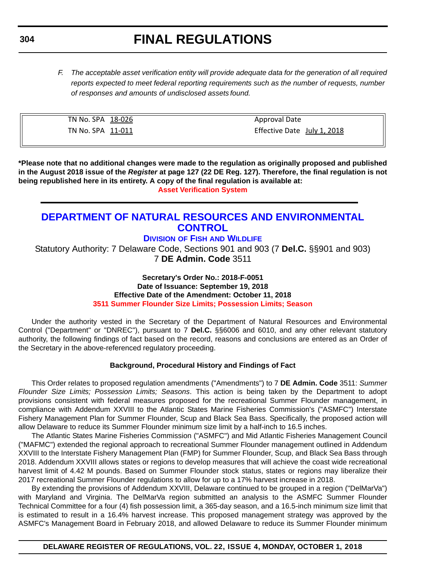*F. The acceptable asset verification entity will provide adequate data for the generation of all required reports expected to meet federal reporting requirements such as the number of requests, number of responses and amounts of undisclosed assets found.*

| TN No. SPA 18-026 | <b>Approval Date</b>        |
|-------------------|-----------------------------|
| TN No. SPA 11-011 | Effective Date July 1, 2018 |

**\*Please note that no additional changes were made to the regulation as originally proposed and published in the August 2018 issue of the** *Register* **at page 127 (22 DE Reg. 127). Therefore, the final regulation is not being republished here in its entirety. A copy of the final regulation is available at: [Asset Verification System](http://regulations.delaware.gov/register/october2018/final/22 DE Reg 301 10-01-18.htm)**

### **[DEPARTMENT OF NATURAL RESOURCES AND ENVIRONMENTAL](https://dnrec.alpha.delaware.gov/)  CONTROL**

#### **DIVISION OF FISH [AND WILDLIFE](https://dnrec.alpha.delaware.gov/fish-wildlife/)**

Statutory Authority: 7 Delaware Code, Sections 901 and 903 (7 **Del.C.** §§901 and 903) 7 **DE Admin. Code** 3511

> **Secretary's Order No.: 2018-F-0051 Date of Issuance: September 19, 2018 Effective Date of the Amendment: October 11, 2018 [3511 Summer Flounder Size Limits; Possession Limits; Season](#page-4-0)**

Under the authority vested in the Secretary of the Department of Natural Resources and Environmental Control ("Department" or "DNREC"), pursuant to 7 **Del.C.** §§6006 and 6010, and any other relevant statutory authority, the following findings of fact based on the record, reasons and conclusions are entered as an Order of the Secretary in the above-referenced regulatory proceeding.

#### **Background, Procedural History and Findings of Fact**

This Order relates to proposed regulation amendments ("Amendments") to 7 **DE Admin. Code** 3511: *Summer Flounder Size Limits; Possession Limits; Seasons*. This action is being taken by the Department to adopt provisions consistent with federal measures proposed for the recreational Summer Flounder management, in compliance with Addendum XXVIII to the Atlantic States Marine Fisheries Commission's ("ASMFC") Interstate Fishery Management Plan for Summer Flounder, Scup and Black Sea Bass. Specifically, the proposed action will allow Delaware to reduce its Summer Flounder minimum size limit by a half-inch to 16.5 inches.

The Atlantic States Marine Fisheries Commission ("ASMFC") and Mid Atlantic Fisheries Management Council ("MAFMC") extended the regional approach to recreational Summer Flounder management outlined in Addendum XXVIII to the Interstate Fishery Management Plan (FMP) for Summer Flounder, Scup, and Black Sea Bass through 2018. Addendum XXVIII allows states or regions to develop measures that will achieve the coast wide recreational harvest limit of 4.42 M pounds. Based on Summer Flounder stock status, states or regions may liberalize their 2017 recreational Summer Flounder regulations to allow for up to a 17% harvest increase in 2018.

By extending the provisions of Addendum XXVIII, Delaware continued to be grouped in a region ("DelMarVa") with Maryland and Virginia. The DelMarVa region submitted an analysis to the ASMFC Summer Flounder Technical Committee for a four (4) fish possession limit, a 365-day season, and a 16.5-inch minimum size limit that is estimated to result in a 16.4% harvest increase. This proposed management strategy was approved by the ASMFC's Management Board in February 2018, and allowed Delaware to reduce its Summer Flounder minimum

### **DELAWARE REGISTER OF REGULATIONS, VOL. 22, ISSUE 4, MONDAY, OCTOBER 1, 2018**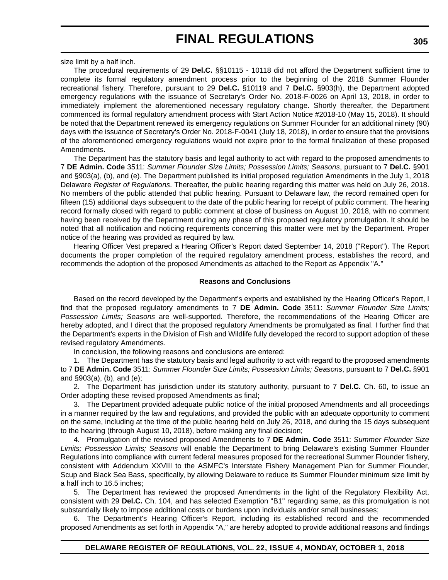size limit by a half inch.

The procedural requirements of 29 **Del.C.** §§10115 - 10118 did not afford the Department sufficient time to complete its formal regulatory amendment process prior to the beginning of the 2018 Summer Flounder recreational fishery. Therefore, pursuant to 29 **Del.C.** §10119 and 7 **Del.C.** §903(h), the Department adopted emergency regulations with the issuance of Secretary's Order No. 2018-F-0026 on April 13, 2018, in order to immediately implement the aforementioned necessary regulatory change. Shortly thereafter, the Department commenced its formal regulatory amendment process with Start Action Notice #2018-10 (May 15, 2018). It should be noted that the Department renewed its emergency regulations on Summer Flounder for an additional ninety (90) days with the issuance of Secretary's Order No. 2018-F-0041 (July 18, 2018), in order to ensure that the provisions of the aforementioned emergency regulations would not expire prior to the formal finalization of these proposed Amendments.

The Department has the statutory basis and legal authority to act with regard to the proposed amendments to 7 **DE Admin. Code** 3511: *Summer Flounder Size Limits; Possession Limits; Seasons*, pursuant to 7 **Del.C.** §901 and §903(a), (b), and (e). The Department published its initial proposed regulation Amendments in the July 1, 2018 Delaware *Register of Regulations*. Thereafter, the public hearing regarding this matter was held on July 26, 2018. No members of the public attended that public hearing. Pursuant to Delaware law, the record remained open for fifteen (15) additional days subsequent to the date of the public hearing for receipt of public comment. The hearing record formally closed with regard to public comment at close of business on August 10, 2018, with no comment having been received by the Department during any phase of this proposed regulatory promulgation. It should be noted that all notification and noticing requirements concerning this matter were met by the Department. Proper notice of the hearing was provided as required by law.

Hearing Officer Vest prepared a Hearing Officer's Report dated September 14, 2018 ("Report"). The Report documents the proper completion of the required regulatory amendment process, establishes the record, and recommends the adoption of the proposed Amendments as attached to the Report as Appendix "A."

#### **Reasons and Conclusions**

Based on the record developed by the Department's experts and established by the Hearing Officer's Report, I find that the proposed regulatory amendments to 7 **DE Admin. Code** 3511: *Summer Flounder Size Limits; Possession Limits; Seasons* are well-supported. Therefore, the recommendations of the Hearing Officer are hereby adopted, and I direct that the proposed regulatory Amendments be promulgated as final. I further find that the Department's experts in the Division of Fish and Wildlife fully developed the record to support adoption of these revised regulatory Amendments.

In conclusion, the following reasons and conclusions are entered:

1. The Department has the statutory basis and legal authority to act with regard to the proposed amendments to 7 **DE Admin. Code** 3511: *Summer Flounder Size Limits; Possession Limits; Seasons*, pursuant to 7 **Del.C.** §901 and §903(a), (b), and (e);

2. The Department has jurisdiction under its statutory authority, pursuant to 7 **Del.C.** Ch. 60, to issue an Order adopting these revised proposed Amendments as final;

3. The Department provided adequate public notice of the initial proposed Amendments and all proceedings in a manner required by the law and regulations, and provided the public with an adequate opportunity to comment on the same, including at the time of the public hearing held on July 26, 2018, and during the 15 days subsequent to the hearing (through August 10, 2018), before making any final decision;

4. Promulgation of the revised proposed Amendments to 7 **DE Admin. Code** 3511: *Summer Flounder Size Limits; Possession Limits; Seasons* will enable the Department to bring Delaware's existing Summer Flounder Regulations into compliance with current federal measures proposed for the recreational Summer Flounder fishery, consistent with Addendum XXVIII to the ASMFC's Interstate Fishery Management Plan for Summer Flounder, Scup and Black Sea Bass, specifically, by allowing Delaware to reduce its Summer Flounder minimum size limit by a half inch to 16.5 inches;

5. The Department has reviewed the proposed Amendments in the light of the Regulatory Flexibility Act, consistent with 29 **Del.C.** Ch. 104, and has selected Exemption "B1" regarding same, as this promulgation is not substantially likely to impose additional costs or burdens upon individuals and/or small businesses;

6. The Department's Hearing Officer's Report, including its established record and the recommended proposed Amendments as set forth in Appendix "A," are hereby adopted to provide additional reasons and findings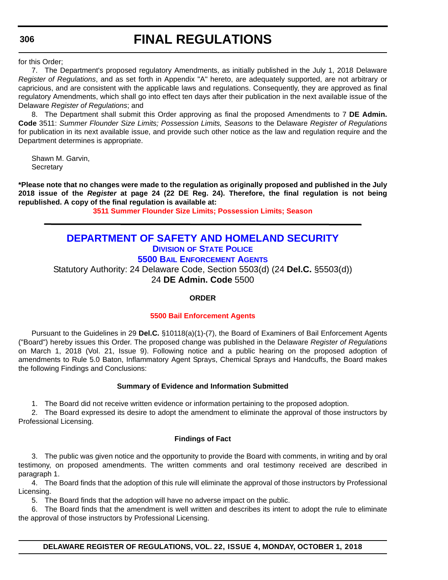**306**

## **FINAL REGULATIONS**

for this Order;

7. The Department's proposed regulatory Amendments, as initially published in the July 1, 2018 Delaware *Register of Regulations*, and as set forth in Appendix "A" hereto, are adequately supported, are not arbitrary or capricious, and are consistent with the applicable laws and regulations. Consequently, they are approved as final regulatory Amendments, which shall go into effect ten days after their publication in the next available issue of the Delaware *Register of Regulations*; and

8. The Department shall submit this Order approving as final the proposed Amendments to 7 **DE Admin. Code** 3511: *Summer Flounder Size Limits; Possession Limits, Seasons* to the Delaware *Register of Regulations* for publication in its next available issue, and provide such other notice as the law and regulation require and the Department determines is appropriate.

Shawn M. Garvin, **Secretary** 

**\*Please note that no changes were made to the regulation as originally proposed and published in the July 2018 issue of the** *Register* **at page 24 (22 DE Reg. 24). Therefore, the final regulation is not being republished. A copy of the final regulation is available at:**

**[3511 Summer Flounder Size Limits; Possession Limits; Season](http://regulations.delaware.gov/register/october2018/final/22 DE Reg 304 10-01-18.htm)**

### **[DEPARTMENT OF SAFETY AND HOMELAND SECURITY](https://dshs.delaware.gov/) DIVISION [OF STATE POLICE](https://dsp.delaware.gov/)**

**[5500 BAIL ENFORCEMENT AGENTS](https://dsp.delaware.gov/bail-enforcement-agents/)**

Statutory Authority: 24 Delaware Code, Section 5503(d) (24 **Del.C.** §5503(d)) 24 **DE Admin. Code** 5500

**ORDER**

#### **[5500 Bail Enforcement Agents](#page-4-0)**

Pursuant to the Guidelines in 29 **Del.C.** §10118(a)(1)-(7), the Board of Examiners of Bail Enforcement Agents ("Board") hereby issues this Order. The proposed change was published in the Delaware *Register of Regulations* on March 1, 2018 (Vol. 21, Issue 9). Following notice and a public hearing on the proposed adoption of amendments to Rule 5.0 Baton, Inflammatory Agent Sprays, Chemical Sprays and Handcuffs, the Board makes the following Findings and Conclusions:

#### **Summary of Evidence and Information Submitted**

1. The Board did not receive written evidence or information pertaining to the proposed adoption.

2. The Board expressed its desire to adopt the amendment to eliminate the approval of those instructors by Professional Licensing.

#### **Findings of Fact**

3. The public was given notice and the opportunity to provide the Board with comments, in writing and by oral testimony, on proposed amendments. The written comments and oral testimony received are described in paragraph 1.

4. The Board finds that the adoption of this rule will eliminate the approval of those instructors by Professional Licensing.

5. The Board finds that the adoption will have no adverse impact on the public.

6. The Board finds that the amendment is well written and describes its intent to adopt the rule to eliminate the approval of those instructors by Professional Licensing.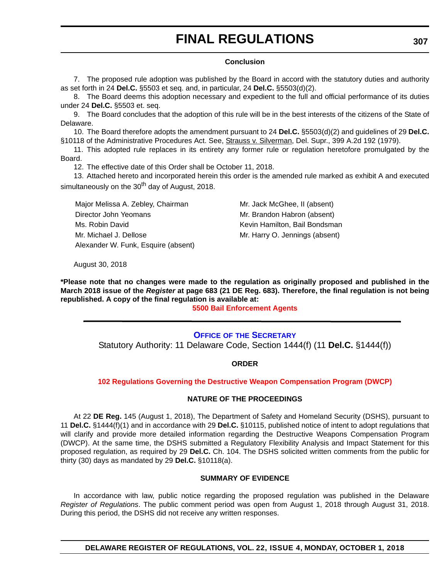#### **Conclusion**

7. The proposed rule adoption was published by the Board in accord with the statutory duties and authority as set forth in 24 **Del.C.** §5503 et seq. and, in particular, 24 **Del.C.** §5503(d)(2).

8. The Board deems this adoption necessary and expedient to the full and official performance of its duties under 24 **Del.C.** §5503 et. seq.

9. The Board concludes that the adoption of this rule will be in the best interests of the citizens of the State of Delaware.

10. The Board therefore adopts the amendment pursuant to 24 **Del.C.** §5503(d)(2) and guidelines of 29 **Del.C.** §10118 of the Administrative Procedures Act. See, Strauss v. Silverman, Del. Supr., 399 A.2d 192 (1979).

11. This adopted rule replaces in its entirety any former rule or regulation heretofore promulgated by the Board.

12. The effective date of this Order shall be October 11, 2018.

13. Attached hereto and incorporated herein this order is the amended rule marked as exhibit A and executed simultaneously on the  $30<sup>th</sup>$  day of August, 2018.

Major Melissa A. Zebley, Chairman Mr. Jack McGhee, II (absent) Director John Yeomans Mr. Brandon Habron (absent) Ms. Robin David **Kevin Hamilton, Bail Bondsman** Mr. Michael J. Dellose Mr. Harry O. Jennings (absent) Alexander W. Funk, Esquire (absent)

August 30, 2018

**\*Please note that no changes were made to the regulation as originally proposed and published in the March 2018 issue of the** *Register* **at page 683 (21 DE Reg. 683). Therefore, the final regulation is not being republished. A copy of the final regulation is available at:**

**[5500 Bail Enforcement Agents](http://regulations.delaware.gov/register/october2018/final/22 DE Reg 306 10-01-18.htm)**

#### **OFFICE OF [THE SECRETARY](https://dshs.delaware.gov/letter.shtml)**

Statutory Authority: 11 Delaware Code, Section 1444(f) (11 **Del.C.** §1444(f))

**ORDER**

#### **[102 Regulations Governing the Destructive Weapon Compensation Program \(DWCP\)](#page-4-0)**

#### **NATURE OF THE PROCEEDINGS**

At 22 **DE Reg.** 145 (August 1, 2018), The Department of Safety and Homeland Security (DSHS), pursuant to 11 **Del.C.** §1444(f)(1) and in accordance with 29 **Del.C.** §10115, published notice of intent to adopt regulations that will clarify and provide more detailed information regarding the Destructive Weapons Compensation Program (DWCP). At the same time, the DSHS submitted a Regulatory Flexibility Analysis and Impact Statement for this proposed regulation, as required by 29 **Del.C.** Ch. 104. The DSHS solicited written comments from the public for thirty (30) days as mandated by 29 **Del.C.** §10118(a).

#### **SUMMARY OF EVIDENCE**

In accordance with law, public notice regarding the proposed regulation was published in the Delaware *Register of Regulations*. The public comment period was open from August 1, 2018 through August 31, 2018. During this period, the DSHS did not receive any written responses.

**DELAWARE REGISTER OF REGULATIONS, VOL. 22, ISSUE 4, MONDAY, OCTOBER 1, 2018**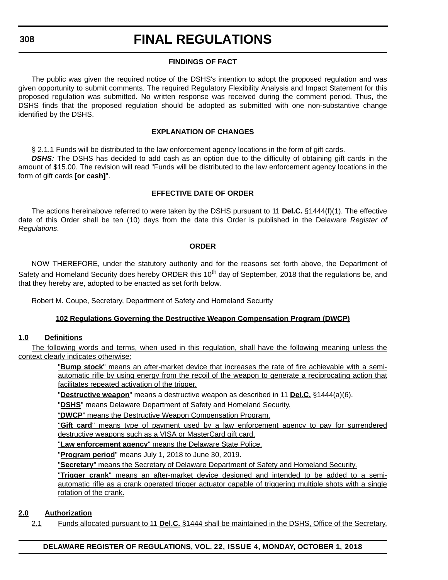#### **308**

### **FINAL REGULATIONS**

#### **FINDINGS OF FACT**

The public was given the required notice of the DSHS's intention to adopt the proposed regulation and was given opportunity to submit comments. The required Regulatory Flexibility Analysis and Impact Statement for this proposed regulation was submitted. No written response was received during the comment period. Thus, the DSHS finds that the proposed regulation should be adopted as submitted with one non-substantive change identified by the DSHS.

#### **EXPLANATION OF CHANGES**

§ 2.1.1 Funds will be distributed to the law enforcement agency locations in the form of gift cards.

**DSHS:** The DSHS has decided to add cash as an option due to the difficulty of obtaining gift cards in the amount of \$15.00. The revision will read "Funds will be distributed to the law enforcement agency locations in the form of gift cards **[or cash]**".

#### **EFFECTIVE DATE OF ORDER**

The actions hereinabove referred to were taken by the DSHS pursuant to 11 **Del.C.** §1444(f)(1). The effective date of this Order shall be ten (10) days from the date this Order is published in the Delaware *Register of Regulations*.

#### **ORDER**

NOW THEREFORE, under the statutory authority and for the reasons set forth above, the Department of Safety and Homeland Security does hereby ORDER this 10<sup>th</sup> day of September, 2018 that the regulations be, and that they hereby are, adopted to be enacted as set forth below.

Robert M. Coupe, Secretary, Department of Safety and Homeland Security

#### **102 Regulations Governing the Destructive Weapon Compensation Program (DWCP)**

#### **1.0 Definitions**

The following words and terms, when used in this regulation, shall have the following meaning unless the context clearly indicates otherwise:

> "**Bump stock**" means an after-market device that increases the rate of fire achievable with a semiautomatic rifle by using energy from the recoil of the weapon to generate a reciprocating action that facilitates repeated activation of the trigger.

"**Destructive weapon**" means a destructive weapon as described in 11 **Del.C.** §1444(a)(6).

"**DSHS**" means Delaware Department of Safety and Homeland Security.

"**DWCP**" means the Destructive Weapon Compensation Program.

"**Gift card**" means type of payment used by a law enforcement agency to pay for surrendered destructive weapons such as a VISA or MasterCard gift card.

"**Law enforcement agency**" means the Delaware State Police.

"**Program period**" means July 1, 2018 to June 30, 2019.

"**Secretary**" means the Secretary of Delaware Department of Safety and Homeland Security.

"**Trigger crank**" means an after-market device designed and intended to be added to a semiautomatic rifle as a crank operated trigger actuator capable of triggering multiple shots with a single rotation of the crank.

#### **2.0 Authorization**

2.1 Funds allocated pursuant to 11 **Del.C.** §1444 shall be maintained in the DSHS, Office of the Secretary.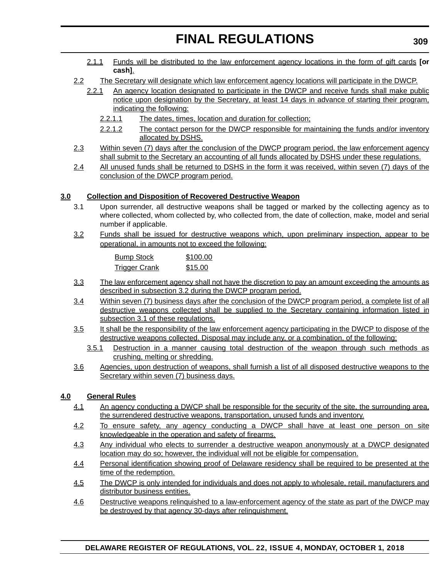- 2.1.1 Funds will be distributed to the law enforcement agency locations in the form of gift cards **[or cash]**.
- 2.2 The Secretary will designate which law enforcement agency locations will participate in the DWCP.
	- 2.2.1 An agency location designated to participate in the DWCP and receive funds shall make public notice upon designation by the Secretary, at least 14 days in advance of starting their program, indicating the following:
		- 2.2.1.1 The dates, times, location and duration for collection;
		- 2.2.1.2 The contact person for the DWCP responsible for maintaining the funds and/or inventory allocated by DSHS.
- 2.3 Within seven (7) days after the conclusion of the DWCP program period, the law enforcement agency shall submit to the Secretary an accounting of all funds allocated by DSHS under these regulations.
- 2.4 All unused funds shall be returned to DSHS in the form it was received, within seven (7) days of the conclusion of the DWCP program period.

#### **3.0 Collection and Disposition of Recovered Destructive Weapon**

- 3.1 Upon surrender, all destructive weapons shall be tagged or marked by the collecting agency as to where collected, whom collected by, who collected from, the date of collection, make, model and serial number if applicable.
- 3.2 Funds shall be issued for destructive weapons which, upon preliminary inspection, appear to be operational, in amounts not to exceed the following:

| <b>Bump Stock</b>    | \$100.00 |
|----------------------|----------|
| <b>Trigger Crank</b> | \$15.00  |

- 3.3 The law enforcement agency shall not have the discretion to pay an amount exceeding the amounts as described in subsection 3.2 during the DWCP program period.
- 3.4 Within seven (7) business days after the conclusion of the DWCP program period, a complete list of all destructive weapons collected shall be supplied to the Secretary containing information listed in subsection 3.1 of these regulations.
- 3.5 It shall be the responsibility of the law enforcement agency participating in the DWCP to dispose of the destructive weapons collected. Disposal may include any, or a combination, of the following;
	- 3.5.1 Destruction in a manner causing total destruction of the weapon through such methods as crushing, melting or shredding.
- 3.6 Agencies, upon destruction of weapons, shall furnish a list of all disposed destructive weapons to the Secretary within seven (7) business days.

#### **4.0 General Rules**

- 4.1 An agency conducting a DWCP shall be responsible for the security of the site, the surrounding area, the surrendered destructive weapons, transportation, unused funds and inventory.
- 4.2 To ensure safety, any agency conducting a DWCP shall have at least one person on site knowledgeable in the operation and safety of firearms.
- 4.3 Any individual who elects to surrender a destructive weapon anonymously at a DWCP designated location may do so; however, the individual will not be eligible for compensation.
- 4.4 Personal identification showing proof of Delaware residency shall be required to be presented at the time of the redemption.
- 4.5 The DWCP is only intended for individuals and does not apply to wholesale, retail, manufacturers and distributor business entities.
- 4.6 Destructive weapons relinquished to a law-enforcement agency of the state as part of the DWCP may be destroyed by that agency 30-days after relinquishment.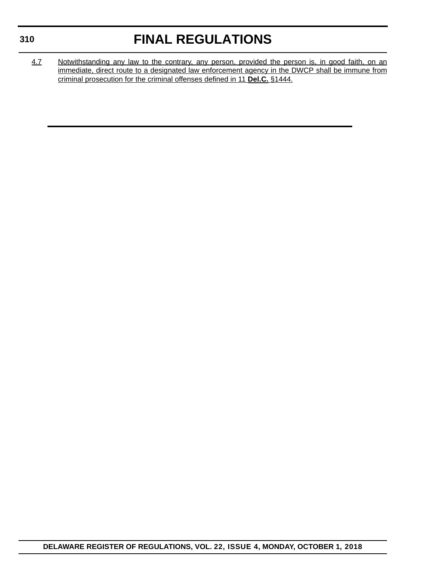### **310**

## **FINAL REGULATIONS**

4.7 Notwithstanding any law to the contrary, any person, provided the person is, in good faith, on an immediate, direct route to a designated law enforcement agency in the DWCP shall be immune from criminal prosecution for the criminal offenses defined in 11 **Del.C.** §1444.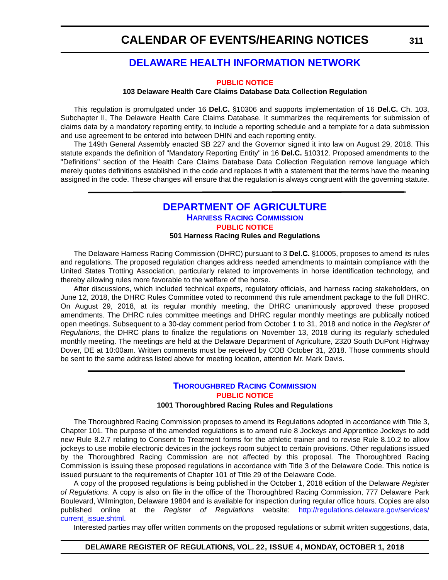### **[DELAWARE HEALTH INFORMATION NETWORK](https://dhin.org/)**

#### **[PUBLIC NOTICE](#page-4-0)**

#### **103 Delaware Health Care Claims Database Data Collection Regulation**

This regulation is promulgated under 16 **Del.C.** §10306 and supports implementation of 16 **Del.C.** Ch. 103, Subchapter II, The Delaware Health Care Claims Database. It summarizes the requirements for submission of claims data by a mandatory reporting entity, to include a reporting schedule and a template for a data submission and use agreement to be entered into between DHIN and each reporting entity.

The 149th General Assembly enacted SB 227 and the Governor signed it into law on August 29, 2018. This statute expands the definition of "Mandatory Reporting Entity" in 16 **Del.C.** §10312. Proposed amendments to the "Definitions" section of the Health Care Claims Database Data Collection Regulation remove language which merely quotes definitions established in the code and replaces it with a statement that the terms have the meaning assigned in the code. These changes will ensure that the regulation is always congruent with the governing statute.

#### **[DEPARTMENT OF AGRICULTURE](https://agriculture.delaware.gov/) [HARNESS RACING COMMISSION](https://agriculture.delaware.gov/harness-racing-commission/) [PUBLIC NOTICE](#page-4-0) 501 Harness Racing Rules and Regulations**

The Delaware Harness Racing Commission (DHRC) pursuant to 3 **Del.C.** §10005, proposes to amend its rules and regulations. The proposed regulation changes address needed amendments to maintain compliance with the United States Trotting Association, particularly related to improvements in horse identification technology, and thereby allowing rules more favorable to the welfare of the horse.

After discussions, which included technical experts, regulatory officials, and harness racing stakeholders, on June 12, 2018, the DHRC Rules Committee voted to recommend this rule amendment package to the full DHRC. On August 29, 2018, at its regular monthly meeting, the DHRC unanimously approved these proposed amendments. The DHRC rules committee meetings and DHRC regular monthly meetings are publically noticed open meetings. Subsequent to a 30-day comment period from October 1 to 31, 2018 and notice in the *Register of Regulations*, the DHRC plans to finalize the regulations on November 13, 2018 during its regularly scheduled monthly meeting. The meetings are held at the Delaware Department of Agriculture, 2320 South DuPont Highway Dover, DE at 10:00am. Written comments must be received by COB October 31, 2018. Those comments should be sent to the same address listed above for meeting location, attention Mr. Mark Davis.

#### **[THOROUGHBRED RACING COMMISSION](https://agriculture.delaware.gov/thoroughbred-racing-commission/) [PUBLIC NOTICE](#page-4-0)**

#### **1001 Thoroughbred Racing Rules and Regulations**

The Thoroughbred Racing Commission proposes to amend its Regulations adopted in accordance with Title 3, Chapter 101. The purpose of the amended regulations is to amend rule 8 Jockeys and Apprentice Jockeys to add new Rule 8.2.7 relating to Consent to Treatment forms for the athletic trainer and to revise Rule 8.10.2 to allow jockeys to use mobile electronic devices in the jockeys room subject to certain provisions. Other regulations issued by the Thoroughbred Racing Commission are not affected by this proposal. The Thoroughbred Racing Commission is issuing these proposed regulations in accordance with Title 3 of the Delaware Code. This notice is issued pursuant to the requirements of Chapter 101 of Title 29 of the Delaware Code.

A copy of the proposed regulations is being published in the October 1, 2018 edition of the Delaware *Register of Regulations*. A copy is also on file in the office of the Thoroughbred Racing Commission, 777 Delaware Park Boulevard, Wilmington, Delaware 19804 and is available for inspection during regular office hours. Copies are also published online at the *Register of Regulations* website: [http://regulations.delaware.gov/services/](http://regulations.delaware.gov/services/current_issue.shtml) [current\\_issue.shtml](http://regulations.delaware.gov/services/current_issue.shtml)

Interested parties may offer written comments on the proposed regulations or submit written suggestions, data,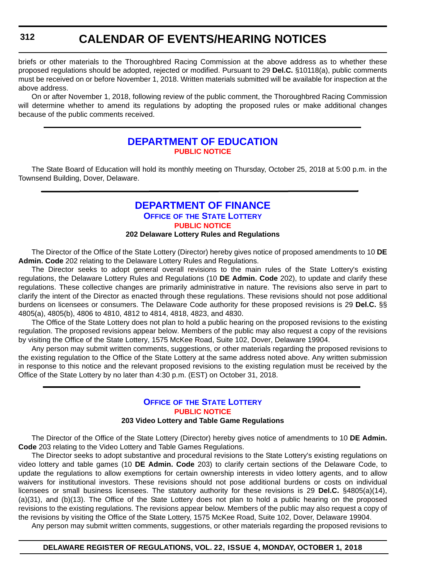briefs or other materials to the Thoroughbred Racing Commission at the above address as to whether these proposed regulations should be adopted, rejected or modified. Pursuant to 29 **Del.C.** §10118(a), public comments must be received on or before November 1, 2018. Written materials submitted will be available for inspection at the above address.

On or after November 1, 2018, following review of the public comment, the Thoroughbred Racing Commission will determine whether to amend its regulations by adopting the proposed rules or make additional changes because of the public comments received.

### **[DEPARTMENT OF EDUCATION](https://www.doe.k12.de.us/) [PUBLIC NOTICE](#page-4-0)**

The State Board of Education will hold its monthly meeting on Thursday, October 25, 2018 at 5:00 p.m. in the Townsend Building, Dover, Delaware.

#### **[DEPARTMENT OF FINANCE](https://finance.delaware.gov/) OFFICE OF [THE STATE LOTTERY](https://www.delottery.com/) [PUBLIC NOTICE](#page-4-0) 202 Delaware Lottery Rules and Regulations**

The Director of the Office of the State Lottery (Director) hereby gives notice of proposed amendments to 10 **DE Admin. Code** 202 relating to the Delaware Lottery Rules and Regulations.

The Director seeks to adopt general overall revisions to the main rules of the State Lottery's existing regulations, the Delaware Lottery Rules and Regulations (10 **DE Admin. Code** 202), to update and clarify these regulations. These collective changes are primarily administrative in nature. The revisions also serve in part to clarify the intent of the Director as enacted through these regulations. These revisions should not pose additional burdens on licensees or consumers. The Delaware Code authority for these proposed revisions is 29 **Del.C.** §§ 4805(a), 4805(b), 4806 to 4810, 4812 to 4814, 4818, 4823, and 4830.

The Office of the State Lottery does not plan to hold a public hearing on the proposed revisions to the existing regulation. The proposed revisions appear below. Members of the public may also request a copy of the revisions by visiting the Office of the State Lottery, 1575 McKee Road, Suite 102, Dover, Delaware 19904.

Any person may submit written comments, suggestions, or other materials regarding the proposed revisions to the existing regulation to the Office of the State Lottery at the same address noted above. Any written submission in response to this notice and the relevant proposed revisions to the existing regulation must be received by the Office of the State Lottery by no later than 4:30 p.m. (EST) on October 31, 2018.

### **OFFICE OF [THE STATE LOTTERY](https://www.delottery.com/) [PUBLIC NOTICE](#page-4-0)**

#### **203 Video Lottery and Table Game Regulations**

The Director of the Office of the State Lottery (Director) hereby gives notice of amendments to 10 **DE Admin. Code** 203 relating to the Video Lottery and Table Games Regulations.

The Director seeks to adopt substantive and procedural revisions to the State Lottery's existing regulations on video lottery and table games (10 **DE Admin. Code** 203) to clarify certain sections of the Delaware Code, to update the regulations to allow exemptions for certain ownership interests in video lottery agents, and to allow waivers for institutional investors. These revisions should not pose additional burdens or costs on individual licensees or small business licensees. The statutory authority for these revisions is 29 **Del.C.** §4805(a)(14), (a)(31), and (b)(13). The Office of the State Lottery does not plan to hold a public hearing on the proposed revisions to the existing regulations. The revisions appear below. Members of the public may also request a copy of the revisions by visiting the Office of the State Lottery, 1575 McKee Road, Suite 102, Dover, Delaware 19904.

Any person may submit written comments, suggestions, or other materials regarding the proposed revisions to

#### **DELAWARE REGISTER OF REGULATIONS, VOL. 22, ISSUE 4, MONDAY, OCTOBER 1, 2018**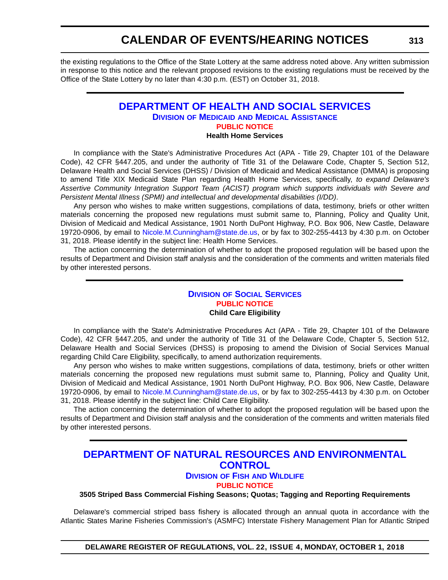the existing regulations to the Office of the State Lottery at the same address noted above. Any written submission in response to this notice and the relevant proposed revisions to the existing regulations must be received by the Office of the State Lottery by no later than 4:30 p.m. (EST) on October 31, 2018.

### **[DEPARTMENT OF HEALTH AND SOCIAL SERVICES](https://www.dhss.delaware.gov/dhss/index.html)**

**DIVISION OF MEDICAID [AND MEDICAL ASSISTANCE](https://www.dhss.delaware.gov/dhss/dmma/)**

**[PUBLIC NOTICE](#page-4-0)**

#### **Health Home Services**

In compliance with the State's Administrative Procedures Act (APA - Title 29, Chapter 101 of the Delaware Code), 42 CFR §447.205, and under the authority of Title 31 of the Delaware Code, Chapter 5, Section 512, Delaware Health and Social Services (DHSS) / Division of Medicaid and Medical Assistance (DMMA) is proposing to amend Title XIX Medicaid State Plan regarding Health Home Services, specifically, *to expand Delaware's Assertive Community Integration Support Team (ACIST) program which supports individuals with Severe and Persistent Mental Illness (SPMI) and intellectual and developmental disabilities (I/DD)*.

Any person who wishes to make written suggestions, compilations of data, testimony, briefs or other written materials concerning the proposed new regulations must submit same to, Planning, Policy and Quality Unit, Division of Medicaid and Medical Assistance, 1901 North DuPont Highway, P.O. Box 906, New Castle, Delaware 19720-0906, by email to [Nicole.M.Cunningham@state.de.us,](mailto:Nicole.M.Cunningham@state.de.us) or by fax to 302-255-4413 by 4:30 p.m. on October 31, 2018. Please identify in the subject line: Health Home Services.

The action concerning the determination of whether to adopt the proposed regulation will be based upon the results of Department and Division staff analysis and the consideration of the comments and written materials filed by other interested persons.

#### **DIVISION [OF SOCIAL SERVICES](https://www.dhss.delaware.gov/dhss/dss/) [PUBLIC NOTICE](#page-4-0) Child Care Eligibility**

In compliance with the State's Administrative Procedures Act (APA - Title 29, Chapter 101 of the Delaware Code), 42 CFR §447.205, and under the authority of Title 31 of the Delaware Code, Chapter 5, Section 512, Delaware Health and Social Services (DHSS) is proposing to amend the Division of Social Services Manual regarding Child Care Eligibility, specifically, to amend authorization requirements.

Any person who wishes to make written suggestions, compilations of data, testimony, briefs or other written materials concerning the proposed new regulations must submit same to, Planning, Policy and Quality Unit, Division of Medicaid and Medical Assistance, 1901 North DuPont Highway, P.O. Box 906, New Castle, Delaware 19720-0906, by email to [Nicole.M.Cunningham@state.de.us,](mailto:Nicole.M.Cunningham@state.de.us) or by fax to 302-255-4413 by 4:30 p.m. on October 31, 2018. Please identify in the subject line: Child Care Eligibility.

The action concerning the determination of whether to adopt the proposed regulation will be based upon the results of Department and Division staff analysis and the consideration of the comments and written materials filed by other interested persons.

### **[DEPARTMENT OF NATURAL RESOURCES AND ENVIRONMENTAL](https://dnrec.alpha.delaware.gov/)  CONTROL**

#### **DIVISION OF FISH [AND WILDLIFE](https://dnrec.alpha.delaware.gov/fish-wildlife/)**

**[PUBLIC NOTICE](#page-4-0)**

**3505 Striped Bass Commercial Fishing Seasons; Quotas; Tagging and Reporting Requirements**

Delaware's commercial striped bass fishery is allocated through an annual quota in accordance with the Atlantic States Marine Fisheries Commission's (ASMFC) Interstate Fishery Management Plan for Atlantic Striped

**DELAWARE REGISTER OF REGULATIONS, VOL. 22, ISSUE 4, MONDAY, OCTOBER 1, 2018**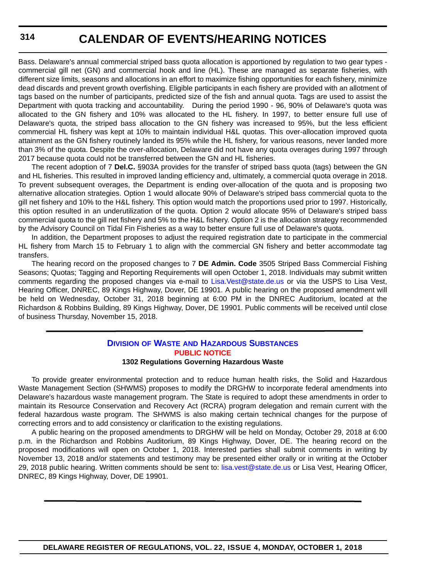Bass. Delaware's annual commercial striped bass quota allocation is apportioned by regulation to two gear types commercial gill net (GN) and commercial hook and line (HL). These are managed as separate fisheries, with different size limits, seasons and allocations in an effort to maximize fishing opportunities for each fishery, minimize dead discards and prevent growth overfishing. Eligible participants in each fishery are provided with an allotment of tags based on the number of participants, predicted size of the fish and annual quota. Tags are used to assist the Department with quota tracking and accountability. During the period 1990 - 96, 90% of Delaware's quota was allocated to the GN fishery and 10% was allocated to the HL fishery. In 1997, to better ensure full use of Delaware's quota, the striped bass allocation to the GN fishery was increased to 95%, but the less efficient commercial HL fishery was kept at 10% to maintain individual H&L quotas. This over-allocation improved quota attainment as the GN fishery routinely landed its 95% while the HL fishery, for various reasons, never landed more than 3% of the quota. Despite the over-allocation, Delaware did not have any quota overages during 1997 through 2017 because quota could not be transferred between the GN and HL fisheries.

The recent adoption of 7 **Del.C.** §903A provides for the transfer of striped bass quota (tags) between the GN and HL fisheries. This resulted in improved landing efficiency and, ultimately, a commercial quota overage in 2018. To prevent subsequent overages, the Department is ending over-allocation of the quota and is proposing two alternative allocation strategies. Option 1 would allocate 90% of Delaware's striped bass commercial quota to the gill net fishery and 10% to the H&L fishery. This option would match the proportions used prior to 1997. Historically, this option resulted in an underutilization of the quota. Option 2 would allocate 95% of Delaware's striped bass commercial quota to the gill net fishery and 5% to the H&L fishery. Option 2 is the allocation strategy recommended by the Advisory Council on Tidal Fin Fisheries as a way to better ensure full use of Delaware's quota.

In addition, the Department proposes to adjust the required registration date to participate in the commercial HL fishery from March 15 to February 1 to align with the commercial GN fishery and better accommodate tag transfers.

The hearing record on the proposed changes to 7 **DE Admin. Code** 3505 Striped Bass Commercial Fishing Seasons; Quotas; Tagging and Reporting Requirements will open October 1, 2018. Individuals may submit written comments regarding the proposed changes via e-mail to [Lisa.Vest@state.de.us](mailto:Lisa.Vest@state.de.us) or via the USPS to Lisa Vest, Hearing Officer, DNREC, 89 Kings Highway, Dover, DE 19901. A public hearing on the proposed amendment will be held on Wednesday, October 31, 2018 beginning at 6:00 PM in the DNREC Auditorium, located at the Richardson & Robbins Building, 89 Kings Highway, Dover, DE 19901. Public comments will be received until close of business Thursday, November 15, 2018.

### **DIVISION OF WASTE [AND HAZARDOUS SUBSTANCES](https://dnrec.alpha.delaware.gov/waste-hazardous/) [PUBLIC NOTICE](#page-4-0)**

#### **1302 Regulations Governing Hazardous Waste**

To provide greater environmental protection and to reduce human health risks, the Solid and Hazardous Waste Management Section (SHWMS) proposes to modify the DRGHW to incorporate federal amendments into Delaware's hazardous waste management program. The State is required to adopt these amendments in order to maintain its Resource Conservation and Recovery Act (RCRA) program delegation and remain current with the federal hazardous waste program. The SHWMS is also making certain technical changes for the purpose of correcting errors and to add consistency or clarification to the existing regulations.

A public hearing on the proposed amendments to DRGHW will be held on Monday, October 29, 2018 at 6:00 p.m. in the Richardson and Robbins Auditorium, 89 Kings Highway, Dover, DE. The hearing record on the proposed modifications will open on October 1, 2018. Interested parties shall submit comments in writing by November 13, 2018 and/or statements and testimony may be presented either orally or in writing at the October 29, 2018 public hearing. Written comments should be sent to: [lisa.vest@state.de.us](mailto:lisa.vest@state.de.us) or Lisa Vest, Hearing Officer, DNREC, 89 Kings Highway, Dover, DE 19901.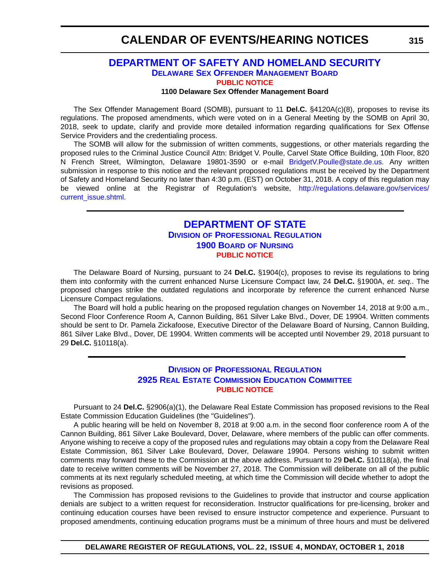# **CALENDAR OF EVENTS/HEARING NOTICES**

# **[DEPARTMENT OF SAFETY AND HOMELAND SECURITY](https://dshs.delaware.gov/) [DELAWARE SEX OFFENDER MANAGEMENT BOARD](http://somb.dshs.delaware.gov/#) [PUBLIC NOTICE](#page-4-0)**

#### **1100 Delaware Sex Offender Management Board**

The Sex Offender Management Board (SOMB), pursuant to 11 **Del.C.** §4120A(c)(8), proposes to revise its regulations. The proposed amendments, which were voted on in a General Meeting by the SOMB on April 30, 2018, seek to update, clarify and provide more detailed information regarding qualifications for Sex Offense Service Providers and the credentialing process.

The SOMB will allow for the submission of written comments, suggestions, or other materials regarding the proposed rules to the Criminal Justice Council Attn: Bridget V. Poulle, Carvel State Office Building, 10th Floor, 820 N French Street, Wilmington, Delaware 19801-3590 or e-mail BridgetV. Poulle@state.de.us. Any written submission in response to this notice and the relevant proposed regulations must be received by the Department of Safety and Homeland Security no later than 4:30 p.m. (EST) on October 31, 2018. A copy of this regulation may be viewed online at the Registrar of Regulation's website, [http://regulations.delaware.gov/services/](http://regulations.delaware.gov/services/current_issue.shtml) [current\\_issue.shtml](http://regulations.delaware.gov/services/current_issue.shtml).

# **[DEPARTMENT OF STATE](https://sos.delaware.gov/) DIVISION [OF PROFESSIONAL REGULATION](https://dpr.delaware.gov/) [1900 BOARD](https://dpr.delaware.gov/boards/nursing/) OF NURSING [PUBLIC NOTICE](#page-4-0)**

The Delaware Board of Nursing, pursuant to 24 **Del.C.** §1904(c), proposes to revise its regulations to bring them into conformity with the current enhanced Nurse Licensure Compact law, 24 **Del.C.** §1900A, *et. seq.*. The proposed changes strike the outdated regulations and incorporate by reference the current enhanced Nurse Licensure Compact regulations.

The Board will hold a public hearing on the proposed regulation changes on November 14, 2018 at 9:00 a.m., Second Floor Conference Room A, Cannon Building, 861 Silver Lake Blvd., Dover, DE 19904. Written comments should be sent to Dr. Pamela Zickafoose, Executive Director of the Delaware Board of Nursing, Cannon Building, 861 Silver Lake Blvd., Dover, DE 19904. Written comments will be accepted until November 29, 2018 pursuant to 29 **Del.C.** §10118(a).

### **DIVISION [OF PROFESSIONAL REGULATION](https://dpr.delaware.gov/) [2925 REAL ESTATE COMMISSION EDUCATION COMMITTEE](https://dpr.delaware.gov/boards/realestate/committee_members/) [PUBLIC NOTICE](#page-4-0)**

Pursuant to 24 **Del.C.** §2906(a)(1), the Delaware Real Estate Commission has proposed revisions to the Real Estate Commission Education Guidelines (the "Guidelines").

A public hearing will be held on November 8, 2018 at 9:00 a.m. in the second floor conference room A of the Cannon Building, 861 Silver Lake Boulevard, Dover, Delaware, where members of the public can offer comments. Anyone wishing to receive a copy of the proposed rules and regulations may obtain a copy from the Delaware Real Estate Commission, 861 Silver Lake Boulevard, Dover, Delaware 19904. Persons wishing to submit written comments may forward these to the Commission at the above address. Pursuant to 29 **Del.C.** §10118(a), the final date to receive written comments will be November 27, 2018. The Commission will deliberate on all of the public comments at its next regularly scheduled meeting, at which time the Commission will decide whether to adopt the revisions as proposed.

The Commission has proposed revisions to the Guidelines to provide that instructor and course application denials are subject to a written request for reconsideration. Instructor qualifications for pre-licensing, broker and continuing education courses have been revised to ensure instructor competence and experience. Pursuant to proposed amendments, continuing education programs must be a minimum of three hours and must be delivered

**DELAWARE REGISTER OF REGULATIONS, VOL. 22, ISSUE 4, MONDAY, OCTOBER 1, 2018**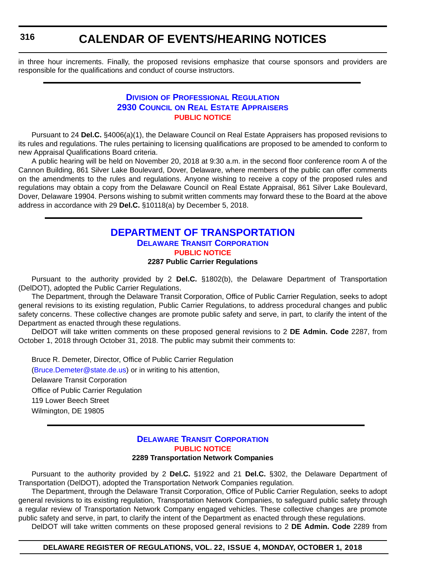# **CALENDAR OF EVENTS/HEARING NOTICES**

in three hour increments. Finally, the proposed revisions emphasize that course sponsors and providers are responsible for the qualifications and conduct of course instructors.

### **DIVISION [OF PROFESSIONAL REGULATION](https://dpr.delaware.gov/) 2930 COUNCIL [ON REAL ESTATE APPRAISERS](https://dpr.delaware.gov/boards/realestateappraisers/) [PUBLIC NOTICE](#page-4-0)**

Pursuant to 24 **Del.C.** §4006(a)(1), the Delaware Council on Real Estate Appraisers has proposed revisions to its rules and regulations. The rules pertaining to licensing qualifications are proposed to be amended to conform to new Appraisal Qualifications Board criteria.

A public hearing will be held on November 20, 2018 at 9:30 a.m. in the second floor conference room A of the Cannon Building, 861 Silver Lake Boulevard, Dover, Delaware, where members of the public can offer comments on the amendments to the rules and regulations. Anyone wishing to receive a copy of the proposed rules and regulations may obtain a copy from the Delaware Council on Real Estate Appraisal, 861 Silver Lake Boulevard, Dover, Delaware 19904. Persons wishing to submit written comments may forward these to the Board at the above address in accordance with 29 **Del.C.** §10118(a) by December 5, 2018.

# **[DEPARTMENT OF TRANSPORTATION](https://www.deldot.gov/index.shtml) [DELAWARE TRANSIT CORPORATION](http://web.dscc.com/Transportation-Passenger/Delaware-Transit-Corporation-519) [PUBLIC NOTICE](#page-4-0)**

#### **2287 Public Carrier Regulations**

Pursuant to the authority provided by 2 **Del.C.** §1802(b), the Delaware Department of Transportation (DelDOT), adopted the Public Carrier Regulations.

The Department, through the Delaware Transit Corporation, Office of Public Carrier Regulation, seeks to adopt general revisions to its existing regulation, Public Carrier Regulations, to address procedural changes and public safety concerns. These collective changes are promote public safety and serve, in part, to clarify the intent of the Department as enacted through these regulations.

DelDOT will take written comments on these proposed general revisions to 2 **DE Admin. Code** 2287, from October 1, 2018 through October 31, 2018. The public may submit their comments to:

Bruce R. Demeter, Director, Office of Public Carrier Regulation [\(Bruce.Demeter@state.de.us\)](mailto:Bruce.Demeter@state.de.us) or in writing to his attention, Delaware Transit Corporation Office of Public Carrier Regulation 119 Lower Beech Street Wilmington, DE 19805

#### **[DELAWARE TRANSIT CORPORATION](http://web.dscc.com/Transportation-Passenger/Delaware-Transit-Corporation-519) [PUBLIC NOTICE](#page-4-0) 2289 Transportation Network Companies**

Pursuant to the authority provided by 2 **Del.C.** §1922 and 21 **Del.C.** §302, the Delaware Department of Transportation (DelDOT), adopted the Transportation Network Companies regulation.

The Department, through the Delaware Transit Corporation, Office of Public Carrier Regulation, seeks to adopt general revisions to its existing regulation, Transportation Network Companies, to safeguard public safety through a regular review of Transportation Network Company engaged vehicles. These collective changes are promote public safety and serve, in part, to clarify the intent of the Department as enacted through these regulations.

DelDOT will take written comments on these proposed general revisions to 2 **DE Admin. Code** 2289 from

#### **DELAWARE REGISTER OF REGULATIONS, VOL. 22, ISSUE 4, MONDAY, OCTOBER 1, 2018**

**316**